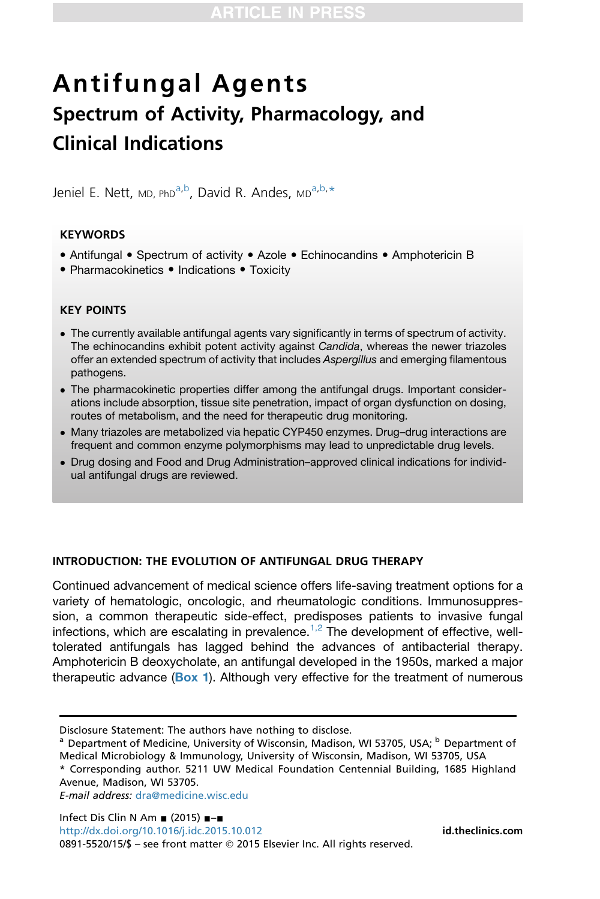# Antifungal Agents Spectrum of Activity, Pharmacology, and Clinical Indications

Jeniel E. Nett, MD, PhD<sup>a,b</sup>, David R. Andes, MD<sup>a,b,\*</sup>

# **KEYWORDS**

- Antifungal Spectrum of activity Azole Echinocandins Amphotericin B
- Pharmacokinetics Indications Toxicity

# KEY POINTS

- The currently available antifungal agents vary significantly in terms of spectrum of activity. The echinocandins exhibit potent activity against *Candida*, whereas the newer triazoles offer an extended spectrum of activity that includes *Aspergillus* and emerging filamentous pathogens.
- The pharmacokinetic properties differ among the antifungal drugs. Important considerations include absorption, tissue site penetration, impact of organ dysfunction on dosing, routes of metabolism, and the need for therapeutic drug monitoring.
- Many triazoles are metabolized via hepatic CYP450 enzymes. Drug–drug interactions are frequent and common enzyme polymorphisms may lead to unpredictable drug levels.
- Drug dosing and Food and Drug Administration–approved clinical indications for individual antifungal drugs are reviewed.

## INTRODUCTION: THE EVOLUTION OF ANTIFUNGAL DRUG THERAPY

Continued advancement of medical science offers life-saving treatment options for a variety of hematologic, oncologic, and rheumatologic conditions. Immunosuppression, a common therapeutic side-effect, predisposes patients to invasive fungal infections, which are escalating in prevalence.<sup>[1,2](#page-19-0)</sup> The development of effective, welltolerated antifungals has lagged behind the advances of antibacterial therapy. Amphotericin B deoxycholate, an antifungal developed in the 1950s, marked a major therapeutic advance ( $Box 1$ ). Although very effective for the treatment of numerous

E-mail address: [dra@medicine.wisc.edu](mailto:dra@medicine.wisc.edu)

Disclosure Statement: The authors have nothing to disclose.

<sup>&</sup>lt;sup>a</sup> Department of Medicine, University of Wisconsin, Madison, WI 53705, USA; <sup>b</sup> Department of Medical Microbiology & Immunology, University of Wisconsin, Madison, WI 53705, USA

<sup>\*</sup> Corresponding author. 5211 UW Medical Foundation Centennial Building, 1685 Highland Avenue, Madison, WI 53705.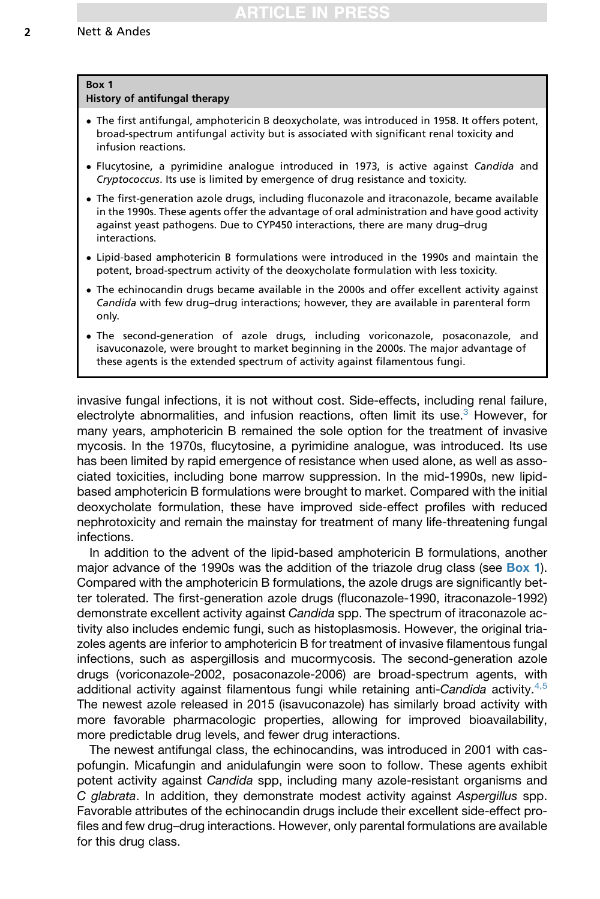# <span id="page-1-0"></span>Box 1

## History of antifungal therapy

- The first antifungal, amphotericin B deoxycholate, was introduced in 1958. It offers potent, broad-spectrum antifungal activity but is associated with significant renal toxicity and infusion reactions.
- Flucytosine, a pyrimidine analogue introduced in 1973, is active against Candida and Cryptococcus. Its use is limited by emergence of drug resistance and toxicity.
- The first-generation azole drugs, including fluconazole and itraconazole, became available in the 1990s. These agents offer the advantage of oral administration and have good activity against yeast pathogens. Due to CYP450 interactions, there are many drug–drug interactions.
- Lipid-based amphotericin B formulations were introduced in the 1990s and maintain the potent, broad-spectrum activity of the deoxycholate formulation with less toxicity.
- The echinocandin drugs became available in the 2000s and offer excellent activity against Candida with few drug–drug interactions; however, they are available in parenteral form only.
- The second-generation of azole drugs, including voriconazole, posaconazole, and isavuconazole, were brought to market beginning in the 2000s. The major advantage of these agents is the extended spectrum of activity against filamentous fungi.

invasive fungal infections, it is not without cost. Side-effects, including renal failure, electrolyte abnormalities, and infusion reactions, often limit its use.<sup>[3](#page-19-0)</sup> However, for many years, amphotericin B remained the sole option for the treatment of invasive mycosis. In the 1970s, flucytosine, a pyrimidine analogue, was introduced. Its use has been limited by rapid emergence of resistance when used alone, as well as associated toxicities, including bone marrow suppression. In the mid-1990s, new lipidbased amphotericin B formulations were brought to market. Compared with the initial deoxycholate formulation, these have improved side-effect profiles with reduced nephrotoxicity and remain the mainstay for treatment of many life-threatening fungal infections.

In addition to the advent of the lipid-based amphotericin B formulations, another major advance of the 1990s was the addition of the triazole drug class (see Box 1). Compared with the amphotericin B formulations, the azole drugs are significantly better tolerated. The first-generation azole drugs (fluconazole-1990, itraconazole-1992) demonstrate excellent activity against *Candida* spp. The spectrum of itraconazole activity also includes endemic fungi, such as histoplasmosis. However, the original triazoles agents are inferior to amphotericin B for treatment of invasive filamentous fungal infections, such as aspergillosis and mucormycosis. The second-generation azole drugs (voriconazole-2002, posaconazole-2006) are broad-spectrum agents, with additional activity against filamentous fungi while retaining anti-*Candida* activity.[4,5](#page-19-0) The newest azole released in 2015 (isavuconazole) has similarly broad activity with more favorable pharmacologic properties, allowing for improved bioavailability, more predictable drug levels, and fewer drug interactions.

The newest antifungal class, the echinocandins, was introduced in 2001 with caspofungin. Micafungin and anidulafungin were soon to follow. These agents exhibit potent activity against *Candida* spp, including many azole-resistant organisms and *C glabrata*. In addition, they demonstrate modest activity against *Aspergillus* spp. Favorable attributes of the echinocandin drugs include their excellent side-effect profiles and few drug–drug interactions. However, only parental formulations are available for this drug class.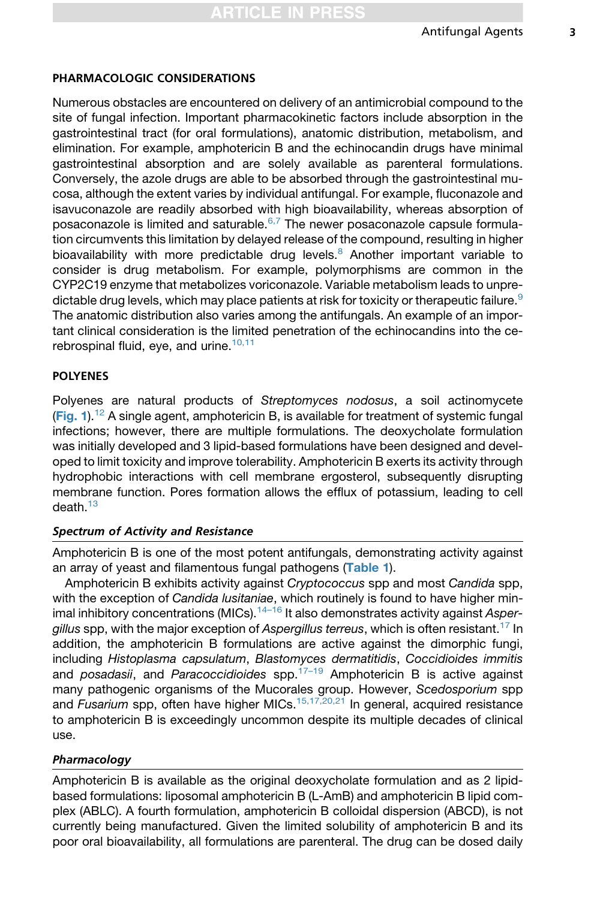# PHARMACOLOGIC CONSIDERATIONS

Numerous obstacles are encountered on delivery of an antimicrobial compound to the site of fungal infection. Important pharmacokinetic factors include absorption in the gastrointestinal tract (for oral formulations), anatomic distribution, metabolism, and elimination. For example, amphotericin B and the echinocandin drugs have minimal gastrointestinal absorption and are solely available as parenteral formulations. Conversely, the azole drugs are able to be absorbed through the gastrointestinal mucosa, although the extent varies by individual antifungal. For example, fluconazole and isavuconazole are readily absorbed with high bioavailability, whereas absorption of posaconazole is limited and saturable. $6,7$  The newer posaconazole capsule formulation circumvents this limitation by delayed release of the compound, resulting in higher bioavailability with more predictable drug levels.<sup>[8](#page-19-0)</sup> Another important variable to consider is drug metabolism. For example, polymorphisms are common in the CYP2C19 enzyme that metabolizes voriconazole. Variable metabolism leads to unpre-dictable drug levels, which may place patients at risk for toxicity or therapeutic failure.<sup>[9](#page-19-0)</sup> The anatomic distribution also varies among the antifungals. An example of an important clinical consideration is the limited penetration of the echinocandins into the cerebrospinal fluid, eye, and urine. $10,11$ 

# POLYENES

Polyenes are natural products of *Streptomyces nodosus*, a soil actinomycete ([Fig. 1](#page-3-0)).<sup>[12](#page-19-0)</sup> A single agent, amphotericin B, is available for treatment of systemic fungal infections; however, there are multiple formulations. The deoxycholate formulation was initially developed and 3 lipid-based formulations have been designed and developed to limit toxicity and improve tolerability. Amphotericin B exerts its activity through hydrophobic interactions with cell membrane ergosterol, subsequently disrupting membrane function. Pores formation allows the efflux of potassium, leading to cell  $death<sup>13</sup>$  $death<sup>13</sup>$  $death<sup>13</sup>$ 

## Spectrum of Activity and Resistance

Amphotericin B is one of the most potent antifungals, demonstrating activity against an array of yeast and filamentous fungal pathogens ([Table 1](#page-4-0)).

Amphotericin B exhibits activity against *Cryptococcus* spp and most *Candida* spp, with the exception of *Candida lusitaniae*, which routinely is found to have higher minimal inhibitory concentrations (MICs).[14–16](#page-19-0) It also demonstrates activity against *Aspergillus* spp, with the major exception of *Aspergillus terreus*, which is often resistant.[17](#page-19-0) In addition, the amphotericin B formulations are active against the dimorphic fungi, including *Histoplasma capsulatum*, *Blastomyces dermatitidis*, *Coccidioides immitis* and *posadasii*, and *Paracoccidioides* spp.[17–19](#page-19-0) Amphotericin B is active against many pathogenic organisms of the Mucorales group. However, *Scedosporium* spp and *Fusarium* spp, often have higher MICs.<sup>[15,17,20,21](#page-19-0)</sup> In general, acquired resistance to amphotericin B is exceedingly uncommon despite its multiple decades of clinical use.

# Pharmacology

Amphotericin B is available as the original deoxycholate formulation and as 2 lipidbased formulations: liposomal amphotericin B (L-AmB) and amphotericin B lipid complex (ABLC). A fourth formulation, amphotericin B colloidal dispersion (ABCD), is not currently being manufactured. Given the limited solubility of amphotericin B and its poor oral bioavailability, all formulations are parenteral. The drug can be dosed daily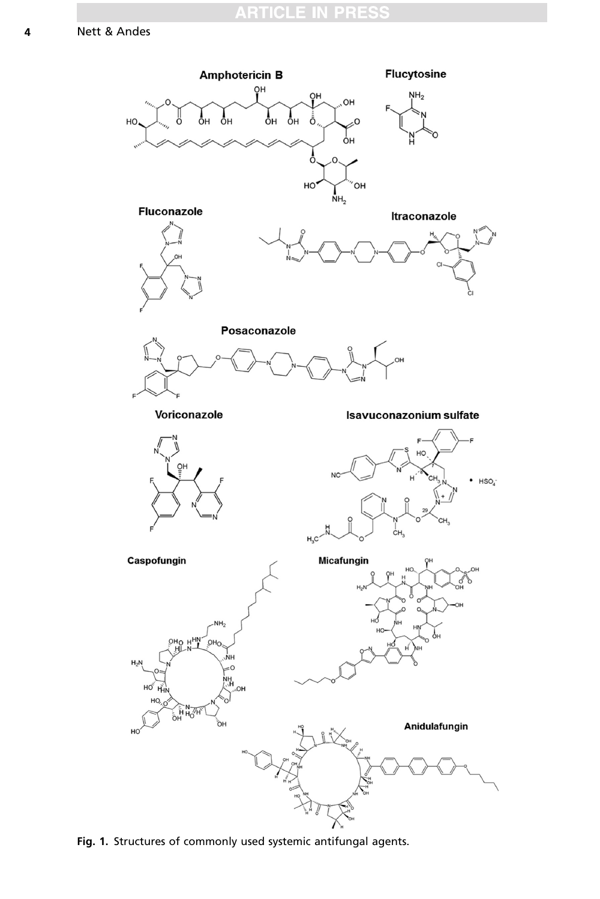<span id="page-3-0"></span>

Fig. 1. Structures of commonly used systemic antifungal agents.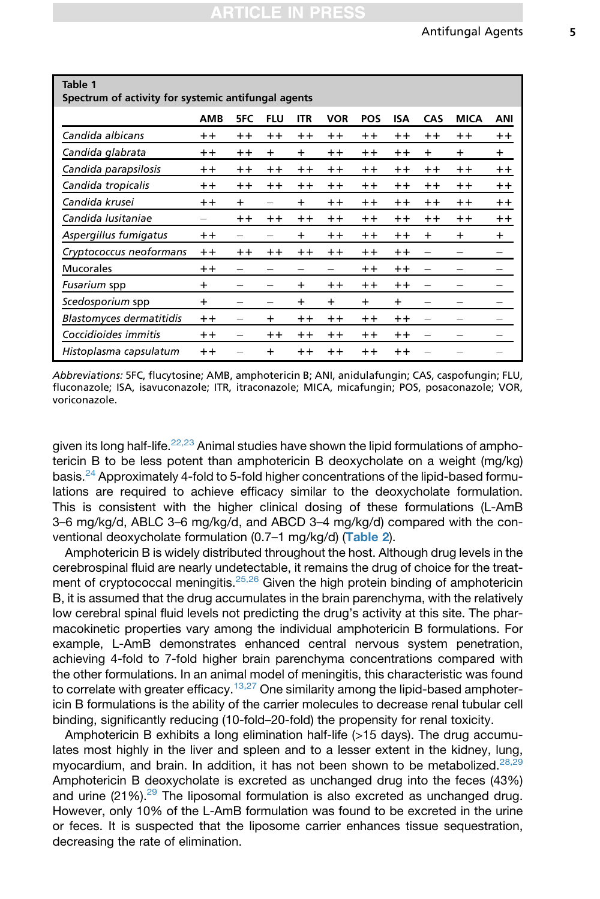<span id="page-4-0"></span> $T<sub>a</sub>$ <sub>bla</sub> $1$ 

| IUNIL I<br>Spectrum of activity for systemic antifungal agents |                 |      |                          |           |                 |                 |                 |           |             |                 |
|----------------------------------------------------------------|-----------------|------|--------------------------|-----------|-----------------|-----------------|-----------------|-----------|-------------|-----------------|
|                                                                | <b>AMB</b>      | 5FC  | <b>FLU</b>               | ITR       | VOR             | <b>POS</b>      | <b>ISA</b>      | CAS       | <b>MICA</b> | ANI             |
| Candida albicans                                               | $++$            | $++$ | $++$                     | $++$      | $^{\mathrm{+}}$ | $++$            | $+ +$           | $++$      | $++$        | $^{\mathrm{+}}$ |
| Candida glabrata                                               | $+ +$           | $++$ | $\ddot{}$                | $+$       | $++$            | $++$            | $++$            | $\ddot{}$ | $\ddot{}$   | $\ddot{}$       |
| Candida parapsilosis                                           | $++$            | $++$ | $++$                     | $++$      | $++$            | $++$            | $+ +$           | $++$      | $++$        | $^{\mathrm{+}}$ |
| Candida tropicalis                                             | $++$            | $++$ | $++$                     | $++$      | $++$            | $++$            | $++$            | $++$      | $++$        | $^{\mathrm{+}}$ |
| Candida krusei                                                 | $+ +$           | $+$  | -                        | $+$       | $^{\mathrm{+}}$ | $^{\mathrm{+}}$ | $++$            | $+ +$     | $+ +$       | $^{\mathrm{+}}$ |
| Candida Iusitaniae                                             |                 | $++$ | $++$                     | $++$      | $++$            | $++$            | $+ +$           | $++$      | $++$        | $^{\mathrm{+}}$ |
| Aspergillus fumigatus                                          | $++$            |      |                          | $\ddot{}$ | $++$            | $++$            | $+ +$           | $\ddot{}$ | $\ddot{}$   | $\ddot{}$       |
| Cryptococcus neoformans                                        | $^{\mathrm{+}}$ | $++$ | $++$                     | $++$      | $++$            | $^{\mathrm{+}}$ | $++$            |           |             |                 |
| Mucorales                                                      | $++$            |      |                          |           |                 | $++$            | $^{\mathrm{+}}$ | -         |             |                 |
| Fusarium spp                                                   | $\ddot{}$       |      | -                        | $\ddot{}$ | $+ +$           | $++$            | $++$            |           | -           |                 |
| Scedosporium spp                                               | $\ddot{}$       | -    | $\overline{\phantom{0}}$ | $\ddot{}$ | $\pm$           | $\ddot{}$       | $\ddot{}$       |           |             |                 |
| <b>Blastomyces dermatitidis</b>                                | $+ +$           | -    | $\ddot{}$                | $+ +$     | $^{\mathrm{+}}$ | $++$            | $^{\mathrm{+}}$ | -         |             | -               |
| Coccidioides immitis                                           | $++$            | -    | $^{\mathrm{+}}$          | $++$      | $^{\mathrm{+}}$ | $++$            | $++$            | -         |             |                 |
| Histoplasma capsulatum                                         | $^{\mathrm{+}}$ |      | $\ddot{}$                | $++$      | $+ +$           | $++$            | $^{\mathrm{+}}$ |           |             |                 |

Abbreviations: 5FC, flucytosine; AMB, amphotericin B; ANI, anidulafungin; CAS, caspofungin; FLU, fluconazole; ISA, isavuconazole; ITR, itraconazole; MICA, micafungin; POS, posaconazole; VOR, voriconazole.

given its long half-life.<sup>[22,23](#page-20-0)</sup> Animal studies have shown the lipid formulations of amphotericin B to be less potent than amphotericin B deoxycholate on a weight (mg/kg) basis.[24](#page-20-0) Approximately 4-fold to 5-fold higher concentrations of the lipid-based formulations are required to achieve efficacy similar to the deoxycholate formulation. This is consistent with the higher clinical dosing of these formulations (L-AmB 3–6 mg/kg/d, ABLC 3–6 mg/kg/d, and ABCD 3–4 mg/kg/d) compared with the conventional deoxycholate formulation (0.7–1 mg/kg/d) ([Table 2](#page-5-0)).

Amphotericin B is widely distributed throughout the host. Although drug levels in the cerebrospinal fluid are nearly undetectable, it remains the drug of choice for the treat-ment of cryptococcal meningitis.<sup>[25,26](#page-20-0)</sup> Given the high protein binding of amphotericin B, it is assumed that the drug accumulates in the brain parenchyma, with the relatively low cerebral spinal fluid levels not predicting the drug's activity at this site. The pharmacokinetic properties vary among the individual amphotericin B formulations. For example, L-AmB demonstrates enhanced central nervous system penetration, achieving 4-fold to 7-fold higher brain parenchyma concentrations compared with the other formulations. In an animal model of meningitis, this characteristic was found to correlate with greater efficacy.<sup>[13,27](#page-19-0)</sup> One similarity among the lipid-based amphotericin B formulations is the ability of the carrier molecules to decrease renal tubular cell binding, significantly reducing (10-fold–20-fold) the propensity for renal toxicity.

Amphotericin B exhibits a long elimination half-life (>15 days). The drug accumulates most highly in the liver and spleen and to a lesser extent in the kidney, lung, myocardium, and brain. In addition, it has not been shown to be metabolized.<sup>[28,29](#page-20-0)</sup> Amphotericin B deoxycholate is excreted as unchanged drug into the feces (43%) and urine  $(21\%)$ .<sup>[29](#page-20-0)</sup> The liposomal formulation is also excreted as unchanged drug. However, only 10% of the L-AmB formulation was found to be excreted in the urine or feces. It is suspected that the liposome carrier enhances tissue sequestration, decreasing the rate of elimination.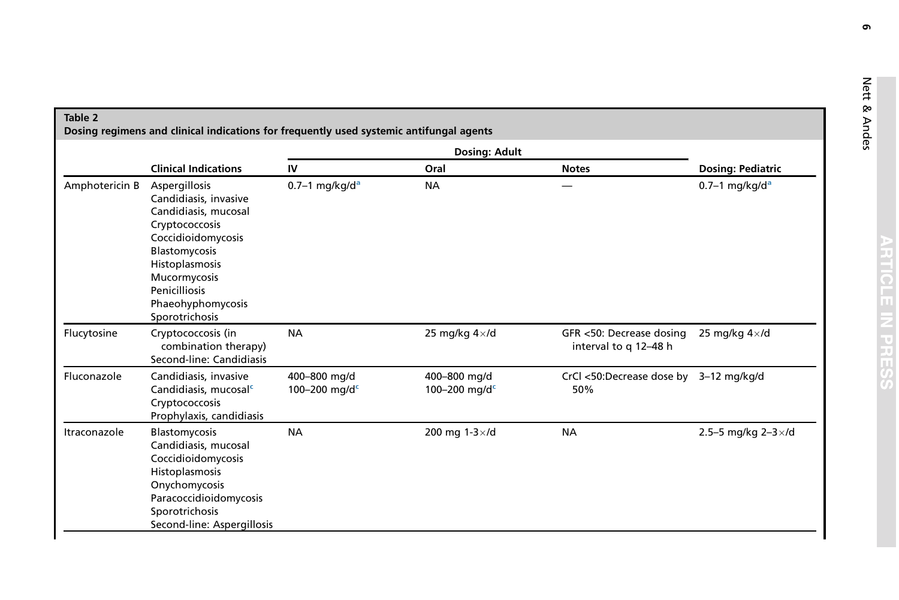<span id="page-5-0"></span>

|                | <b>Clinical Indications</b><br>Aspergillosis<br>Candidiasis, invasive<br>Candidiasis, mucosal<br>Cryptococcosis<br>Coccidioidomycosis<br>Blastomycosis<br>Histoplasmosis<br>Mucormycosis<br>Penicilliosis<br>Phaeohyphomycosis<br>Sporotrichosis |                               |                                           |                                                   |                                                          |  |
|----------------|--------------------------------------------------------------------------------------------------------------------------------------------------------------------------------------------------------------------------------------------------|-------------------------------|-------------------------------------------|---------------------------------------------------|----------------------------------------------------------|--|
|                |                                                                                                                                                                                                                                                  | IV                            | Oral                                      | <b>Notes</b>                                      | <b>Dosing: Pediatric</b><br>$0.7-1$ mg/kg/d <sup>a</sup> |  |
| Amphotericin B |                                                                                                                                                                                                                                                  | $0.7-1$ mg/kg/d <sup>a</sup>  | <b>NA</b>                                 |                                                   |                                                          |  |
| Flucytosine    | Cryptococcosis (in<br>combination therapy)<br>Second-line: Candidiasis                                                                                                                                                                           | <b>NA</b>                     | 25 mg/kg $4 \times$ /d                    | GFR <50: Decrease dosing<br>interval to q 12-48 h | 25 mg/kg $4\times$ /d                                    |  |
| Fluconazole    | Candidiasis, invasive<br>Candidiasis, mucosal <sup>c</sup><br>Cryptococcosis<br>Prophylaxis, candidiasis                                                                                                                                         | 400-800 mg/d<br>100-200 mg/dc | 400-800 mg/d<br>100-200 mg/d <sup>c</sup> | CrCl <50:Decrease dose by<br>50%                  | $3-12$ mg/kg/d                                           |  |
| Itraconazole   | Blastomycosis<br>Candidiasis, mucosal<br>Coccidioidomycosis<br>Histoplasmosis<br>Onychomycosis<br>Paracoccidioidomycosis<br>Sporotrichosis<br>Second-line: Aspergillosis                                                                         | <b>NA</b>                     | 200 mg 1-3×/d                             | <b>NA</b>                                         | 2.5-5 mg/kg $2-3 \times$ /d                              |  |

6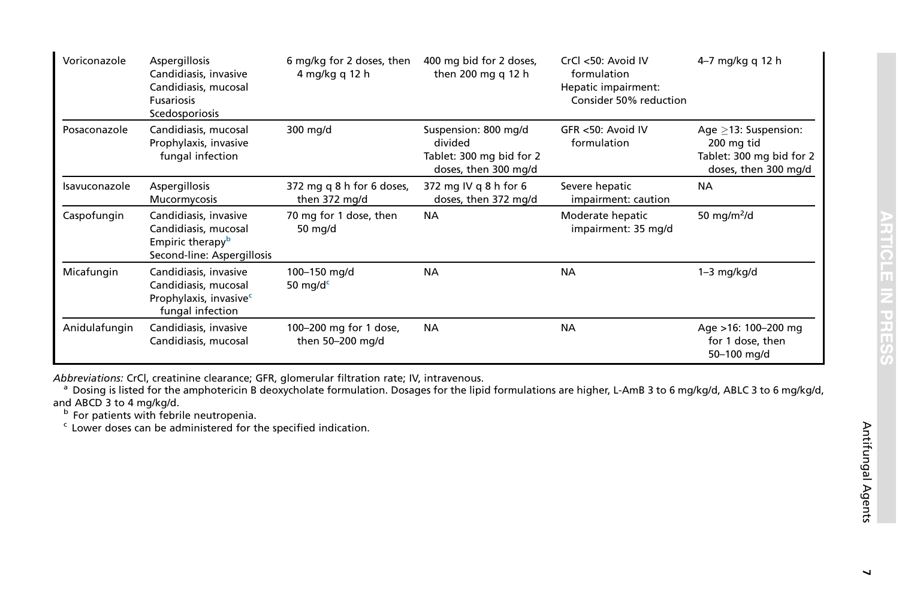<span id="page-6-0"></span>

| Voriconazole  | Aspergillosis<br>Candidiasis, invasive<br>Candidiasis, mucosal<br><b>Fusariosis</b><br>Scedosporiosis       | 6 mg/kg for 2 doses, then<br>4 mg/kg q 12 h | 400 mg bid for 2 doses,<br>then 200 mg q 12 h                                       | CrCl <50: Avoid IV<br>formulation<br>Hepatic impairment:<br>Consider 50% reduction | 4-7 mg/kg q 12 h                                                                          |
|---------------|-------------------------------------------------------------------------------------------------------------|---------------------------------------------|-------------------------------------------------------------------------------------|------------------------------------------------------------------------------------|-------------------------------------------------------------------------------------------|
| Posaconazole  | Candidiasis, mucosal<br>Prophylaxis, invasive<br>fungal infection                                           | 300 mg/d                                    | Suspension: 800 mg/d<br>divided<br>Tablet: 300 mg bid for 2<br>doses, then 300 mg/d | GFR <50: Avoid IV<br>formulation                                                   | Age $>13$ : Suspension:<br>200 mg tid<br>Tablet: 300 mg bid for 2<br>doses, then 300 mg/d |
| Isavuconazole | Aspergillosis<br>Mucormycosis                                                                               | 372 mg q 8 h for 6 doses,<br>then 372 mg/d  | 372 mg IV g 8 h for 6<br>doses, then 372 mg/d                                       | Severe hepatic<br>impairment: caution                                              | <b>NA</b>                                                                                 |
| Caspofungin   | Candidiasis, invasive<br>Candidiasis, mucosal<br>Empiric therapy <sup>b</sup><br>Second-line: Aspergillosis | 70 mg for 1 dose, then<br>50 mg/d           | <b>NA</b>                                                                           | Moderate hepatic<br>impairment: 35 mg/d                                            | 50 mg/m $^2$ /d                                                                           |
| Micafungin    | Candidiasis, invasive<br>Candidiasis, mucosal<br>Prophylaxis, invasive <sup>c</sup><br>fungal infection     | 100-150 mg/d<br>50 mg/d $c$                 | <b>NA</b>                                                                           | <b>NA</b>                                                                          | $1-3$ mg/kg/d                                                                             |
| Anidulafungin | Candidiasis, invasive<br>Candidiasis, mucosal                                                               | 100-200 mg for 1 dose,<br>then 50-200 mg/d  | <b>NA</b>                                                                           | <b>NA</b>                                                                          | Age >16: 100-200 mg<br>for 1 dose, then<br>50-100 mg/d                                    |

A*bbreviations:* CrCl, creatinine clearance; GFR, glomerular filtration rate; IV, intravenous.<br><sup>a</sup> Dosing is listed for the amphotericin B deoxycholate formulation. Dosages for the lipid formulations are higher, L-AmB 3 to

and ABCD 3 to 4 mg/kg/d.<br><sup>b</sup> For patients with febrile neutropenia.<br><sup>c</sup> Lower doses can be administered for the specified indication.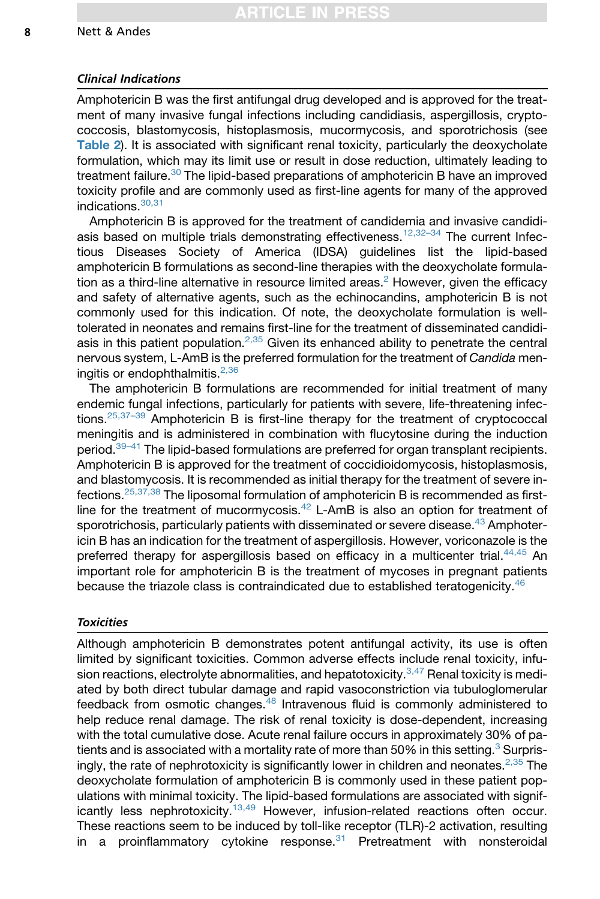#### Clinical Indications

Amphotericin B was the first antifungal drug developed and is approved for the treatment of many invasive fungal infections including candidiasis, aspergillosis, cryptococcosis, blastomycosis, histoplasmosis, mucormycosis, and sporotrichosis (see [Table 2](#page-5-0)). It is associated with significant renal toxicity, particularly the deoxycholate formulation, which may its limit use or result in dose reduction, ultimately leading to treatment failure.<sup>[30](#page-20-0)</sup> The lipid-based preparations of amphotericin B have an improved toxicity profile and are commonly used as first-line agents for many of the approved indications.[30,31](#page-20-0)

Amphotericin B is approved for the treatment of candidemia and invasive candidiasis based on multiple trials demonstrating effectiveness.<sup>12,32-34</sup> The current Infectious Diseases Society of America (IDSA) guidelines list the lipid-based amphotericin B formulations as second-line therapies with the deoxycholate formula-tion as a third-line alternative in resource limited areas.<sup>[2](#page-19-0)</sup> However, given the efficacy and safety of alternative agents, such as the echinocandins, amphotericin B is not commonly used for this indication. Of note, the deoxycholate formulation is welltolerated in neonates and remains first-line for the treatment of disseminated candidi-asis in this patient population.<sup>[2,35](#page-19-0)</sup> Given its enhanced ability to penetrate the central nervous system, L-AmB is the preferred formulation for the treatment of *Candida* men-ingitis or endophthalmitis.<sup>[2,36](#page-19-0)</sup>

The amphotericin B formulations are recommended for initial treatment of many endemic fungal infections, particularly for patients with severe, life-threatening infections.<sup>25,37-39</sup> Amphotericin B is first-line therapy for the treatment of cryptococcal meningitis and is administered in combination with flucytosine during the induction period.<sup>[39–41](#page-21-0)</sup> The lipid-based formulations are preferred for organ transplant recipients. Amphotericin B is approved for the treatment of coccidioidomycosis, histoplasmosis, and blastomycosis. It is recommended as initial therapy for the treatment of severe infections.[25,37,38](#page-20-0) The liposomal formulation of amphotericin B is recommended as firstline for the treatment of mucormycosis. $42$  L-AmB is also an option for treatment of sporotrichosis, particularly patients with disseminated or severe disease.<sup>[43](#page-21-0)</sup> Amphotericin B has an indication for the treatment of aspergillosis. However, voriconazole is the preferred therapy for aspergillosis based on efficacy in a multicenter trial. $44,45$  An important role for amphotericin B is the treatment of mycoses in pregnant patients because the triazole class is contraindicated due to established teratogenicity.<sup>[46](#page-21-0)</sup>

## **Toxicities**

Although amphotericin B demonstrates potent antifungal activity, its use is often limited by significant toxicities. Common adverse effects include renal toxicity, infu-sion reactions, electrolyte abnormalities, and hepatotoxicity.<sup>[3,47](#page-19-0)</sup> Renal toxicity is mediated by both direct tubular damage and rapid vasoconstriction via tubuloglomerular feedback from osmotic changes.<sup>[48](#page-21-0)</sup> Intravenous fluid is commonly administered to help reduce renal damage. The risk of renal toxicity is dose-dependent, increasing with the total cumulative dose. Acute renal failure occurs in approximately 30% of pa-tients and is associated with a mortality rate of more than 50% in this setting.<sup>[3](#page-19-0)</sup> Surprisingly, the rate of nephrotoxicity is significantly lower in children and neonates. $2,35$  The deoxycholate formulation of amphotericin B is commonly used in these patient populations with minimal toxicity. The lipid-based formulations are associated with signif-icantly less nephrotoxicity.<sup>[13,49](#page-19-0)</sup> However, infusion-related reactions often occur. These reactions seem to be induced by toll-like receptor (TLR)-2 activation, resulting in a proinflammatory cytokine response. $31$  Pretreatment with nonsteroidal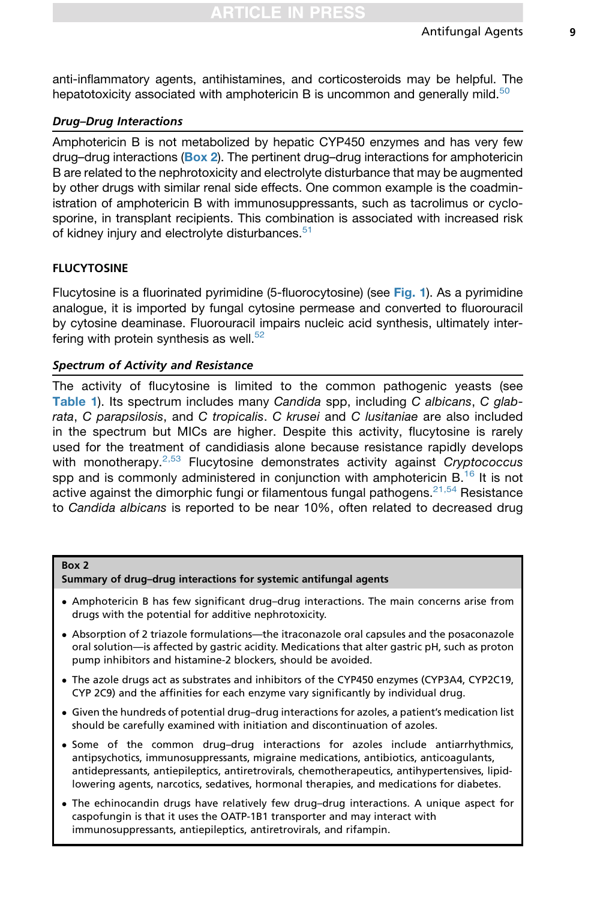<span id="page-8-0"></span>anti-inflammatory agents, antihistamines, and corticosteroids may be helpful. The hepatotoxicity associated with amphotericin B is uncommon and generally mild.<sup>[50](#page-21-0)</sup>

# Drug–Drug Interactions

Amphotericin B is not metabolized by hepatic CYP450 enzymes and has very few drug–drug interactions (Box 2). The pertinent drug–drug interactions for amphotericin B are related to the nephrotoxicity and electrolyte disturbance that may be augmented by other drugs with similar renal side effects. One common example is the coadministration of amphotericin B with immunosuppressants, such as tacrolimus or cyclosporine, in transplant recipients. This combination is associated with increased risk of kidney injury and electrolyte disturbances.<sup>[51](#page-21-0)</sup>

# FLUCYTOSINE

Flucytosine is a fluorinated pyrimidine (5-fluorocytosine) (see [Fig. 1](#page-3-0)). As a pyrimidine analogue, it is imported by fungal cytosine permease and converted to fluorouracil by cytosine deaminase. Fluorouracil impairs nucleic acid synthesis, ultimately interfering with protein synthesis as well. $52$ 

# Spectrum of Activity and Resistance

The activity of flucytosine is limited to the common pathogenic yeasts (see [Table 1](#page-4-0)). Its spectrum includes many *Candida* spp, including *C albicans*, *C glabrata*, *C parapsilosis*, and *C tropicalis*. *C krusei* and *C lusitaniae* are also included in the spectrum but MICs are higher. Despite this activity, flucytosine is rarely used for the treatment of candidiasis alone because resistance rapidly develops with monotherapy.[2,53](#page-19-0) Flucytosine demonstrates activity against *Cryptococcus* spp and is commonly administered in conjunction with amphotericin  $B<sup>16</sup>$  $B<sup>16</sup>$  $B<sup>16</sup>$  It is not active against the dimorphic fungi or filamentous fungal pathogens.<sup>[21,54](#page-20-0)</sup> Resistance to *Candida albicans* is reported to be near 10%, often related to decreased drug

### Box 2

Summary of drug–drug interactions for systemic antifungal agents

- Amphotericin B has few significant drug–drug interactions. The main concerns arise from drugs with the potential for additive nephrotoxicity.
- Absorption of 2 triazole formulations—the itraconazole oral capsules and the posaconazole oral solution—is affected by gastric acidity. Medications that alter gastric pH, such as proton pump inhibitors and histamine-2 blockers, should be avoided.
- The azole drugs act as substrates and inhibitors of the CYP450 enzymes (CYP3A4, CYP2C19, CYP 2C9) and the affinities for each enzyme vary significantly by individual drug.
- Given the hundreds of potential drug–drug interactions for azoles, a patient's medication list should be carefully examined with initiation and discontinuation of azoles.
- Some of the common drug–drug interactions for azoles include antiarrhythmics, antipsychotics, immunosuppressants, migraine medications, antibiotics, anticoagulants, antidepressants, antiepileptics, antiretrovirals, chemotherapeutics, antihypertensives, lipidlowering agents, narcotics, sedatives, hormonal therapies, and medications for diabetes.
- The echinocandin drugs have relatively few drug–drug interactions. A unique aspect for caspofungin is that it uses the OATP-1B1 transporter and may interact with immunosuppressants, antiepileptics, antiretrovirals, and rifampin.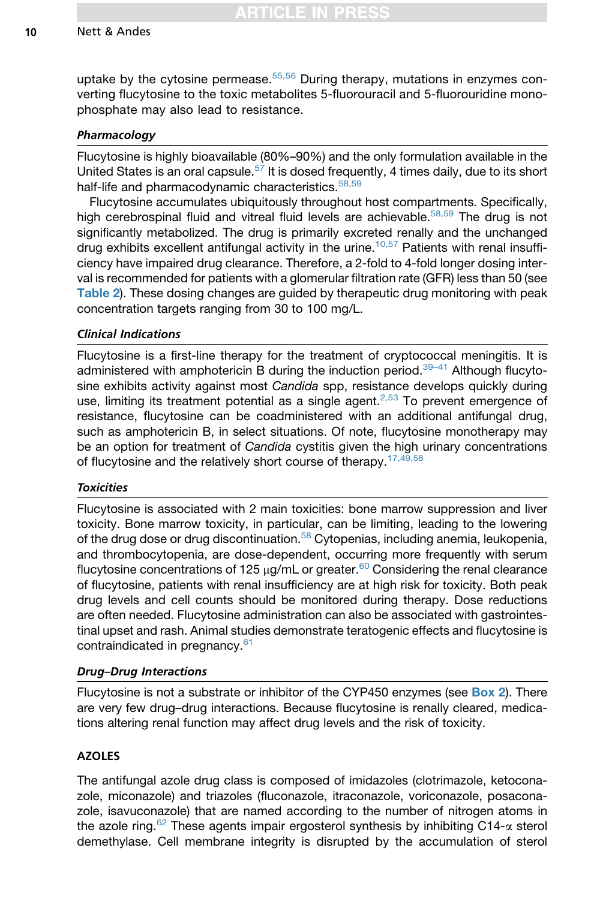uptake by the cytosine permease. $55,56$  During therapy, mutations in enzymes converting flucytosine to the toxic metabolites 5-fluorouracil and 5-fluorouridine monophosphate may also lead to resistance.

## Pharmacology

Flucytosine is highly bioavailable (80%–90%) and the only formulation available in the United States is an oral capsule.<sup>[57](#page-22-0)</sup> It is dosed frequently, 4 times daily, due to its short half-life and pharmacodynamic characteristics.<sup>[58,59](#page-22-0)</sup>

Flucytosine accumulates ubiquitously throughout host compartments. Specifically, high cerebrospinal fluid and vitreal fluid levels are achievable.<sup>[58,59](#page-22-0)</sup> The drug is not significantly metabolized. The drug is primarily excreted renally and the unchanged drug exhibits excellent antifungal activity in the urine.<sup>[10,57](#page-19-0)</sup> Patients with renal insufficiency have impaired drug clearance. Therefore, a 2-fold to 4-fold longer dosing interval is recommended for patients with a glomerular filtration rate (GFR) less than 50 (see [Table 2](#page-5-0)). These dosing changes are guided by therapeutic drug monitoring with peak concentration targets ranging from 30 to 100 mg/L.

## Clinical Indications

Flucytosine is a first-line therapy for the treatment of cryptococcal meningitis. It is administered with amphotericin B during the induction period.<sup>39-41</sup> Although flucytosine exhibits activity against most *Candida* spp, resistance develops quickly during use, limiting its treatment potential as a single agent. $2,53$  To prevent emergence of resistance, flucytosine can be coadministered with an additional antifungal drug, such as amphotericin B, in select situations. Of note, flucytosine monotherapy may be an option for treatment of *Candida* cystitis given the high urinary concentrations of flucytosine and the relatively short course of therapy.<sup>[17,49,58](#page-19-0)</sup>

### **Toxicities**

Flucytosine is associated with 2 main toxicities: bone marrow suppression and liver toxicity. Bone marrow toxicity, in particular, can be limiting, leading to the lowering of the drug dose or drug discontinuation.<sup>[58](#page-22-0)</sup> Cytopenias, including anemia, leukopenia, and thrombocytopenia, are dose-dependent, occurring more frequently with serum flucytosine concentrations of 125  $\mu$ g/mL or greater.<sup>[60](#page-22-0)</sup> Considering the renal clearance of flucytosine, patients with renal insufficiency are at high risk for toxicity. Both peak drug levels and cell counts should be monitored during therapy. Dose reductions are often needed. Flucytosine administration can also be associated with gastrointestinal upset and rash. Animal studies demonstrate teratogenic effects and flucytosine is contraindicated in pregnancy.<sup>[61](#page-22-0)</sup>

## Drug–Drug Interactions

Flucytosine is not a substrate or inhibitor of the CYP450 enzymes (see [Box 2](#page-8-0)). There are very few drug–drug interactions. Because flucytosine is renally cleared, medications altering renal function may affect drug levels and the risk of toxicity.

## AZOLES

The antifungal azole drug class is composed of imidazoles (clotrimazole, ketoconazole, miconazole) and triazoles (fluconazole, itraconazole, voriconazole, posaconazole, isavuconazole) that are named according to the number of nitrogen atoms in the azole ring.<sup>[62](#page-22-0)</sup> These agents impair ergosterol synthesis by inhibiting C14- $\alpha$  sterol demethylase. Cell membrane integrity is disrupted by the accumulation of sterol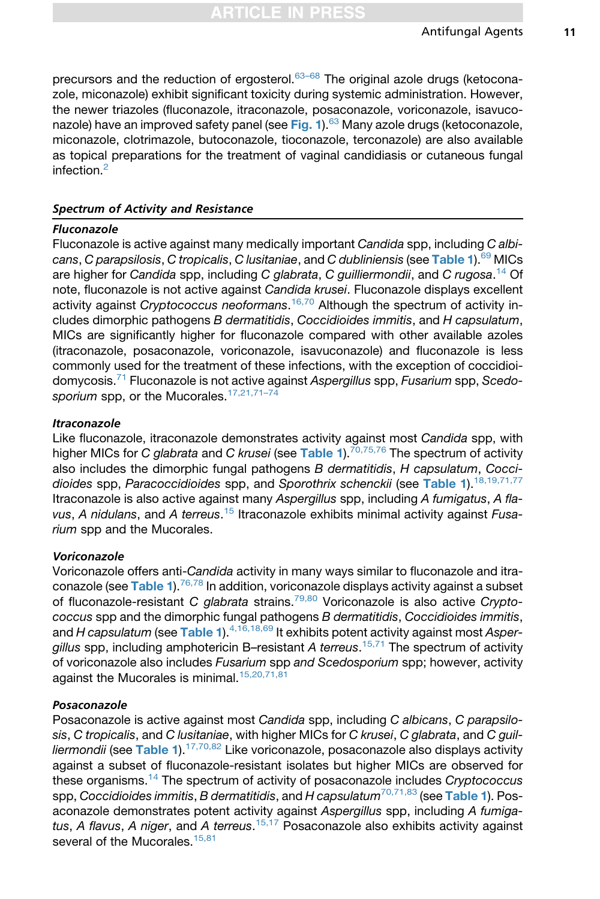precursors and the reduction of ergosterol. $63-68$  The original azole drugs (ketoconazole, miconazole) exhibit significant toxicity during systemic administration. However, the newer triazoles (fluconazole, itraconazole, posaconazole, voriconazole, isavuco-nazole) have an improved safety panel (see [Fig. 1](#page-3-0)).<sup>[63](#page-22-0)</sup> Many azole drugs (ketoconazole, miconazole, clotrimazole, butoconazole, tioconazole, terconazole) are also available as topical preparations for the treatment of vaginal candidiasis or cutaneous fungal infection.[2](#page-19-0)

## Spectrum of Activity and Resistance

## Fluconazole

Fluconazole is active against many medically important *Candida* spp, including *C albicans*, *C parapsilosis*, *C tropicalis*, *C lusitaniae*, and *C dubliniensis* (see [Table 1](#page-4-0)).[69](#page-22-0) MICs are higher for *Candida* spp, including *C glabrata*, *C guilliermondii*, and *C rugosa*. [14](#page-19-0) Of note, fluconazole is not active against *Candida krusei*. Fluconazole displays excellent activity against *Cryptococcus neoformans*. [16,70](#page-19-0) Although the spectrum of activity includes dimorphic pathogens *B dermatitidis*, *Coccidioides immitis*, and *H capsulatum*, MICs are significantly higher for fluconazole compared with other available azoles (itraconazole, posaconazole, voriconazole, isavuconazole) and fluconazole is less commonly used for the treatment of these infections, with the exception of coccidioidomycosis.[71](#page-22-0) Fluconazole is not active against *Aspergillus* spp, *Fusarium* spp, *Scedo-*sporium spp, or the Mucorales.<sup>[17,21,71–74](#page-19-0)</sup>

# Itraconazole

Like fluconazole, itraconazole demonstrates activity against most *Candida* spp, with higher MICs for *C glabrata* and *C krusei* (see [Table 1](#page-4-0))[.70,75,76](#page-22-0) The spectrum of activity also includes the dimorphic fungal pathogens *B dermatitidis*, *H capsulatum*, *Coccidioides* spp, *Paracoccidioides* spp, and *Sporothrix schenckii* (see [Table 1](#page-4-0))[.18,19,71,77](#page-20-0) Itraconazole is also active against many *Aspergillus* spp, including *A fumigatus*, *A flavus*, *A nidulans*, and *A terreus*. [15](#page-19-0) Itraconazole exhibits minimal activity against *Fusarium* spp and the Mucorales.

### Voriconazole

Voriconazole offers anti-*Candida* activity in many ways similar to fluconazole and itra-conazole (see [Table 1](#page-4-0)).<sup>[76,78](#page-23-0)</sup> In addition, voriconazole displays activity against a subset of fluconazole-resistant *C glabrata* strains.[79,80](#page-23-0) Voriconazole is also active *Cryptococcus* spp and the dimorphic fungal pathogens *B dermatitidis*, *Coccidioides immitis*, and *H* capsulatum (see [Table 1](#page-4-0)).<sup>4,16,18,69</sup> It exhibits potent activity against most *Aspergillus* spp, including amphotericin B–resistant *A terreus*. [15,71](#page-19-0) The spectrum of activity of voriconazole also includes *Fusarium* spp *and Scedosporium* spp; however, activity against the Mucorales is minimal.<sup>[15,20,71,81](#page-19-0)</sup>

### Posaconazole

Posaconazole is active against most *Candida* spp, including *C albicans*, *C parapsilosis*, *C tropicalis*, and *C lusitaniae*, with higher MICs for *C krusei*, *C glabrata*, and *C guilliermondii* (see [Table 1](#page-4-0)).[17,70,82](#page-19-0) Like voriconazole, posaconazole also displays activity against a subset of fluconazole-resistant isolates but higher MICs are observed for these organisms.[14](#page-19-0) The spectrum of activity of posaconazole includes *Cryptococcus* spp, *Coccidioides immitis*, *B dermatitidis*, and *H capsulatum*[70,71,83](#page-22-0) (see [Table 1](#page-4-0)). Posaconazole demonstrates potent activity against *Aspergillus* spp, including *A fumigatus*, *A flavus*, *A niger*, and *A terreus*. [15,17](#page-19-0) Posaconazole also exhibits activity against several of the Mucorales.<sup>[15,81](#page-19-0)</sup>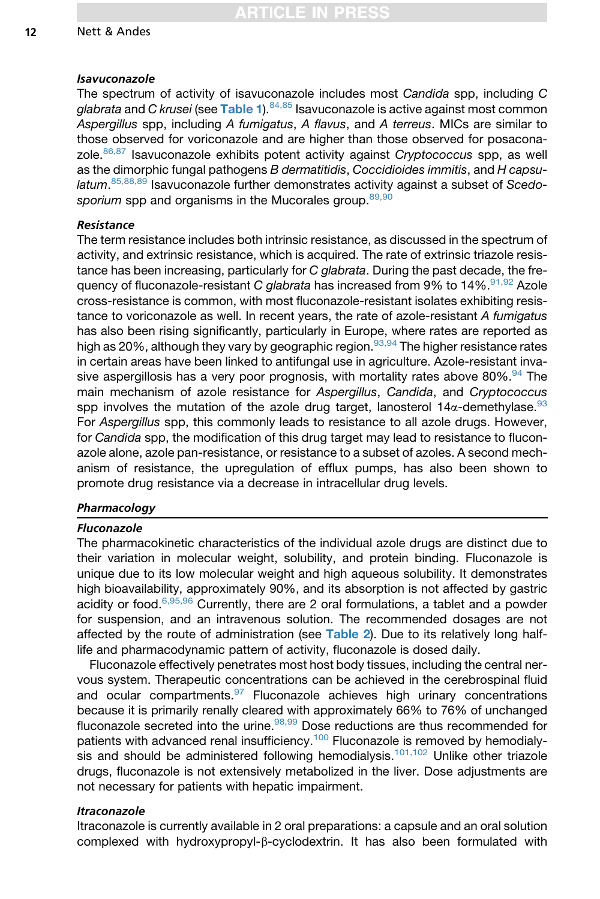#### Isavuconazole

The spectrum of activity of isavuconazole includes most *Candida* spp, including *C glabrata* and *C krusei* (see [Table 1](#page-4-0)).[84,85](#page-23-0) Isavuconazole is active against most common *Aspergillus* spp, including *A fumigatus*, *A flavus*, and *A terreus*. MICs are similar to those observed for voriconazole and are higher than those observed for posaconazole.[86,87](#page-23-0) Isavuconazole exhibits potent activity against *Cryptococcus* spp, as well as the dimorphic fungal pathogens *B dermatitidis*, *Coccidioides immitis*, and *H capsulatum*. [85,88,89](#page-23-0) Isavuconazole further demonstrates activity against a subset of *Scedo-*sporium spp and organisms in the Mucorales group.<sup>[89,90](#page-24-0)</sup>

## Resistance

The term resistance includes both intrinsic resistance, as discussed in the spectrum of activity, and extrinsic resistance, which is acquired. The rate of extrinsic triazole resistance has been increasing, particularly for *C glabrata*. During the past decade, the frequency of fluconazole-resistant *C glabrata* has increased from 9% to 14%.<sup>91,92</sup> Azole cross-resistance is common, with most fluconazole-resistant isolates exhibiting resistance to voriconazole as well. In recent years, the rate of azole-resistant *A fumigatus* has also been rising significantly, particularly in Europe, where rates are reported as high as 20%, although they vary by geographic region.<sup>93,94</sup> The higher resistance rates in certain areas have been linked to antifungal use in agriculture. Azole-resistant invasive aspergillosis has a very poor prognosis, with mortality rates above  $80\%$ .<sup>[94](#page-24-0)</sup> The main mechanism of azole resistance for *Aspergillus*, *Candida*, and *Cryptococcus* spp involves the mutation of the azole drug target, lanosterol  $14\alpha$ -demethylase.<sup>[93](#page-24-0)</sup> For *Aspergillus* spp, this commonly leads to resistance to all azole drugs. However, for *Candida* spp, the modification of this drug target may lead to resistance to fluconazole alone, azole pan-resistance, or resistance to a subset of azoles. A second mechanism of resistance, the upregulation of efflux pumps, has also been shown to promote drug resistance via a decrease in intracellular drug levels.

## Pharmacology

### Fluconazole

The pharmacokinetic characteristics of the individual azole drugs are distinct due to their variation in molecular weight, solubility, and protein binding. Fluconazole is unique due to its low molecular weight and high aqueous solubility. It demonstrates high bioavailability, approximately 90%, and its absorption is not affected by gastric acidity or food. $6,95,96$  Currently, there are 2 oral formulations, a tablet and a powder for suspension, and an intravenous solution. The recommended dosages are not affected by the route of administration (see [Table 2](#page-5-0)). Due to its relatively long halflife and pharmacodynamic pattern of activity, fluconazole is dosed daily.

Fluconazole effectively penetrates most host body tissues, including the central nervous system. Therapeutic concentrations can be achieved in the cerebrospinal fluid and ocular compartments. $97$  Fluconazole achieves high urinary concentrations because it is primarily renally cleared with approximately 66% to 76% of unchanged fluconazole secreted into the urine. $98,99$  Dose reductions are thus recommended for patients with advanced renal insufficiency.<sup>[100](#page-24-0)</sup> Fluconazole is removed by hemodialy-sis and should be administered following hemodialysis.<sup>[101,102](#page-24-0)</sup> Unlike other triazole drugs, fluconazole is not extensively metabolized in the liver. Dose adjustments are not necessary for patients with hepatic impairment.

### Itraconazole

Itraconazole is currently available in 2 oral preparations: a capsule and an oral solution complexed with hydroxypropyl- $\beta$ -cyclodextrin. It has also been formulated with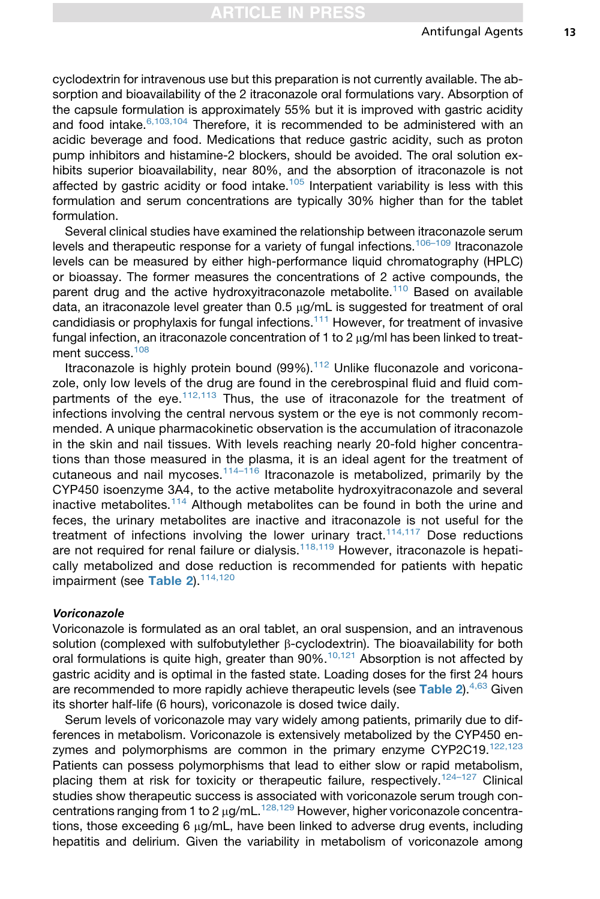cyclodextrin for intravenous use but this preparation is not currently available. The absorption and bioavailability of the 2 itraconazole oral formulations vary. Absorption of the capsule formulation is approximately 55% but it is improved with gastric acidity and food intake. $6,103,104$  Therefore, it is recommended to be administered with an acidic beverage and food. Medications that reduce gastric acidity, such as proton pump inhibitors and histamine-2 blockers, should be avoided. The oral solution exhibits superior bioavailability, near 80%, and the absorption of itraconazole is not affected by gastric acidity or food intake.<sup>[105](#page-24-0)</sup> Interpatient variability is less with this formulation and serum concentrations are typically 30% higher than for the tablet formulation.

Several clinical studies have examined the relationship between itraconazole serum levels and therapeutic response for a variety of fungal infections.<sup>106-109</sup> Itraconazole levels can be measured by either high-performance liquid chromatography (HPLC) or bioassay. The former measures the concentrations of 2 active compounds, the parent drug and the active hydroxyitraconazole metabolite.<sup>[110](#page-25-0)</sup> Based on available data, an itraconazole level greater than 0.5 µg/mL is suggested for treatment of oral candidiasis or prophylaxis for fungal infections.<sup>[111](#page-25-0)</sup> However, for treatment of invasive fungal infection, an itraconazole concentration of 1 to 2  $\mu$ g/ml has been linked to treat-ment success.<sup>[108](#page-25-0)</sup>

Itraconazole is highly protein bound  $(99\%)$ .<sup>[112](#page-25-0)</sup> Unlike fluconazole and voriconazole, only low levels of the drug are found in the cerebrospinal fluid and fluid com-partments of the eye.<sup>[112,113](#page-25-0)</sup> Thus, the use of itraconazole for the treatment of infections involving the central nervous system or the eye is not commonly recommended. A unique pharmacokinetic observation is the accumulation of itraconazole in the skin and nail tissues. With levels reaching nearly 20-fold higher concentrations than those measured in the plasma, it is an ideal agent for the treatment of cutaneous and nail mycoses.<sup>[114–116](#page-25-0)</sup> Itraconazole is metabolized, primarily by the CYP450 isoenzyme 3A4, to the active metabolite hydroxyitraconazole and several inactive metabolites.<sup>[114](#page-25-0)</sup> Although metabolites can be found in both the urine and feces, the urinary metabolites are inactive and itraconazole is not useful for the treatment of infections involving the lower urinary tract.<sup>[114,117](#page-25-0)</sup> Dose reductions are not required for renal failure or dialysis.<sup>[118,119](#page-25-0)</sup> However, itraconazole is hepatically metabolized and dose reduction is recommended for patients with hepatic impairment (see [Table 2](#page-5-0)).<sup>[114,120](#page-25-0)</sup>

#### Voriconazole

Voriconazole is formulated as an oral tablet, an oral suspension, and an intravenous solution (complexed with sulfobutylether  $\beta$ -cyclodextrin). The bioavailability for both oral formulations is quite high, greater than  $90\%$ .<sup>[10,121](#page-19-0)</sup> Absorption is not affected by gastric acidity and is optimal in the fasted state. Loading doses for the first 24 hours are recommended to more rapidly achieve therapeutic levels (see [Table 2](#page-5-0)). $4,63$  Given its shorter half-life (6 hours), voriconazole is dosed twice daily.

Serum levels of voriconazole may vary widely among patients, primarily due to differences in metabolism. Voriconazole is extensively metabolized by the CYP450 en-zymes and polymorphisms are common in the primary enzyme CYP2C19.[122,123](#page-25-0) Patients can possess polymorphisms that lead to either slow or rapid metabolism, placing them at risk for toxicity or therapeutic failure, respectively.<sup>124-127</sup> Clinical studies show therapeutic success is associated with voriconazole serum trough concentrations ranging from 1 to 2  $\mu$ g/mL.<sup>[128,129](#page-26-0)</sup> However, higher voriconazole concentrations, those exceeding 6  $\mu$ g/mL, have been linked to adverse drug events, including hepatitis and delirium. Given the variability in metabolism of voriconazole among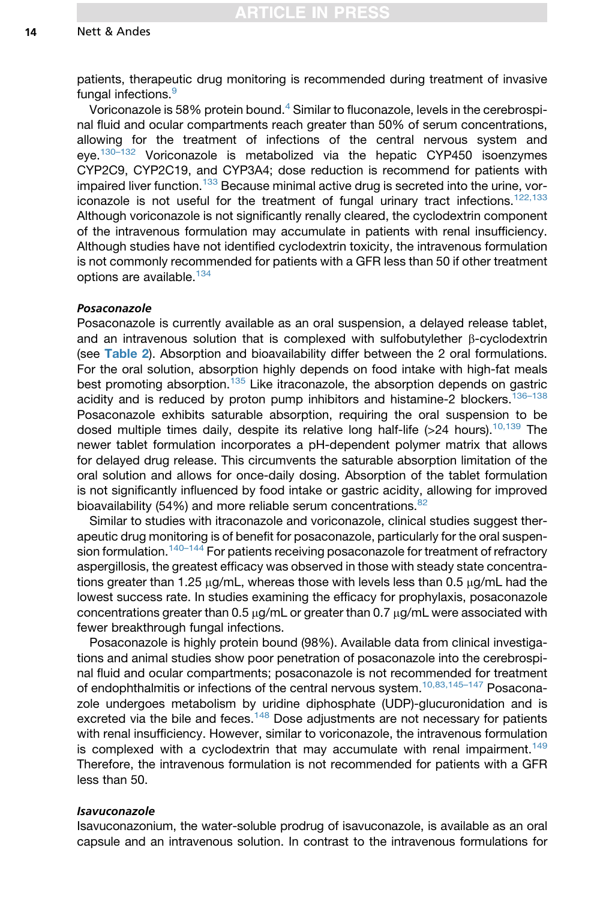patients, therapeutic drug monitoring is recommended during treatment of invasive fungal infections.<sup>[9](#page-19-0)</sup>

Voriconazole is 58% protein bound.<sup>[4](#page-19-0)</sup> Similar to fluconazole, levels in the cerebrospinal fluid and ocular compartments reach greater than 50% of serum concentrations, allowing for the treatment of infections of the central nervous system and eye.[130–132](#page-26-0) Voriconazole is metabolized via the hepatic CYP450 isoenzymes CYP2C9, CYP2C19, and CYP3A4; dose reduction is recommend for patients with impaired liver function.<sup>[133](#page-26-0)</sup> Because minimal active drug is secreted into the urine, vor-iconazole is not useful for the treatment of fungal urinary tract infections.<sup>[122,133](#page-25-0)</sup> Although voriconazole is not significantly renally cleared, the cyclodextrin component of the intravenous formulation may accumulate in patients with renal insufficiency. Although studies have not identified cyclodextrin toxicity, the intravenous formulation is not commonly recommended for patients with a GFR less than 50 if other treatment options are available.<sup>[134](#page-26-0)</sup>

#### Posaconazole

Posaconazole is currently available as an oral suspension, a delayed release tablet, and an intravenous solution that is complexed with sulfobutylether  $\beta$ -cyclodextrin (see [Table 2](#page-5-0)). Absorption and bioavailability differ between the 2 oral formulations. For the oral solution, absorption highly depends on food intake with high-fat meals best promoting absorption.<sup>[135](#page-26-0)</sup> Like itraconazole, the absorption depends on gastric acidity and is reduced by proton pump inhibitors and histamine-2 blockers.<sup>136-138</sup> Posaconazole exhibits saturable absorption, requiring the oral suspension to be dosed multiple times daily, despite its relative long half-life ( $>24$  hours).<sup>[10,139](#page-19-0)</sup> The newer tablet formulation incorporates a pH-dependent polymer matrix that allows for delayed drug release. This circumvents the saturable absorption limitation of the oral solution and allows for once-daily dosing. Absorption of the tablet formulation is not significantly influenced by food intake or gastric acidity, allowing for improved bioavailability (54%) and more reliable serum concentrations. $82$ 

Similar to studies with itraconazole and voriconazole, clinical studies suggest therapeutic drug monitoring is of benefit for posaconazole, particularly for the oral suspen-sion formulation.<sup>[140–144](#page-26-0)</sup> For patients receiving posaconazole for treatment of refractory aspergillosis, the greatest efficacy was observed in those with steady state concentrations greater than 1.25  $\mu$ g/mL, whereas those with levels less than 0.5  $\mu$ g/mL had the lowest success rate. In studies examining the efficacy for prophylaxis, posaconazole concentrations greater than  $0.5 \mu g/mL$  or greater than  $0.7 \mu g/mL$  were associated with fewer breakthrough fungal infections.

Posaconazole is highly protein bound (98%). Available data from clinical investigations and animal studies show poor penetration of posaconazole into the cerebrospinal fluid and ocular compartments; posaconazole is not recommended for treatment of endophthalmitis or infections of the central nervous system.<sup>10,83,145-147</sup> Posaconazole undergoes metabolism by uridine diphosphate (UDP)-glucuronidation and is excreted via the bile and feces. $148$  Dose adjustments are not necessary for patients with renal insufficiency. However, similar to voriconazole, the intravenous formulation is complexed with a cyclodextrin that may accumulate with renal impairment.<sup>[149](#page-27-0)</sup> Therefore, the intravenous formulation is not recommended for patients with a GFR less than 50.

#### Isavuconazole

Isavuconazonium, the water-soluble prodrug of isavuconazole, is available as an oral capsule and an intravenous solution. In contrast to the intravenous formulations for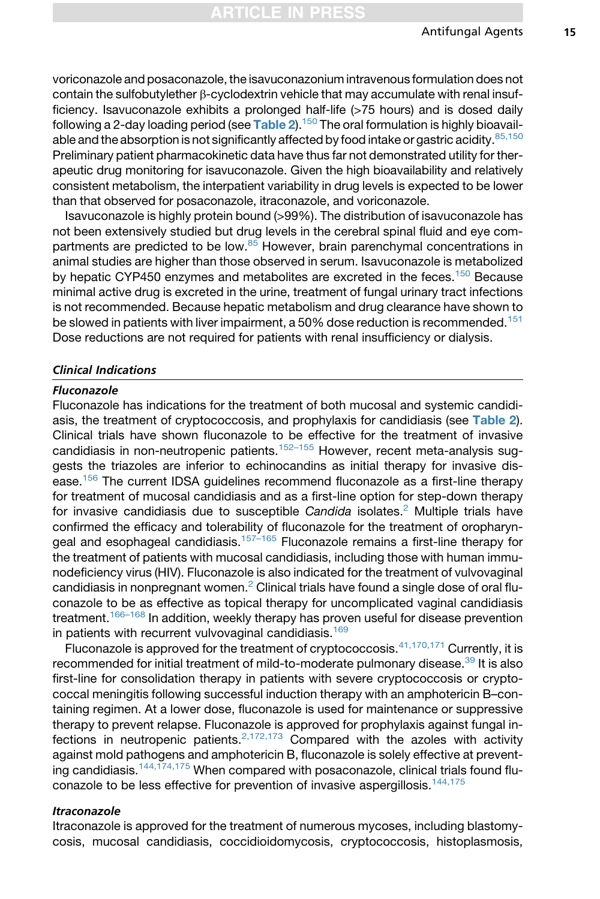voriconazole and posaconazole, the isavuconazonium intravenous formulation does not contain the sulfobutylether  $\beta$ -cyclodextrin vehicle that may accumulate with renal insufficiency. Isavuconazole exhibits a prolonged half-life (>75 hours) and is dosed daily following a 2-day loading period (see [Table 2](#page-5-0)).<sup>150</sup> The oral formulation is highly bioavailable and the absorption is not significantly affected by food intake or gastric acidity.  $85,150$ Preliminary patient pharmacokinetic data have thus far not demonstrated utility for therapeutic drug monitoring for isavuconazole. Given the high bioavailability and relatively consistent metabolism, the interpatient variability in drug levels is expected to be lower than that observed for posaconazole, itraconazole, and voriconazole.

Isavuconazole is highly protein bound (>99%). The distribution of isavuconazole has not been extensively studied but drug levels in the cerebral spinal fluid and eye com-partments are predicted to be low.<sup>[85](#page-23-0)</sup> However, brain parenchymal concentrations in animal studies are higher than those observed in serum. Isavuconazole is metabolized by hepatic CYP450 enzymes and metabolites are excreted in the feces.<sup>[150](#page-27-0)</sup> Because minimal active drug is excreted in the urine, treatment of fungal urinary tract infections is not recommended. Because hepatic metabolism and drug clearance have shown to be slowed in patients with liver impairment, a 50% dose reduction is recommended.<sup>[151](#page-27-0)</sup> Dose reductions are not required for patients with renal insufficiency or dialysis.

#### Clinical Indications

## Fluconazole

Fluconazole has indications for the treatment of both mucosal and systemic candidiasis, the treatment of cryptococcosis, and prophylaxis for candidiasis (see [Table 2](#page-5-0)). Clinical trials have shown fluconazole to be effective for the treatment of invasive candidiasis in non-neutropenic patients.<sup>[152–155](#page-27-0)</sup> However, recent meta-analysis suggests the triazoles are inferior to echinocandins as initial therapy for invasive disease[.156](#page-27-0) The current IDSA guidelines recommend fluconazole as a first-line therapy for treatment of mucosal candidiasis and as a first-line option for step-down therapy for invasive candidiasis due to susceptible *Candida* isolates.[2](#page-19-0) Multiple trials have confirmed the efficacy and tolerability of fluconazole for the treatment of oropharyn-geal and esophageal candidiasis.<sup>[157–165](#page-27-0)</sup> Fluconazole remains a first-line therapy for the treatment of patients with mucosal candidiasis, including those with human immunodeficiency virus (HIV). Fluconazole is also indicated for the treatment of vulvovaginal candidiasis in nonpregnant women.<sup>[2](#page-19-0)</sup> Clinical trials have found a single dose of oral fluconazole to be as effective as topical therapy for uncomplicated vaginal candidiasis treatment.<sup>[166–168](#page-28-0)</sup> In addition, weekly therapy has proven useful for disease prevention in patients with recurrent vulvovaginal candidiasis.<sup>[169](#page-28-0)</sup>

Fluconazole is approved for the treatment of cryptococcosis.<sup>[41,170,171](#page-21-0)</sup> Currently. it is recommended for initial treatment of mild-to-moderate pulmonary disease.<sup>[39](#page-21-0)</sup> It is also first-line for consolidation therapy in patients with severe cryptococcosis or cryptococcal meningitis following successful induction therapy with an amphotericin B–containing regimen. At a lower dose, fluconazole is used for maintenance or suppressive therapy to prevent relapse. Fluconazole is approved for prophylaxis against fungal infections in neutropenic patients. $2,172,173$  Compared with the azoles with activity against mold pathogens and amphotericin B, fluconazole is solely effective at prevent-ing candidiasis.<sup>[144,174,175](#page-27-0)</sup> When compared with posaconazole, clinical trials found flu-conazole to be less effective for prevention of invasive aspergillosis.<sup>[144,175](#page-27-0)</sup>

## Itraconazole

Itraconazole is approved for the treatment of numerous mycoses, including blastomycosis, mucosal candidiasis, coccidioidomycosis, cryptococcosis, histoplasmosis,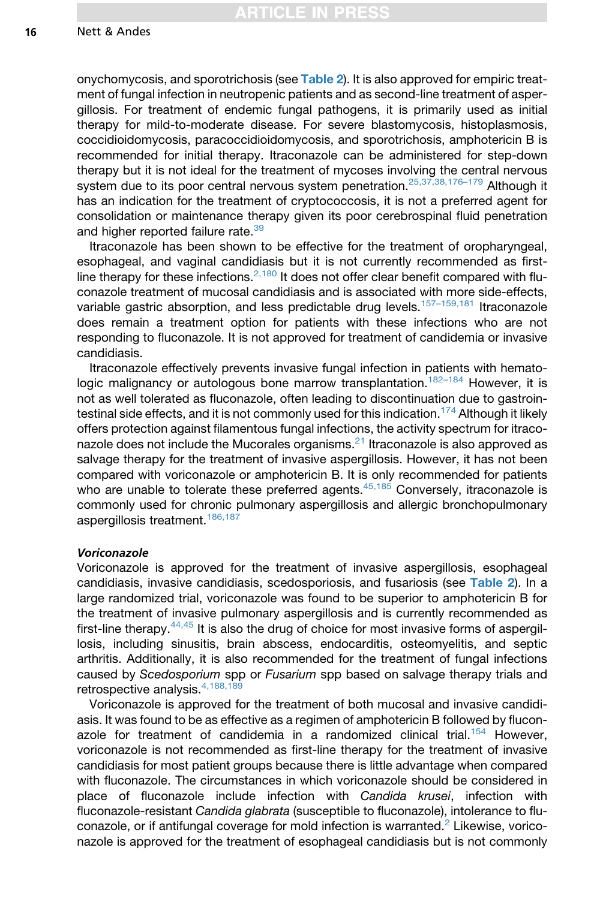onychomycosis, and sporotrichosis (see **[Table 2](#page-5-0))**. It is also approved for empiric treatment of fungal infection in neutropenic patients and as second-line treatment of aspergillosis. For treatment of endemic fungal pathogens, it is primarily used as initial therapy for mild-to-moderate disease. For severe blastomycosis, histoplasmosis, coccidioidomycosis, paracoccidioidomycosis, and sporotrichosis, amphotericin B is recommended for initial therapy. Itraconazole can be administered for step-down therapy but it is not ideal for the treatment of mycoses involving the central nervous system due to its poor central nervous system penetration.<sup>25,37,38,176-179</sup> Although it has an indication for the treatment of cryptococcosis, it is not a preferred agent for consolidation or maintenance therapy given its poor cerebrospinal fluid penetration and higher reported failure rate.<sup>[39](#page-21-0)</sup>

Itraconazole has been shown to be effective for the treatment of oropharyngeal, esophageal, and vaginal candidiasis but it is not currently recommended as firstline therapy for these infections.  $2,180$  It does not offer clear benefit compared with fluconazole treatment of mucosal candidiasis and is associated with more side-effects, variable gastric absorption, and less predictable drug levels.<sup>157-159,181</sup> Itraconazole does remain a treatment option for patients with these infections who are not responding to fluconazole. It is not approved for treatment of candidemia or invasive candidiasis.

Itraconazole effectively prevents invasive fungal infection in patients with hematologic malignancy or autologous bone marrow transplantation.<sup>182-184</sup> However, it is not as well tolerated as fluconazole, often leading to discontinuation due to gastroin-testinal side effects, and it is not commonly used for this indication.<sup>[174](#page-29-0)</sup> Although it likely offers protection against filamentous fungal infections, the activity spectrum for itraconazole does not include the Mucorales organisms. $21$  Itraconazole is also approved as salvage therapy for the treatment of invasive aspergillosis. However, it has not been compared with voriconazole or amphotericin B. It is only recommended for patients who are unable to tolerate these preferred agents.<sup>[45,185](#page-21-0)</sup> Conversely, itraconazole is commonly used for chronic pulmonary aspergillosis and allergic bronchopulmonary aspergillosis treatment.<sup>[186,187](#page-29-0)</sup>

## Voriconazole

Voriconazole is approved for the treatment of invasive aspergillosis, esophageal candidiasis, invasive candidiasis, scedosporiosis, and fusariosis (see [Table 2](#page-5-0)). In a large randomized trial, voriconazole was found to be superior to amphotericin B for the treatment of invasive pulmonary aspergillosis and is currently recommended as first-line therapy.  $44,45$  It is also the drug of choice for most invasive forms of aspergillosis, including sinusitis, brain abscess, endocarditis, osteomyelitis, and septic arthritis. Additionally, it is also recommended for the treatment of fungal infections caused by *Scedosporium* spp or *Fusarium* spp based on salvage therapy trials and retrospective analysis.[4,188,189](#page-19-0)

Voriconazole is approved for the treatment of both mucosal and invasive candidiasis. It was found to be as effective as a regimen of amphotericin B followed by flucon-azole for treatment of candidemia in a randomized clinical trial.<sup>[154](#page-27-0)</sup> However, voriconazole is not recommended as first-line therapy for the treatment of invasive candidiasis for most patient groups because there is little advantage when compared with fluconazole. The circumstances in which voriconazole should be considered in place of fluconazole include infection with *Candida krusei*, infection with fluconazole-resistant *Candida glabrata* (susceptible to fluconazole), intolerance to fluconazole, or if antifungal coverage for mold infection is warranted. $2$  Likewise, voriconazole is approved for the treatment of esophageal candidiasis but is not commonly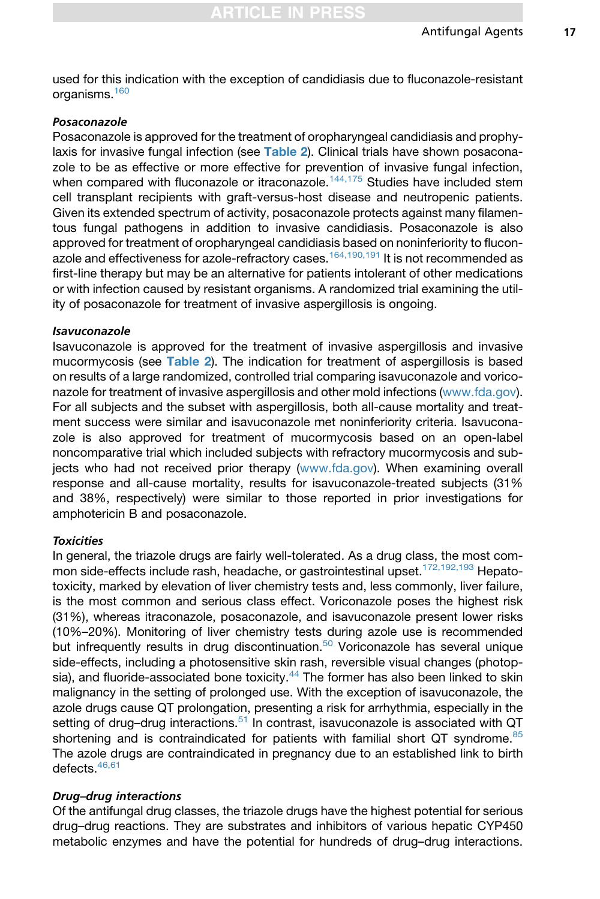used for this indication with the exception of candidiasis due to fluconazole-resistant organisms.[160](#page-28-0)

## Posaconazole

Posaconazole is approved for the treatment of oropharyngeal candidiasis and prophy-laxis for invasive fungal infection (see [Table 2](#page-5-0)). Clinical trials have shown posaconazole to be as effective or more effective for prevention of invasive fungal infection, when compared with fluconazole or itraconazole.<sup>[144,175](#page-27-0)</sup> Studies have included stem cell transplant recipients with graft-versus-host disease and neutropenic patients. Given its extended spectrum of activity, posaconazole protects against many filamentous fungal pathogens in addition to invasive candidiasis. Posaconazole is also approved for treatment of oropharyngeal candidiasis based on noninferiority to flucon-azole and effectiveness for azole-refractory cases.<sup>[164,190,191](#page-28-0)</sup> It is not recommended as first-line therapy but may be an alternative for patients intolerant of other medications or with infection caused by resistant organisms. A randomized trial examining the utility of posaconazole for treatment of invasive aspergillosis is ongoing.

### Isavuconazole

Isavuconazole is approved for the treatment of invasive aspergillosis and invasive mucormycosis (see [Table 2](#page-5-0)). The indication for treatment of aspergillosis is based on results of a large randomized, controlled trial comparing isavuconazole and voriconazole for treatment of invasive aspergillosis and other mold infections ([www.fda.gov\)](http://www.fda.gov). For all subjects and the subset with aspergillosis, both all-cause mortality and treatment success were similar and isavuconazole met noninferiority criteria. Isavuconazole is also approved for treatment of mucormycosis based on an open-label noncomparative trial which included subjects with refractory mucormycosis and subjects who had not received prior therapy ([www.fda.gov\)](http://www.fda.gov). When examining overall response and all-cause mortality, results for isavuconazole-treated subjects (31% and 38%, respectively) were similar to those reported in prior investigations for amphotericin B and posaconazole.

## **Toxicities**

In general, the triazole drugs are fairly well-tolerated. As a drug class, the most com-mon side-effects include rash, headache, or gastrointestinal upset.<sup>[172,192,193](#page-28-0)</sup> Hepatotoxicity, marked by elevation of liver chemistry tests and, less commonly, liver failure, is the most common and serious class effect. Voriconazole poses the highest risk (31%), whereas itraconazole, posaconazole, and isavuconazole present lower risks (10%–20%). Monitoring of liver chemistry tests during azole use is recommended but infrequently results in drug discontinuation.<sup>[50](#page-21-0)</sup> Voriconazole has several unique side-effects, including a photosensitive skin rash, reversible visual changes (photop-sia), and fluoride-associated bone toxicity.<sup>[44](#page-21-0)</sup> The former has also been linked to skin malignancy in the setting of prolonged use. With the exception of isavuconazole, the azole drugs cause QT prolongation, presenting a risk for arrhythmia, especially in the setting of drug-drug interactions.<sup>[51](#page-21-0)</sup> In contrast, isavuconazole is associated with QT shortening and is contraindicated for patients with familial short QT syndrome. $85$ The azole drugs are contraindicated in pregnancy due to an established link to birth defects.[46,61](#page-21-0)

### Drug–drug interactions

Of the antifungal drug classes, the triazole drugs have the highest potential for serious drug–drug reactions. They are substrates and inhibitors of various hepatic CYP450 metabolic enzymes and have the potential for hundreds of drug–drug interactions.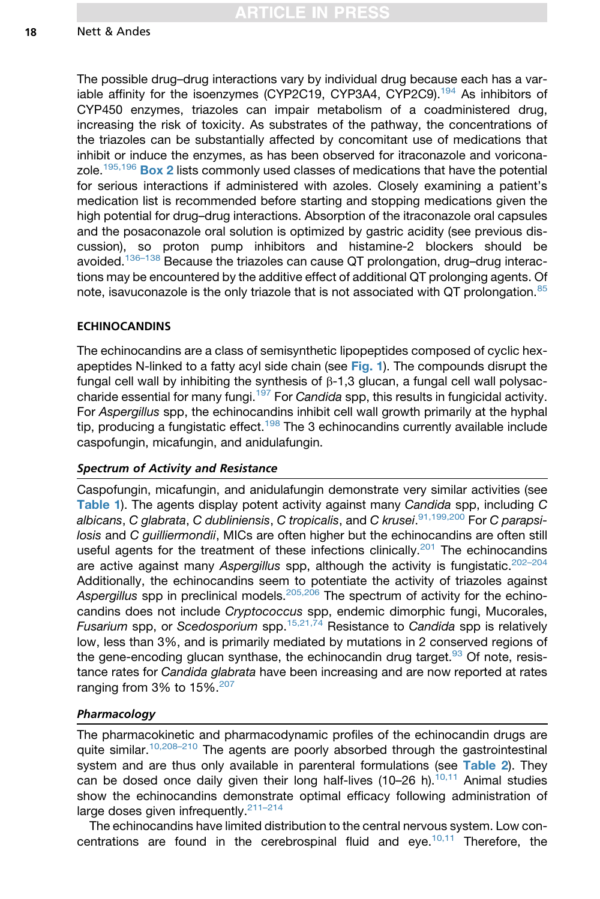The possible drug–drug interactions vary by individual drug because each has a variable affinity for the isoenzymes (CYP2C19, CYP3A4, CYP2C9).<sup>194</sup> As inhibitors of CYP450 enzymes, triazoles can impair metabolism of a coadministered drug, increasing the risk of toxicity. As substrates of the pathway, the concentrations of the triazoles can be substantially affected by concomitant use of medications that inhibit or induce the enzymes, as has been observed for itraconazole and voricona-zole.<sup>[195,196](#page-30-0)</sup> [Box 2](#page-8-0) lists commonly used classes of medications that have the potential for serious interactions if administered with azoles. Closely examining a patient's medication list is recommended before starting and stopping medications given the high potential for drug–drug interactions. Absorption of the itraconazole oral capsules and the posaconazole oral solution is optimized by gastric acidity (see previous discussion), so proton pump inhibitors and histamine-2 blockers should be avoided.<sup>[136–138](#page-26-0)</sup> Because the triazoles can cause QT prolongation, drug–drug interactions may be encountered by the additive effect of additional QT prolonging agents. Of note, isavuconazole is the only triazole that is not associated with QT prolongation.<sup>[85](#page-23-0)</sup>

# ECHINOCANDINS

The echinocandins are a class of semisynthetic lipopeptides composed of cyclic hexapeptides N-linked to a fatty acyl side chain (see [Fig. 1](#page-3-0)). The compounds disrupt the fungal cell wall by inhibiting the synthesis of  $\beta$ -1,3 glucan, a fungal cell wall polysaccharide essential for many fungi.[197](#page-30-0) For *Candida* spp, this results in fungicidal activity. For *Aspergillus* spp, the echinocandins inhibit cell wall growth primarily at the hyphal tip, producing a fungistatic effect.<sup>[198](#page-30-0)</sup> The 3 echinocandins currently available include caspofungin, micafungin, and anidulafungin.

# Spectrum of Activity and Resistance

Caspofungin, micafungin, and anidulafungin demonstrate very similar activities (see [Table 1](#page-4-0)). The agents display potent activity against many *Candida* spp, including *<sup>C</sup> albicans*, *C glabrata*, *C dubliniensis*, *C tropicalis*, and *C krusei*. [91,199,200](#page-24-0) For *C parapsilosis* and *C guilliermondii*, MICs are often higher but the echinocandins are often still useful agents for the treatment of these infections clinically.<sup>[201](#page-30-0)</sup> The echinocandins are active against many Aspergillus spp, although the activity is fungistatic.<sup>202-204</sup> Additionally, the echinocandins seem to potentiate the activity of triazoles against *Aspergillus* spp in preclinical models.[205,206](#page-30-0) The spectrum of activity for the echinocandins does not include *Cryptococcus* spp, endemic dimorphic fungi, Mucorales, *Fusarium* spp, or *Scedosporium* spp.[15,21,74](#page-19-0) Resistance to *Candida* spp is relatively low, less than 3%, and is primarily mediated by mutations in 2 conserved regions of the gene-encoding glucan synthase, the echinocandin drug target. $93$  Of note, resistance rates for *Candida glabrata* have been increasing and are now reported at rates ranging from 3% to  $15\%$ .<sup>[207](#page-30-0)</sup>

# Pharmacology

The pharmacokinetic and pharmacodynamic profiles of the echinocandin drugs are quite similar.<sup>10,208-210</sup> The agents are poorly absorbed through the gastrointestinal system and are thus only available in parenteral formulations (see [Table 2](#page-5-0)). They can be dosed once daily given their long half-lives (10–26 h).<sup>[10,11](#page-19-0)</sup> Animal studies show the echinocandins demonstrate optimal efficacy following administration of large doses given infrequently.<sup>211-214</sup>

The echinocandins have limited distribution to the central nervous system. Low con-centrations are found in the cerebrospinal fluid and eye.<sup>[10,11](#page-19-0)</sup> Therefore, the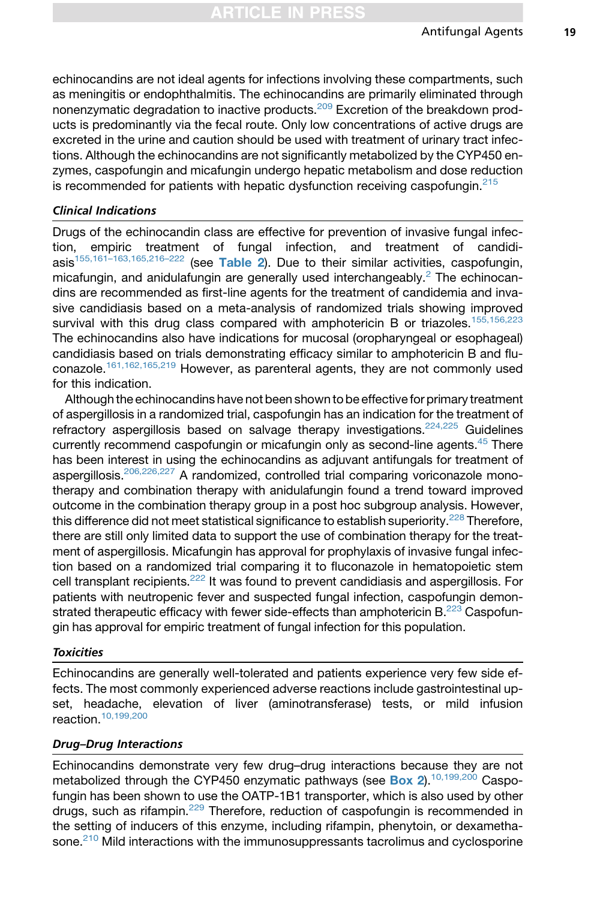echinocandins are not ideal agents for infections involving these compartments, such as meningitis or endophthalmitis. The echinocandins are primarily eliminated through nonenzymatic degradation to inactive products.<sup>[209](#page-31-0)</sup> Excretion of the breakdown products is predominantly via the fecal route. Only low concentrations of active drugs are excreted in the urine and caution should be used with treatment of urinary tract infections. Although the echinocandins are not significantly metabolized by the CYP450 enzymes, caspofungin and micafungin undergo hepatic metabolism and dose reduction is recommended for patients with hepatic dysfunction receiving caspofungin. $215$ 

# Clinical Indications

Drugs of the echinocandin class are effective for prevention of invasive fungal infection, empiric treatment of fungal infection, and treatment of candidi $a$ sis<sup>[155,161–163,165,216–222](#page-27-0)</sup> (see [Table 2](#page-5-0)). Due to their similar activities, caspofungin, micafungin, and anidulafungin are generally used interchangeably.<sup>[2](#page-19-0)</sup> The echinocandins are recommended as first-line agents for the treatment of candidemia and invasive candidiasis based on a meta-analysis of randomized trials showing improved survival with this drug class compared with amphotericin B or triazoles.<sup>[155,156,223](#page-27-0)</sup> The echinocandins also have indications for mucosal (oropharyngeal or esophageal) candidiasis based on trials demonstrating efficacy similar to amphotericin B and fluconazole.[161,162,165,219](#page-28-0) However, as parenteral agents, they are not commonly used for this indication.

Although the echinocandins have not been shown to be effectivefor primary treatment of aspergillosis in a randomized trial, caspofungin has an indication for the treatment of refractory aspergillosis based on salvage therapy investigations.<sup>224,225</sup> Guidelines currently recommend caspofungin or micafungin only as second-line agents.<sup>[45](#page-21-0)</sup> There has been interest in using the echinocandins as adjuvant antifungals for treatment of aspergillosis.<sup>206,226,227</sup> A randomized, controlled trial comparing voriconazole monotherapy and combination therapy with anidulafungin found a trend toward improved outcome in the combination therapy group in a post hoc subgroup analysis. However, this difference did not meet statistical significance to establish superiority.<sup>228</sup> Therefore, there are still only limited data to support the use of combination therapy for the treatment of aspergillosis. Micafungin has approval for prophylaxis of invasive fungal infection based on a randomized trial comparing it to fluconazole in hematopoietic stem cell transplant recipients.<sup>[222](#page-31-0)</sup> It was found to prevent candidiasis and aspergillosis. For patients with neutropenic fever and suspected fungal infection, caspofungin demonstrated therapeutic efficacy with fewer side-effects than amphotericin  $B^{223}$  $B^{223}$  $B^{223}$  Caspofungin has approval for empiric treatment of fungal infection for this population.

### **Toxicities**

Echinocandins are generally well-tolerated and patients experience very few side effects. The most commonly experienced adverse reactions include gastrointestinal upset, headache, elevation of liver (aminotransferase) tests, or mild infusion reaction.<sup>[10,199,200](#page-19-0)</sup>

## Drug–Drug Interactions

Echinocandins demonstrate very few drug–drug interactions because they are not metabolized through the CYP450 enzymatic pathways (see **[Box 2](#page-8-0)).**<sup>[10,199,200](#page-19-0)</sup> Caspofungin has been shown to use the OATP-1B1 transporter, which is also used by other drugs, such as rifampin.<sup>[229](#page-32-0)</sup> Therefore, reduction of caspofungin is recommended in the setting of inducers of this enzyme, including rifampin, phenytoin, or dexametha-sone.<sup>[210](#page-31-0)</sup> Mild interactions with the immunosuppressants tacrolimus and cyclosporine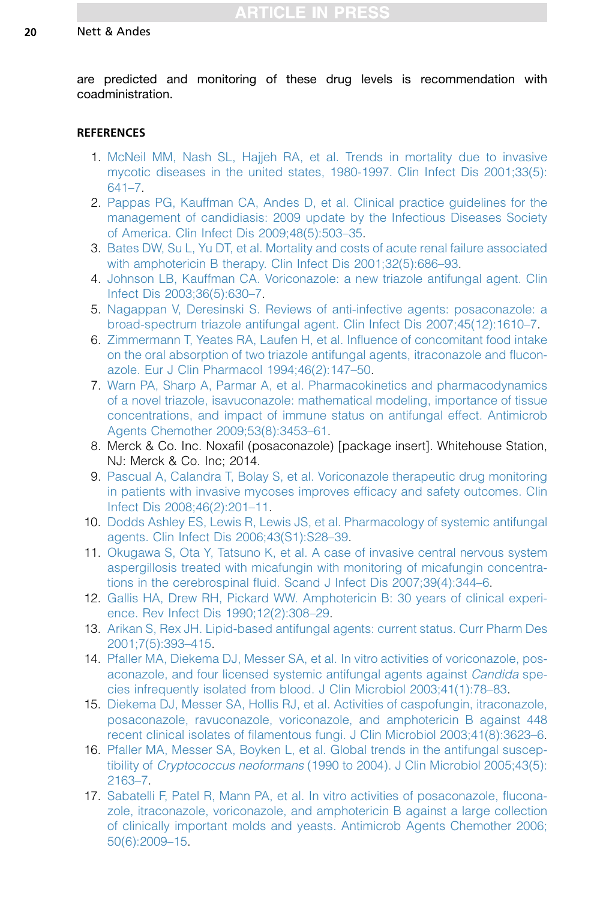<span id="page-19-0"></span>are predicted and monitoring of these drug levels is recommendation with coadministration.

## **REFERENCES**

- 1. [McNeil MM, Nash SL, Hajjeh RA, et al. Trends in mortality due to invasive](http://refhub.elsevier.com/S0891-5520(15)00101-4/sref1) [mycotic diseases in the united states, 1980-1997. Clin Infect Dis 2001;33\(5\):](http://refhub.elsevier.com/S0891-5520(15)00101-4/sref1) [641–7.](http://refhub.elsevier.com/S0891-5520(15)00101-4/sref1)
- 2. [Pappas PG, Kauffman CA, Andes D, et al. Clinical practice guidelines for the](http://refhub.elsevier.com/S0891-5520(15)00101-4/sref2) [management of candidiasis: 2009 update by the Infectious Diseases Society](http://refhub.elsevier.com/S0891-5520(15)00101-4/sref2) [of America. Clin Infect Dis 2009;48\(5\):503–35](http://refhub.elsevier.com/S0891-5520(15)00101-4/sref2).
- 3. [Bates DW, Su L, Yu DT, et al. Mortality and costs of acute renal failure associated](http://refhub.elsevier.com/S0891-5520(15)00101-4/sref3) [with amphotericin B therapy. Clin Infect Dis 2001;32\(5\):686–93.](http://refhub.elsevier.com/S0891-5520(15)00101-4/sref3)
- 4. [Johnson LB, Kauffman CA. Voriconazole: a new triazole antifungal agent. Clin](http://refhub.elsevier.com/S0891-5520(15)00101-4/sref4) [Infect Dis 2003;36\(5\):630–7.](http://refhub.elsevier.com/S0891-5520(15)00101-4/sref4)
- 5. [Nagappan V, Deresinski S. Reviews of anti-infective agents: posaconazole: a](http://refhub.elsevier.com/S0891-5520(15)00101-4/sref5) [broad-spectrum triazole antifungal agent. Clin Infect Dis 2007;45\(12\):1610–7.](http://refhub.elsevier.com/S0891-5520(15)00101-4/sref5)
- 6. [Zimmermann T, Yeates RA, Laufen H, et al. Influence of concomitant food intake](http://refhub.elsevier.com/S0891-5520(15)00101-4/sref6) [on the oral absorption of two triazole antifungal agents, itraconazole and flucon](http://refhub.elsevier.com/S0891-5520(15)00101-4/sref6)[azole. Eur J Clin Pharmacol 1994;46\(2\):147–50.](http://refhub.elsevier.com/S0891-5520(15)00101-4/sref6)
- 7. [Warn PA, Sharp A, Parmar A, et al. Pharmacokinetics and pharmacodynamics](http://refhub.elsevier.com/S0891-5520(15)00101-4/sref7) [of a novel triazole, isavuconazole: mathematical modeling, importance of tissue](http://refhub.elsevier.com/S0891-5520(15)00101-4/sref7) [concentrations, and impact of immune status on antifungal effect. Antimicrob](http://refhub.elsevier.com/S0891-5520(15)00101-4/sref7) [Agents Chemother 2009;53\(8\):3453–61.](http://refhub.elsevier.com/S0891-5520(15)00101-4/sref7)
- 8. Merck & Co. Inc. Noxafil (posaconazole) [package insert]. Whitehouse Station, NJ: Merck & Co. Inc; 2014.
- 9. [Pascual A, Calandra T, Bolay S, et al. Voriconazole therapeutic drug monitoring](http://refhub.elsevier.com/S0891-5520(15)00101-4/sref9) [in patients with invasive mycoses improves efficacy and safety outcomes. Clin](http://refhub.elsevier.com/S0891-5520(15)00101-4/sref9) [Infect Dis 2008;46\(2\):201–11](http://refhub.elsevier.com/S0891-5520(15)00101-4/sref9).
- 10. [Dodds Ashley ES, Lewis R, Lewis JS, et al. Pharmacology of systemic antifungal](http://refhub.elsevier.com/S0891-5520(15)00101-4/sref10) [agents. Clin Infect Dis 2006;43\(S1\):S28–39.](http://refhub.elsevier.com/S0891-5520(15)00101-4/sref10)
- 11. [Okugawa S, Ota Y, Tatsuno K, et al. A case of invasive central nervous system](http://refhub.elsevier.com/S0891-5520(15)00101-4/sref11) [aspergillosis treated with micafungin with monitoring of micafungin concentra](http://refhub.elsevier.com/S0891-5520(15)00101-4/sref11)[tions in the cerebrospinal fluid. Scand J Infect Dis 2007;39\(4\):344–6](http://refhub.elsevier.com/S0891-5520(15)00101-4/sref11).
- 12. [Gallis HA, Drew RH, Pickard WW. Amphotericin B: 30 years of clinical experi](http://refhub.elsevier.com/S0891-5520(15)00101-4/sref12)[ence. Rev Infect Dis 1990;12\(2\):308–29](http://refhub.elsevier.com/S0891-5520(15)00101-4/sref12).
- 13. [Arikan S, Rex JH. Lipid-based antifungal agents: current status. Curr Pharm Des](http://refhub.elsevier.com/S0891-5520(15)00101-4/sref13) [2001;7\(5\):393–415](http://refhub.elsevier.com/S0891-5520(15)00101-4/sref13).
- 14. [Pfaller MA, Diekema DJ, Messer SA, et al. In vitro activities of voriconazole, pos](http://refhub.elsevier.com/S0891-5520(15)00101-4/sref14)[aconazole, and four licensed systemic antifungal agents against](http://refhub.elsevier.com/S0891-5520(15)00101-4/sref14) Candida spe[cies infrequently isolated from blood. J Clin Microbiol 2003;41\(1\):78–83](http://refhub.elsevier.com/S0891-5520(15)00101-4/sref14).
- 15. [Diekema DJ, Messer SA, Hollis RJ, et al. Activities of caspofungin, itraconazole,](http://refhub.elsevier.com/S0891-5520(15)00101-4/sref15) [posaconazole, ravuconazole, voriconazole, and amphotericin B against 448](http://refhub.elsevier.com/S0891-5520(15)00101-4/sref15) [recent clinical isolates of filamentous fungi. J Clin Microbiol 2003;41\(8\):3623–6.](http://refhub.elsevier.com/S0891-5520(15)00101-4/sref15)
- 16. [Pfaller MA, Messer SA, Boyken L, et al. Global trends in the antifungal suscep](http://refhub.elsevier.com/S0891-5520(15)00101-4/sref16)tibility of Cryptococcus neoformans [\(1990 to 2004\). J Clin Microbiol 2005;43\(5\):](http://refhub.elsevier.com/S0891-5520(15)00101-4/sref16) [2163–7.](http://refhub.elsevier.com/S0891-5520(15)00101-4/sref16)
- 17. [Sabatelli F, Patel R, Mann PA, et al. In vitro activities of posaconazole, flucona](http://refhub.elsevier.com/S0891-5520(15)00101-4/sref17)[zole, itraconazole, voriconazole, and amphotericin B against a large collection](http://refhub.elsevier.com/S0891-5520(15)00101-4/sref17) [of clinically important molds and yeasts. Antimicrob Agents Chemother 2006;](http://refhub.elsevier.com/S0891-5520(15)00101-4/sref17) [50\(6\):2009–15.](http://refhub.elsevier.com/S0891-5520(15)00101-4/sref17)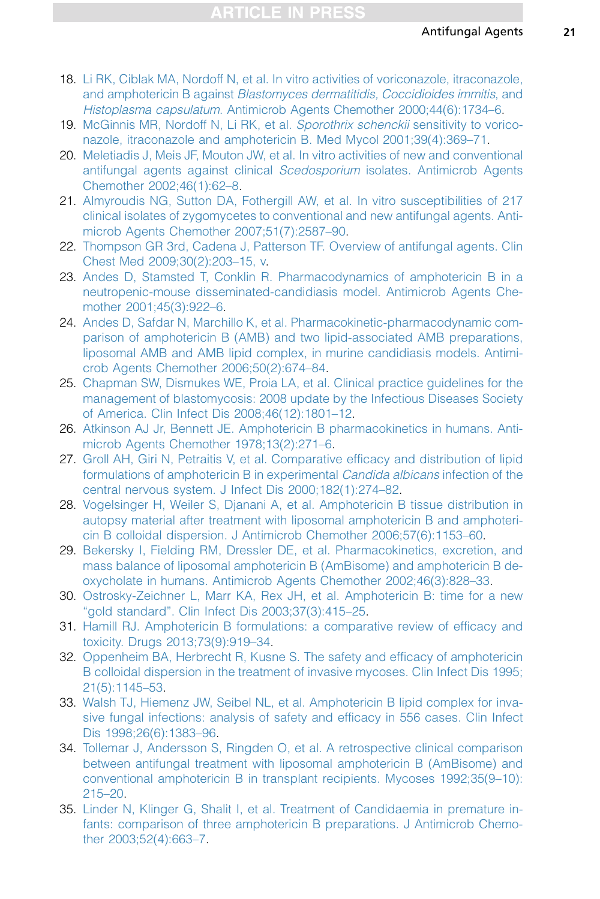- <span id="page-20-0"></span>18. [Li RK, Ciblak MA, Nordoff N, et al. In vitro activities of voriconazole, itraconazole,](http://refhub.elsevier.com/S0891-5520(15)00101-4/sref18) and amphotericin B against [Blastomyces dermatitidis, Coccidioides immitis](http://refhub.elsevier.com/S0891-5520(15)00101-4/sref18), and Histoplasma capsulatum[. Antimicrob Agents Chemother 2000;44\(6\):1734–6.](http://refhub.elsevier.com/S0891-5520(15)00101-4/sref18)
- 19. [McGinnis MR, Nordoff N, Li RK, et al.](http://refhub.elsevier.com/S0891-5520(15)00101-4/sref19) Sporothrix schenckii sensitivity to vorico[nazole, itraconazole and amphotericin B. Med Mycol 2001;39\(4\):369–71.](http://refhub.elsevier.com/S0891-5520(15)00101-4/sref19)
- 20. [Meletiadis J, Meis JF, Mouton JW, et al. In vitro activities of new and conventional](http://refhub.elsevier.com/S0891-5520(15)00101-4/sref20) [antifungal agents against clinical](http://refhub.elsevier.com/S0891-5520(15)00101-4/sref20) Scedosporium isolates. Antimicrob Agents [Chemother 2002;46\(1\):62–8.](http://refhub.elsevier.com/S0891-5520(15)00101-4/sref20)
- 21. [Almyroudis NG, Sutton DA, Fothergill AW, et al. In vitro susceptibilities of 217](http://refhub.elsevier.com/S0891-5520(15)00101-4/sref21) [clinical isolates of zygomycetes to conventional and new antifungal agents. Anti](http://refhub.elsevier.com/S0891-5520(15)00101-4/sref21)[microb Agents Chemother 2007;51\(7\):2587–90.](http://refhub.elsevier.com/S0891-5520(15)00101-4/sref21)
- 22. [Thompson GR 3rd, Cadena J, Patterson TF. Overview of antifungal agents. Clin](http://refhub.elsevier.com/S0891-5520(15)00101-4/sref22) [Chest Med 2009;30\(2\):203–15, v.](http://refhub.elsevier.com/S0891-5520(15)00101-4/sref22)
- 23. [Andes D, Stamsted T, Conklin R. Pharmacodynamics of amphotericin B in a](http://refhub.elsevier.com/S0891-5520(15)00101-4/sref23) [neutropenic-mouse disseminated-candidiasis model. Antimicrob Agents Che](http://refhub.elsevier.com/S0891-5520(15)00101-4/sref23)[mother 2001;45\(3\):922–6](http://refhub.elsevier.com/S0891-5520(15)00101-4/sref23).
- 24. [Andes D, Safdar N, Marchillo K, et al. Pharmacokinetic-pharmacodynamic com](http://refhub.elsevier.com/S0891-5520(15)00101-4/sref24)[parison of amphotericin B \(AMB\) and two lipid-associated AMB preparations,](http://refhub.elsevier.com/S0891-5520(15)00101-4/sref24) [liposomal AMB and AMB lipid complex, in murine candidiasis models. Antimi](http://refhub.elsevier.com/S0891-5520(15)00101-4/sref24)[crob Agents Chemother 2006;50\(2\):674–84](http://refhub.elsevier.com/S0891-5520(15)00101-4/sref24).
- 25. [Chapman SW, Dismukes WE, Proia LA, et al. Clinical practice guidelines for the](http://refhub.elsevier.com/S0891-5520(15)00101-4/sref25) [management of blastomycosis: 2008 update by the Infectious Diseases Society](http://refhub.elsevier.com/S0891-5520(15)00101-4/sref25) [of America. Clin Infect Dis 2008;46\(12\):1801–12](http://refhub.elsevier.com/S0891-5520(15)00101-4/sref25).
- 26. [Atkinson AJ Jr, Bennett JE. Amphotericin B pharmacokinetics in humans. Anti](http://refhub.elsevier.com/S0891-5520(15)00101-4/sref26)[microb Agents Chemother 1978;13\(2\):271–6.](http://refhub.elsevier.com/S0891-5520(15)00101-4/sref26)
- 27. [Groll AH, Giri N, Petraitis V, et al. Comparative efficacy and distribution of lipid](http://refhub.elsevier.com/S0891-5520(15)00101-4/sref27) [formulations of amphotericin B in experimental](http://refhub.elsevier.com/S0891-5520(15)00101-4/sref27) Candida albicans infection of the [central nervous system. J Infect Dis 2000;182\(1\):274–82](http://refhub.elsevier.com/S0891-5520(15)00101-4/sref27).
- 28. [Vogelsinger H, Weiler S, Djanani A, et al. Amphotericin B tissue distribution in](http://refhub.elsevier.com/S0891-5520(15)00101-4/sref28) [autopsy material after treatment with liposomal amphotericin B and amphoteri](http://refhub.elsevier.com/S0891-5520(15)00101-4/sref28)[cin B colloidal dispersion. J Antimicrob Chemother 2006;57\(6\):1153–60.](http://refhub.elsevier.com/S0891-5520(15)00101-4/sref28)
- 29. [Bekersky I, Fielding RM, Dressler DE, et al. Pharmacokinetics, excretion, and](http://refhub.elsevier.com/S0891-5520(15)00101-4/sref29) [mass balance of liposomal amphotericin B \(AmBisome\) and amphotericin B de](http://refhub.elsevier.com/S0891-5520(15)00101-4/sref29)[oxycholate in humans. Antimicrob Agents Chemother 2002;46\(3\):828–33.](http://refhub.elsevier.com/S0891-5520(15)00101-4/sref29)
- 30. [Ostrosky-Zeichner L, Marr KA, Rex JH, et al. Amphotericin B: time for a new](http://refhub.elsevier.com/S0891-5520(15)00101-4/sref30) ["gold standard". Clin Infect Dis 2003;37\(3\):415–25](http://refhub.elsevier.com/S0891-5520(15)00101-4/sref30).
- 31. [Hamill RJ. Amphotericin B formulations: a comparative review of efficacy and](http://refhub.elsevier.com/S0891-5520(15)00101-4/sref31) [toxicity. Drugs 2013;73\(9\):919–34.](http://refhub.elsevier.com/S0891-5520(15)00101-4/sref31)
- 32. [Oppenheim BA, Herbrecht R, Kusne S. The safety and efficacy of amphotericin](http://refhub.elsevier.com/S0891-5520(15)00101-4/sref32) [B colloidal dispersion in the treatment of invasive mycoses. Clin Infect Dis 1995;](http://refhub.elsevier.com/S0891-5520(15)00101-4/sref32) [21\(5\):1145–53](http://refhub.elsevier.com/S0891-5520(15)00101-4/sref32).
- 33. [Walsh TJ, Hiemenz JW, Seibel NL, et al. Amphotericin B lipid complex for inva](http://refhub.elsevier.com/S0891-5520(15)00101-4/sref33)[sive fungal infections: analysis of safety and efficacy in 556 cases. Clin Infect](http://refhub.elsevier.com/S0891-5520(15)00101-4/sref33) [Dis 1998;26\(6\):1383–96](http://refhub.elsevier.com/S0891-5520(15)00101-4/sref33).
- 34. [Tollemar J, Andersson S, Ringden O, et al. A retrospective clinical comparison](http://refhub.elsevier.com/S0891-5520(15)00101-4/sref34) [between antifungal treatment with liposomal amphotericin B \(AmBisome\) and](http://refhub.elsevier.com/S0891-5520(15)00101-4/sref34) [conventional amphotericin B in transplant recipients. Mycoses 1992;35\(9–10\):](http://refhub.elsevier.com/S0891-5520(15)00101-4/sref34) [215–20.](http://refhub.elsevier.com/S0891-5520(15)00101-4/sref34)
- 35. [Linder N, Klinger G, Shalit I, et al. Treatment of Candidaemia in premature in](http://refhub.elsevier.com/S0891-5520(15)00101-4/sref35)[fants: comparison of three amphotericin B preparations. J Antimicrob Chemo](http://refhub.elsevier.com/S0891-5520(15)00101-4/sref35)[ther 2003;52\(4\):663–7](http://refhub.elsevier.com/S0891-5520(15)00101-4/sref35).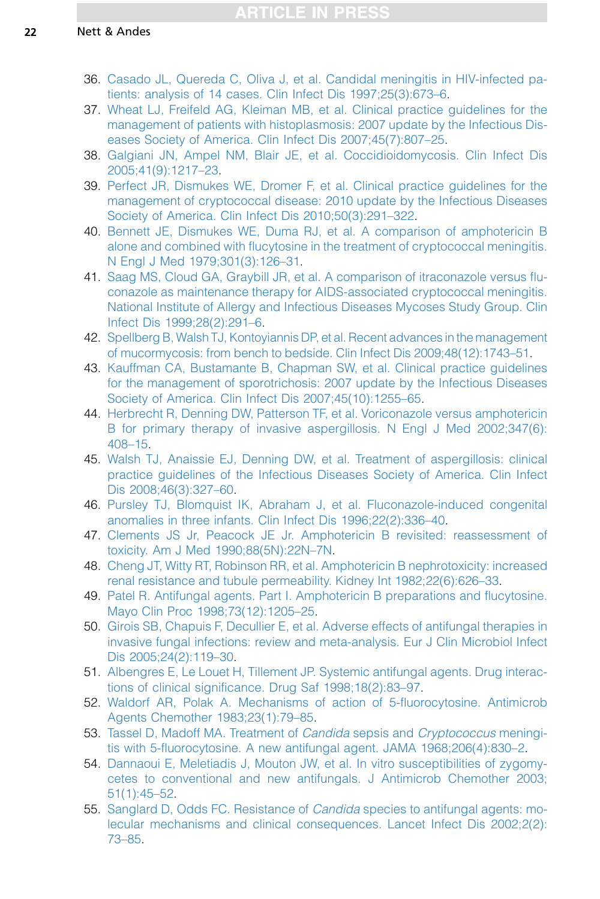- <span id="page-21-0"></span>36. [Casado JL, Quereda C, Oliva J, et al. Candidal meningitis in HIV-infected pa](http://refhub.elsevier.com/S0891-5520(15)00101-4/sref36)[tients: analysis of 14 cases. Clin Infect Dis 1997;25\(3\):673–6.](http://refhub.elsevier.com/S0891-5520(15)00101-4/sref36)
- 37. [Wheat LJ, Freifeld AG, Kleiman MB, et al. Clinical practice guidelines for the](http://refhub.elsevier.com/S0891-5520(15)00101-4/sref37) [management of patients with histoplasmosis: 2007 update by the Infectious Dis](http://refhub.elsevier.com/S0891-5520(15)00101-4/sref37)[eases Society of America. Clin Infect Dis 2007;45\(7\):807–25](http://refhub.elsevier.com/S0891-5520(15)00101-4/sref37).
- 38. [Galgiani JN, Ampel NM, Blair JE, et al. Coccidioidomycosis. Clin Infect Dis](http://refhub.elsevier.com/S0891-5520(15)00101-4/sref38) [2005;41\(9\):1217–23](http://refhub.elsevier.com/S0891-5520(15)00101-4/sref38).
- 39. [Perfect JR, Dismukes WE, Dromer F, et al. Clinical practice guidelines for the](http://refhub.elsevier.com/S0891-5520(15)00101-4/sref39) [management of cryptococcal disease: 2010 update by the Infectious Diseases](http://refhub.elsevier.com/S0891-5520(15)00101-4/sref39) [Society of America. Clin Infect Dis 2010;50\(3\):291–322](http://refhub.elsevier.com/S0891-5520(15)00101-4/sref39).
- 40. [Bennett JE, Dismukes WE, Duma RJ, et al. A comparison of amphotericin B](http://refhub.elsevier.com/S0891-5520(15)00101-4/sref40) [alone and combined with flucytosine in the treatment of cryptococcal meningitis.](http://refhub.elsevier.com/S0891-5520(15)00101-4/sref40) [N Engl J Med 1979;301\(3\):126–31.](http://refhub.elsevier.com/S0891-5520(15)00101-4/sref40)
- 41. [Saag MS, Cloud GA, Graybill JR, et al. A comparison of itraconazole versus flu](http://refhub.elsevier.com/S0891-5520(15)00101-4/sref41)[conazole as maintenance therapy for AIDS-associated cryptococcal meningitis.](http://refhub.elsevier.com/S0891-5520(15)00101-4/sref41) [National Institute of Allergy and Infectious Diseases Mycoses Study Group. Clin](http://refhub.elsevier.com/S0891-5520(15)00101-4/sref41) [Infect Dis 1999;28\(2\):291–6.](http://refhub.elsevier.com/S0891-5520(15)00101-4/sref41)
- 42. [Spellberg B, Walsh TJ, Kontoyiannis DP, et al. Recent advances in the management](http://refhub.elsevier.com/S0891-5520(15)00101-4/sref42) [of mucormycosis: from bench to bedside. Clin Infect Dis 2009;48\(12\):1743–51](http://refhub.elsevier.com/S0891-5520(15)00101-4/sref42).
- 43. [Kauffman CA, Bustamante B, Chapman SW, et al. Clinical practice guidelines](http://refhub.elsevier.com/S0891-5520(15)00101-4/sref43) [for the management of sporotrichosis: 2007 update by the Infectious Diseases](http://refhub.elsevier.com/S0891-5520(15)00101-4/sref43) [Society of America. Clin Infect Dis 2007;45\(10\):1255–65](http://refhub.elsevier.com/S0891-5520(15)00101-4/sref43).
- 44. [Herbrecht R, Denning DW, Patterson TF, et al. Voriconazole versus amphotericin](http://refhub.elsevier.com/S0891-5520(15)00101-4/sref44) [B for primary therapy of invasive aspergillosis. N Engl J Med 2002;347\(6\):](http://refhub.elsevier.com/S0891-5520(15)00101-4/sref44) [408–15.](http://refhub.elsevier.com/S0891-5520(15)00101-4/sref44)
- 45. [Walsh TJ, Anaissie EJ, Denning DW, et al. Treatment of aspergillosis: clinical](http://refhub.elsevier.com/S0891-5520(15)00101-4/sref45) [practice guidelines of the Infectious Diseases Society of America. Clin Infect](http://refhub.elsevier.com/S0891-5520(15)00101-4/sref45) [Dis 2008;46\(3\):327–60](http://refhub.elsevier.com/S0891-5520(15)00101-4/sref45).
- 46. [Pursley TJ, Blomquist IK, Abraham J, et al. Fluconazole-induced congenital](http://refhub.elsevier.com/S0891-5520(15)00101-4/sref46) [anomalies in three infants. Clin Infect Dis 1996;22\(2\):336–40](http://refhub.elsevier.com/S0891-5520(15)00101-4/sref46).
- 47. [Clements JS Jr, Peacock JE Jr. Amphotericin B revisited: reassessment of](http://refhub.elsevier.com/S0891-5520(15)00101-4/sref47) [toxicity. Am J Med 1990;88\(5N\):22N–7N](http://refhub.elsevier.com/S0891-5520(15)00101-4/sref47).
- 48. [Cheng JT, Witty RT, Robinson RR, et al. Amphotericin B nephrotoxicity: increased](http://refhub.elsevier.com/S0891-5520(15)00101-4/sref48) [renal resistance and tubule permeability. Kidney Int 1982;22\(6\):626–33](http://refhub.elsevier.com/S0891-5520(15)00101-4/sref48).
- 49. [Patel R. Antifungal agents. Part I. Amphotericin B preparations and flucytosine.](http://refhub.elsevier.com/S0891-5520(15)00101-4/sref49) [Mayo Clin Proc 1998;73\(12\):1205–25.](http://refhub.elsevier.com/S0891-5520(15)00101-4/sref49)
- 50. [Girois SB, Chapuis F, Decullier E, et al. Adverse effects of antifungal therapies in](http://refhub.elsevier.com/S0891-5520(15)00101-4/sref50) [invasive fungal infections: review and meta-analysis. Eur J Clin Microbiol Infect](http://refhub.elsevier.com/S0891-5520(15)00101-4/sref50) [Dis 2005;24\(2\):119–30](http://refhub.elsevier.com/S0891-5520(15)00101-4/sref50).
- 51. [Albengres E, Le Louet H, Tillement JP. Systemic antifungal agents. Drug interac](http://refhub.elsevier.com/S0891-5520(15)00101-4/sref51)[tions of clinical significance. Drug Saf 1998;18\(2\):83–97.](http://refhub.elsevier.com/S0891-5520(15)00101-4/sref51)
- 52. [Waldorf AR, Polak A. Mechanisms of action of 5-fluorocytosine. Antimicrob](http://refhub.elsevier.com/S0891-5520(15)00101-4/sref52) [Agents Chemother 1983;23\(1\):79–85.](http://refhub.elsevier.com/S0891-5520(15)00101-4/sref52)
- 53. [Tassel D, Madoff MA. Treatment of](http://refhub.elsevier.com/S0891-5520(15)00101-4/sref53) *Candida* sepsis and *Cryptococcus* meningi[tis with 5-fluorocytosine. A new antifungal agent. JAMA 1968;206\(4\):830–2.](http://refhub.elsevier.com/S0891-5520(15)00101-4/sref53)
- 54. [Dannaoui E, Meletiadis J, Mouton JW, et al. In vitro susceptibilities of zygomy](http://refhub.elsevier.com/S0891-5520(15)00101-4/sref54)[cetes to conventional and new antifungals. J Antimicrob Chemother 2003;](http://refhub.elsevier.com/S0891-5520(15)00101-4/sref54) [51\(1\):45–52.](http://refhub.elsevier.com/S0891-5520(15)00101-4/sref54)
- 55. [Sanglard D, Odds FC. Resistance of](http://refhub.elsevier.com/S0891-5520(15)00101-4/sref55) *Candida* species to antifungal agents: mo[lecular mechanisms and clinical consequences. Lancet Infect Dis 2002;2\(2\):](http://refhub.elsevier.com/S0891-5520(15)00101-4/sref55) [73–85.](http://refhub.elsevier.com/S0891-5520(15)00101-4/sref55)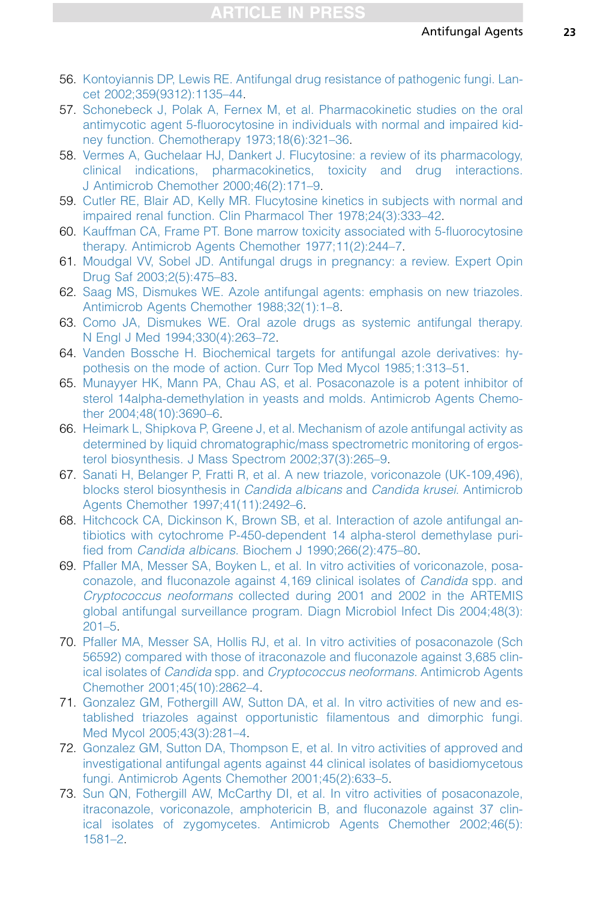- <span id="page-22-0"></span>56. [Kontoyiannis DP, Lewis RE. Antifungal drug resistance of pathogenic fungi. Lan](http://refhub.elsevier.com/S0891-5520(15)00101-4/sref56)[cet 2002;359\(9312\):1135–44.](http://refhub.elsevier.com/S0891-5520(15)00101-4/sref56)
- 57. [Schonebeck J, Polak A, Fernex M, et al. Pharmacokinetic studies on the oral](http://refhub.elsevier.com/S0891-5520(15)00101-4/sref57) [antimycotic agent 5-fluorocytosine in individuals with normal and impaired kid](http://refhub.elsevier.com/S0891-5520(15)00101-4/sref57)[ney function. Chemotherapy 1973;18\(6\):321–36](http://refhub.elsevier.com/S0891-5520(15)00101-4/sref57).
- 58. [Vermes A, Guchelaar HJ, Dankert J. Flucytosine: a review of its pharmacology,](http://refhub.elsevier.com/S0891-5520(15)00101-4/sref58) [clinical indications, pharmacokinetics, toxicity and drug interactions.](http://refhub.elsevier.com/S0891-5520(15)00101-4/sref58) [J Antimicrob Chemother 2000;46\(2\):171–9](http://refhub.elsevier.com/S0891-5520(15)00101-4/sref58).
- 59. [Cutler RE, Blair AD, Kelly MR. Flucytosine kinetics in subjects with normal and](http://refhub.elsevier.com/S0891-5520(15)00101-4/sref59) [impaired renal function. Clin Pharmacol Ther 1978;24\(3\):333–42.](http://refhub.elsevier.com/S0891-5520(15)00101-4/sref59)
- 60. [Kauffman CA, Frame PT. Bone marrow toxicity associated with 5-fluorocytosine](http://refhub.elsevier.com/S0891-5520(15)00101-4/sref60) [therapy. Antimicrob Agents Chemother 1977;11\(2\):244–7](http://refhub.elsevier.com/S0891-5520(15)00101-4/sref60).
- 61. [Moudgal VV, Sobel JD. Antifungal drugs in pregnancy: a review. Expert Opin](http://refhub.elsevier.com/S0891-5520(15)00101-4/sref61) [Drug Saf 2003;2\(5\):475–83](http://refhub.elsevier.com/S0891-5520(15)00101-4/sref61).
- 62. [Saag MS, Dismukes WE. Azole antifungal agents: emphasis on new triazoles.](http://refhub.elsevier.com/S0891-5520(15)00101-4/sref62) [Antimicrob Agents Chemother 1988;32\(1\):1–8](http://refhub.elsevier.com/S0891-5520(15)00101-4/sref62).
- 63. [Como JA, Dismukes WE. Oral azole drugs as systemic antifungal therapy.](http://refhub.elsevier.com/S0891-5520(15)00101-4/sref63) [N Engl J Med 1994;330\(4\):263–72](http://refhub.elsevier.com/S0891-5520(15)00101-4/sref63).
- 64. [Vanden Bossche H. Biochemical targets for antifungal azole derivatives: hy](http://refhub.elsevier.com/S0891-5520(15)00101-4/sref64)[pothesis on the mode of action. Curr Top Med Mycol 1985;1:313–51.](http://refhub.elsevier.com/S0891-5520(15)00101-4/sref64)
- 65. [Munayyer HK, Mann PA, Chau AS, et al. Posaconazole is a potent inhibitor of](http://refhub.elsevier.com/S0891-5520(15)00101-4/sref65) [sterol 14alpha-demethylation in yeasts and molds. Antimicrob Agents Chemo](http://refhub.elsevier.com/S0891-5520(15)00101-4/sref65)[ther 2004;48\(10\):3690–6.](http://refhub.elsevier.com/S0891-5520(15)00101-4/sref65)
- 66. [Heimark L, Shipkova P, Greene J, et al. Mechanism of azole antifungal activity as](http://refhub.elsevier.com/S0891-5520(15)00101-4/sref66) [determined by liquid chromatographic/mass spectrometric monitoring of ergos](http://refhub.elsevier.com/S0891-5520(15)00101-4/sref66)[terol biosynthesis. J Mass Spectrom 2002;37\(3\):265–9.](http://refhub.elsevier.com/S0891-5520(15)00101-4/sref66)
- 67. [Sanati H, Belanger P, Fratti R, et al. A new triazole, voriconazole \(UK-109,496\),](http://refhub.elsevier.com/S0891-5520(15)00101-4/sref67) [blocks sterol biosynthesis in](http://refhub.elsevier.com/S0891-5520(15)00101-4/sref67) Candida albicans and Candida krusei. Antimicrob [Agents Chemother 1997;41\(11\):2492–6](http://refhub.elsevier.com/S0891-5520(15)00101-4/sref67).
- 68. [Hitchcock CA, Dickinson K, Brown SB, et al. Interaction of azole antifungal an](http://refhub.elsevier.com/S0891-5520(15)00101-4/sref68)[tibiotics with cytochrome P-450-dependent 14 alpha-sterol demethylase puri](http://refhub.elsevier.com/S0891-5520(15)00101-4/sref68)fied from Candida albicans[. Biochem J 1990;266\(2\):475–80](http://refhub.elsevier.com/S0891-5520(15)00101-4/sref68).
- 69. [Pfaller MA, Messer SA, Boyken L, et al. In vitro activities of voriconazole, posa](http://refhub.elsevier.com/S0891-5520(15)00101-4/sref69)[conazole, and fluconazole against 4,169 clinical isolates of](http://refhub.elsevier.com/S0891-5520(15)00101-4/sref69) Candida spp. and Cryptococcus neoformans [collected during 2001 and 2002 in the ARTEMIS](http://refhub.elsevier.com/S0891-5520(15)00101-4/sref69) [global antifungal surveillance program. Diagn Microbiol Infect Dis 2004;48\(3\):](http://refhub.elsevier.com/S0891-5520(15)00101-4/sref69) [201–5](http://refhub.elsevier.com/S0891-5520(15)00101-4/sref69).
- 70. [Pfaller MA, Messer SA, Hollis RJ, et al. In vitro activities of posaconazole \(Sch](http://refhub.elsevier.com/S0891-5520(15)00101-4/sref70) [56592\) compared with those of itraconazole and fluconazole against 3,685 clin](http://refhub.elsevier.com/S0891-5520(15)00101-4/sref70)ical isolates of Candida spp. and [Cryptococcus neoformans](http://refhub.elsevier.com/S0891-5520(15)00101-4/sref70). Antimicrob Agents [Chemother 2001;45\(10\):2862–4.](http://refhub.elsevier.com/S0891-5520(15)00101-4/sref70)
- 71. [Gonzalez GM, Fothergill AW, Sutton DA, et al. In vitro activities of new and es](http://refhub.elsevier.com/S0891-5520(15)00101-4/sref71)[tablished triazoles against opportunistic filamentous and dimorphic fungi.](http://refhub.elsevier.com/S0891-5520(15)00101-4/sref71) [Med Mycol 2005;43\(3\):281–4](http://refhub.elsevier.com/S0891-5520(15)00101-4/sref71).
- 72. [Gonzalez GM, Sutton DA, Thompson E, et al. In vitro activities of approved and](http://refhub.elsevier.com/S0891-5520(15)00101-4/sref72) [investigational antifungal agents against 44 clinical isolates of basidiomycetous](http://refhub.elsevier.com/S0891-5520(15)00101-4/sref72) [fungi. Antimicrob Agents Chemother 2001;45\(2\):633–5.](http://refhub.elsevier.com/S0891-5520(15)00101-4/sref72)
- 73. [Sun QN, Fothergill AW, McCarthy DI, et al. In vitro activities of posaconazole,](http://refhub.elsevier.com/S0891-5520(15)00101-4/sref73) [itraconazole, voriconazole, amphotericin B, and fluconazole against 37 clin](http://refhub.elsevier.com/S0891-5520(15)00101-4/sref73)[ical isolates of zygomycetes. Antimicrob Agents Chemother 2002;46\(5\):](http://refhub.elsevier.com/S0891-5520(15)00101-4/sref73) [1581–2.](http://refhub.elsevier.com/S0891-5520(15)00101-4/sref73)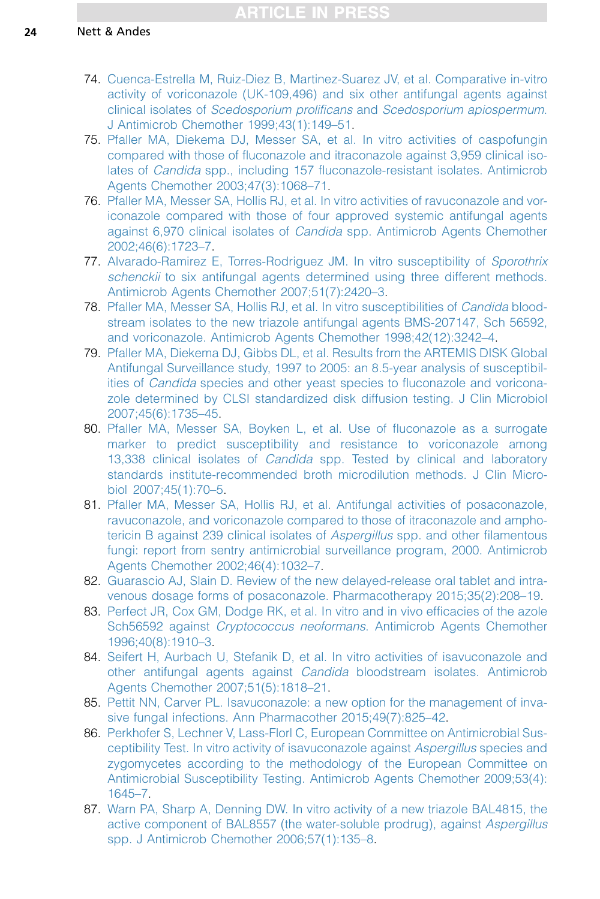- <span id="page-23-0"></span>74. [Cuenca-Estrella M, Ruiz-Diez B, Martinez-Suarez JV, et al. Comparative in-vitro](http://refhub.elsevier.com/S0891-5520(15)00101-4/sref74) [activity of voriconazole \(UK-109,496\) and six other antifungal agents against](http://refhub.elsevier.com/S0891-5520(15)00101-4/sref74) clinical isolates of Scedosporium prolificans and [Scedosporium apiospermum](http://refhub.elsevier.com/S0891-5520(15)00101-4/sref74). [J Antimicrob Chemother 1999;43\(1\):149–51.](http://refhub.elsevier.com/S0891-5520(15)00101-4/sref74)
- 75. [Pfaller MA, Diekema DJ, Messer SA, et al. In vitro activities of caspofungin](http://refhub.elsevier.com/S0891-5520(15)00101-4/sref75) [compared with those of fluconazole and itraconazole against 3,959 clinical iso](http://refhub.elsevier.com/S0891-5520(15)00101-4/sref75)lates of Candida [spp., including 157 fluconazole-resistant isolates. Antimicrob](http://refhub.elsevier.com/S0891-5520(15)00101-4/sref75) [Agents Chemother 2003;47\(3\):1068–71.](http://refhub.elsevier.com/S0891-5520(15)00101-4/sref75)
- 76. [Pfaller MA, Messer SA, Hollis RJ, et al. In vitro activities of ravuconazole and vor](http://refhub.elsevier.com/S0891-5520(15)00101-4/sref76)[iconazole compared with those of four approved systemic antifungal agents](http://refhub.elsevier.com/S0891-5520(15)00101-4/sref76) against 6,970 clinical isolates of Candida [spp. Antimicrob Agents Chemother](http://refhub.elsevier.com/S0891-5520(15)00101-4/sref76) [2002;46\(6\):1723–7](http://refhub.elsevier.com/S0891-5520(15)00101-4/sref76).
- 77. [Alvarado-Ramirez E, Torres-Rodriguez JM. In vitro susceptibility of](http://refhub.elsevier.com/S0891-5520(15)00101-4/sref77) Sporothrix schenckii [to six antifungal agents determined using three different methods.](http://refhub.elsevier.com/S0891-5520(15)00101-4/sref77) [Antimicrob Agents Chemother 2007;51\(7\):2420–3.](http://refhub.elsevier.com/S0891-5520(15)00101-4/sref77)
- 78. [Pfaller MA, Messer SA, Hollis RJ, et al. In vitro susceptibilities of](http://refhub.elsevier.com/S0891-5520(15)00101-4/sref78) Candida blood[stream isolates to the new triazole antifungal agents BMS-207147, Sch 56592,](http://refhub.elsevier.com/S0891-5520(15)00101-4/sref78) [and voriconazole. Antimicrob Agents Chemother 1998;42\(12\):3242–4](http://refhub.elsevier.com/S0891-5520(15)00101-4/sref78).
- 79. [Pfaller MA, Diekema DJ, Gibbs DL, et al. Results from the ARTEMIS DISK Global](http://refhub.elsevier.com/S0891-5520(15)00101-4/sref79) [Antifungal Surveillance study, 1997 to 2005: an 8.5-year analysis of susceptibil](http://refhub.elsevier.com/S0891-5520(15)00101-4/sref79)ities of Candida [species and other yeast species to fluconazole and voricona](http://refhub.elsevier.com/S0891-5520(15)00101-4/sref79)[zole determined by CLSI standardized disk diffusion testing. J Clin Microbiol](http://refhub.elsevier.com/S0891-5520(15)00101-4/sref79) [2007;45\(6\):1735–45](http://refhub.elsevier.com/S0891-5520(15)00101-4/sref79).
- 80. [Pfaller MA, Messer SA, Boyken L, et al. Use of fluconazole as a surrogate](http://refhub.elsevier.com/S0891-5520(15)00101-4/sref80) [marker to predict susceptibility and resistance to voriconazole among](http://refhub.elsevier.com/S0891-5520(15)00101-4/sref80) 13,338 clinical isolates of Candida [spp. Tested by clinical and laboratory](http://refhub.elsevier.com/S0891-5520(15)00101-4/sref80) [standards institute-recommended broth microdilution methods. J Clin Micro](http://refhub.elsevier.com/S0891-5520(15)00101-4/sref80)[biol 2007;45\(1\):70–5.](http://refhub.elsevier.com/S0891-5520(15)00101-4/sref80)
- 81. [Pfaller MA, Messer SA, Hollis RJ, et al. Antifungal activities of posaconazole,](http://refhub.elsevier.com/S0891-5520(15)00101-4/sref81) [ravuconazole, and voriconazole compared to those of itraconazole and ampho](http://refhub.elsevier.com/S0891-5520(15)00101-4/sref81)[tericin B against 239 clinical isolates of](http://refhub.elsevier.com/S0891-5520(15)00101-4/sref81) Aspergillus spp. and other filamentous [fungi: report from sentry antimicrobial surveillance program, 2000. Antimicrob](http://refhub.elsevier.com/S0891-5520(15)00101-4/sref81) [Agents Chemother 2002;46\(4\):1032–7.](http://refhub.elsevier.com/S0891-5520(15)00101-4/sref81)
- 82. [Guarascio AJ, Slain D. Review of the new delayed-release oral tablet and intra](http://refhub.elsevier.com/S0891-5520(15)00101-4/sref82)[venous dosage forms of posaconazole. Pharmacotherapy 2015;35\(2\):208–19.](http://refhub.elsevier.com/S0891-5520(15)00101-4/sref82)
- 83. [Perfect JR, Cox GM, Dodge RK, et al. In vitro and in vivo efficacies of the azole](http://refhub.elsevier.com/S0891-5520(15)00101-4/sref83) Sch56592 against *Cryptococcus neoformans*[. Antimicrob Agents Chemother](http://refhub.elsevier.com/S0891-5520(15)00101-4/sref83) [1996;40\(8\):1910–3](http://refhub.elsevier.com/S0891-5520(15)00101-4/sref83).
- 84. [Seifert H, Aurbach U, Stefanik D, et al. In vitro activities of isavuconazole and](http://refhub.elsevier.com/S0891-5520(15)00101-4/sref84) other antifungal agents against Candida [bloodstream isolates. Antimicrob](http://refhub.elsevier.com/S0891-5520(15)00101-4/sref84) [Agents Chemother 2007;51\(5\):1818–21.](http://refhub.elsevier.com/S0891-5520(15)00101-4/sref84)
- 85. [Pettit NN, Carver PL. Isavuconazole: a new option for the management of inva](http://refhub.elsevier.com/S0891-5520(15)00101-4/sref85)[sive fungal infections. Ann Pharmacother 2015;49\(7\):825–42.](http://refhub.elsevier.com/S0891-5520(15)00101-4/sref85)
- 86. [Perkhofer S, Lechner V, Lass-Florl C, European Committee on Antimicrobial Sus](http://refhub.elsevier.com/S0891-5520(15)00101-4/sref86)[ceptibility Test. In vitro activity of isavuconazole against](http://refhub.elsevier.com/S0891-5520(15)00101-4/sref86) Aspergillus species and [zygomycetes according to the methodology of the European Committee on](http://refhub.elsevier.com/S0891-5520(15)00101-4/sref86) [Antimicrobial Susceptibility Testing. Antimicrob Agents Chemother 2009;53\(4\):](http://refhub.elsevier.com/S0891-5520(15)00101-4/sref86) [1645–7.](http://refhub.elsevier.com/S0891-5520(15)00101-4/sref86)
- 87. [Warn PA, Sharp A, Denning DW. In vitro activity of a new triazole BAL4815, the](http://refhub.elsevier.com/S0891-5520(15)00101-4/sref87) [active component of BAL8557 \(the water-soluble prodrug\), against](http://refhub.elsevier.com/S0891-5520(15)00101-4/sref87) Aspergillus [spp. J Antimicrob Chemother 2006;57\(1\):135–8](http://refhub.elsevier.com/S0891-5520(15)00101-4/sref87).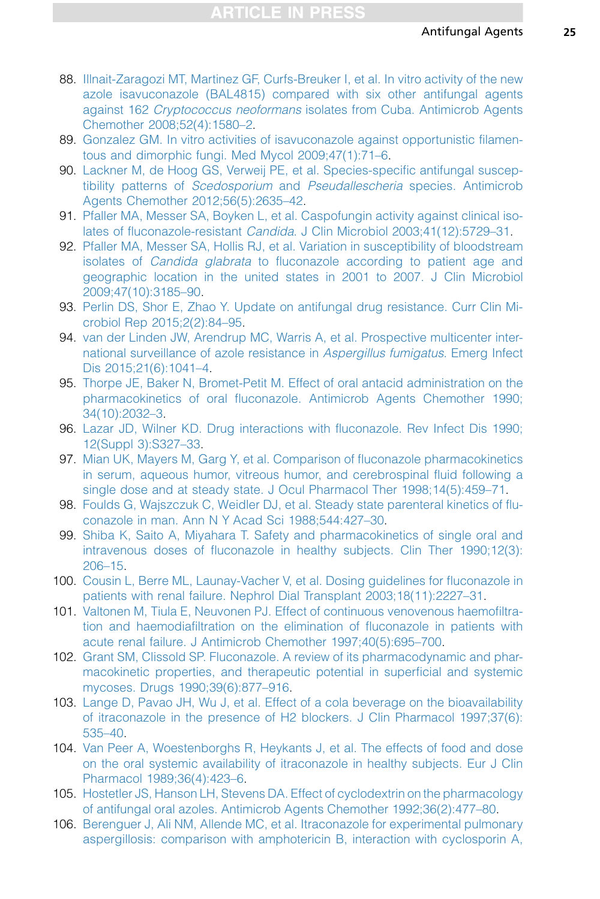- <span id="page-24-0"></span>88. [Illnait-Zaragozi MT, Martinez GF, Curfs-Breuker I, et al. In vitro activity of the new](http://refhub.elsevier.com/S0891-5520(15)00101-4/sref88) [azole isavuconazole \(BAL4815\) compared with six other antifungal agents](http://refhub.elsevier.com/S0891-5520(15)00101-4/sref88) against 162 Cryptococcus neoformans [isolates from Cuba. Antimicrob Agents](http://refhub.elsevier.com/S0891-5520(15)00101-4/sref88) [Chemother 2008;52\(4\):1580–2.](http://refhub.elsevier.com/S0891-5520(15)00101-4/sref88)
- 89. [Gonzalez GM. In vitro activities of isavuconazole against opportunistic filamen](http://refhub.elsevier.com/S0891-5520(15)00101-4/sref89)[tous and dimorphic fungi. Med Mycol 2009;47\(1\):71–6](http://refhub.elsevier.com/S0891-5520(15)00101-4/sref89).
- 90. [Lackner M, de Hoog GS, Verweij PE, et al. Species-specific antifungal suscep](http://refhub.elsevier.com/S0891-5520(15)00101-4/sref90)tibility patterns of Scedosporium and Pseudallescheria [species. Antimicrob](http://refhub.elsevier.com/S0891-5520(15)00101-4/sref90) [Agents Chemother 2012;56\(5\):2635–42](http://refhub.elsevier.com/S0891-5520(15)00101-4/sref90).
- 91. [Pfaller MA, Messer SA, Boyken L, et al. Caspofungin activity against clinical iso](http://refhub.elsevier.com/S0891-5520(15)00101-4/sref91)lates of fluconazole-resistant Candida[. J Clin Microbiol 2003;41\(12\):5729–31](http://refhub.elsevier.com/S0891-5520(15)00101-4/sref91).
- 92. [Pfaller MA, Messer SA, Hollis RJ, et al. Variation in susceptibility of bloodstream](http://refhub.elsevier.com/S0891-5520(15)00101-4/sref92) isolates of Candida glabrata [to fluconazole according to patient age and](http://refhub.elsevier.com/S0891-5520(15)00101-4/sref92) [geographic location in the united states in 2001 to 2007. J Clin Microbiol](http://refhub.elsevier.com/S0891-5520(15)00101-4/sref92) [2009;47\(10\):3185–90.](http://refhub.elsevier.com/S0891-5520(15)00101-4/sref92)
- 93. [Perlin DS, Shor E, Zhao Y. Update on antifungal drug resistance. Curr Clin Mi](http://refhub.elsevier.com/S0891-5520(15)00101-4/sref93)[crobiol Rep 2015;2\(2\):84–95](http://refhub.elsevier.com/S0891-5520(15)00101-4/sref93).
- 94. [van der Linden JW, Arendrup MC, Warris A, et al. Prospective multicenter inter](http://refhub.elsevier.com/S0891-5520(15)00101-4/sref94)[national surveillance of azole resistance in](http://refhub.elsevier.com/S0891-5520(15)00101-4/sref94) Aspergillus fumigatus. Emerg Infect [Dis 2015;21\(6\):1041–4](http://refhub.elsevier.com/S0891-5520(15)00101-4/sref94).
- 95. [Thorpe JE, Baker N, Bromet-Petit M. Effect of oral antacid administration on the](http://refhub.elsevier.com/S0891-5520(15)00101-4/sref95) [pharmacokinetics of oral fluconazole. Antimicrob Agents Chemother 1990;](http://refhub.elsevier.com/S0891-5520(15)00101-4/sref95) [34\(10\):2032–3](http://refhub.elsevier.com/S0891-5520(15)00101-4/sref95).
- 96. [Lazar JD, Wilner KD. Drug interactions with fluconazole. Rev Infect Dis 1990;](http://refhub.elsevier.com/S0891-5520(15)00101-4/sref96) [12\(Suppl 3\):S327–33](http://refhub.elsevier.com/S0891-5520(15)00101-4/sref96).
- 97. [Mian UK, Mayers M, Garg Y, et al. Comparison of fluconazole pharmacokinetics](http://refhub.elsevier.com/S0891-5520(15)00101-4/sref97) [in serum, aqueous humor, vitreous humor, and cerebrospinal fluid following a](http://refhub.elsevier.com/S0891-5520(15)00101-4/sref97) [single dose and at steady state. J Ocul Pharmacol Ther 1998;14\(5\):459–71.](http://refhub.elsevier.com/S0891-5520(15)00101-4/sref97)
- 98. [Foulds G, Wajszczuk C, Weidler DJ, et al. Steady state parenteral kinetics of flu](http://refhub.elsevier.com/S0891-5520(15)00101-4/sref98)[conazole in man. Ann N Y Acad Sci 1988;544:427–30](http://refhub.elsevier.com/S0891-5520(15)00101-4/sref98).
- 99. [Shiba K, Saito A, Miyahara T. Safety and pharmacokinetics of single oral and](http://refhub.elsevier.com/S0891-5520(15)00101-4/sref99) [intravenous doses of fluconazole in healthy subjects. Clin Ther 1990;12\(3\):](http://refhub.elsevier.com/S0891-5520(15)00101-4/sref99) [206–15.](http://refhub.elsevier.com/S0891-5520(15)00101-4/sref99)
- 100. [Cousin L, Berre ML, Launay-Vacher V, et al. Dosing guidelines for fluconazole in](http://refhub.elsevier.com/S0891-5520(15)00101-4/sref100) [patients with renal failure. Nephrol Dial Transplant 2003;18\(11\):2227–31.](http://refhub.elsevier.com/S0891-5520(15)00101-4/sref100)
- 101. [Valtonen M, Tiula E, Neuvonen PJ. Effect of continuous venovenous haemofiltra](http://refhub.elsevier.com/S0891-5520(15)00101-4/sref101)[tion and haemodiafiltration on the elimination of fluconazole in patients with](http://refhub.elsevier.com/S0891-5520(15)00101-4/sref101) [acute renal failure. J Antimicrob Chemother 1997;40\(5\):695–700.](http://refhub.elsevier.com/S0891-5520(15)00101-4/sref101)
- 102. [Grant SM, Clissold SP. Fluconazole. A review of its pharmacodynamic and phar](http://refhub.elsevier.com/S0891-5520(15)00101-4/sref102)[macokinetic properties, and therapeutic potential in superficial and systemic](http://refhub.elsevier.com/S0891-5520(15)00101-4/sref102) [mycoses. Drugs 1990;39\(6\):877–916](http://refhub.elsevier.com/S0891-5520(15)00101-4/sref102).
- 103. [Lange D, Pavao JH, Wu J, et al. Effect of a cola beverage on the bioavailability](http://refhub.elsevier.com/S0891-5520(15)00101-4/sref103) [of itraconazole in the presence of H2 blockers. J Clin Pharmacol 1997;37\(6\):](http://refhub.elsevier.com/S0891-5520(15)00101-4/sref103) [535–40.](http://refhub.elsevier.com/S0891-5520(15)00101-4/sref103)
- 104. [Van Peer A, Woestenborghs R, Heykants J, et al. The effects of food and dose](http://refhub.elsevier.com/S0891-5520(15)00101-4/sref104) [on the oral systemic availability of itraconazole in healthy subjects. Eur J Clin](http://refhub.elsevier.com/S0891-5520(15)00101-4/sref104) [Pharmacol 1989;36\(4\):423–6](http://refhub.elsevier.com/S0891-5520(15)00101-4/sref104).
- 105. [Hostetler JS, Hanson LH, Stevens DA. Effect of cyclodextrin on the pharmacology](http://refhub.elsevier.com/S0891-5520(15)00101-4/sref105) [of antifungal oral azoles. Antimicrob Agents Chemother 1992;36\(2\):477–80](http://refhub.elsevier.com/S0891-5520(15)00101-4/sref105).
- 106. [Berenguer J, Ali NM, Allende MC, et al. Itraconazole for experimental pulmonary](http://refhub.elsevier.com/S0891-5520(15)00101-4/sref106) [aspergillosis: comparison with amphotericin B, interaction with cyclosporin A,](http://refhub.elsevier.com/S0891-5520(15)00101-4/sref106)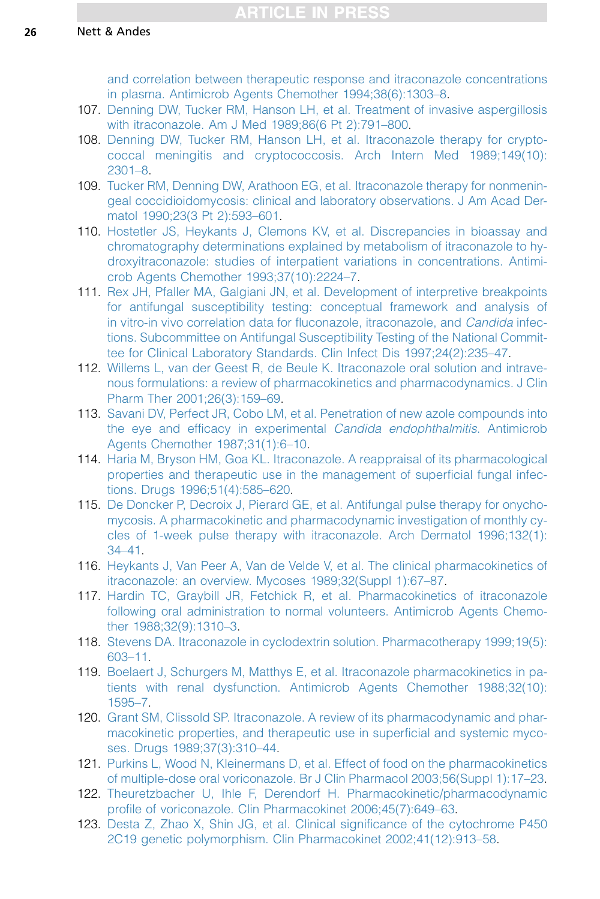<span id="page-25-0"></span>[and correlation between therapeutic response and itraconazole concentrations](http://refhub.elsevier.com/S0891-5520(15)00101-4/sref106) [in plasma. Antimicrob Agents Chemother 1994;38\(6\):1303–8.](http://refhub.elsevier.com/S0891-5520(15)00101-4/sref106)

- 107. [Denning DW, Tucker RM, Hanson LH, et al. Treatment of invasive aspergillosis](http://refhub.elsevier.com/S0891-5520(15)00101-4/sref107) [with itraconazole. Am J Med 1989;86\(6 Pt 2\):791–800.](http://refhub.elsevier.com/S0891-5520(15)00101-4/sref107)
- 108. [Denning DW, Tucker RM, Hanson LH, et al. Itraconazole therapy for crypto](http://refhub.elsevier.com/S0891-5520(15)00101-4/sref108)[coccal meningitis and cryptococcosis. Arch Intern Med 1989;149\(10\):](http://refhub.elsevier.com/S0891-5520(15)00101-4/sref108) [2301–8.](http://refhub.elsevier.com/S0891-5520(15)00101-4/sref108)
- 109. [Tucker RM, Denning DW, Arathoon EG, et al. Itraconazole therapy for nonmenin](http://refhub.elsevier.com/S0891-5520(15)00101-4/sref109)[geal coccidioidomycosis: clinical and laboratory observations. J Am Acad Der](http://refhub.elsevier.com/S0891-5520(15)00101-4/sref109)[matol 1990;23\(3 Pt 2\):593–601.](http://refhub.elsevier.com/S0891-5520(15)00101-4/sref109)
- 110. [Hostetler JS, Heykants J, Clemons KV, et al. Discrepancies in bioassay and](http://refhub.elsevier.com/S0891-5520(15)00101-4/sref110) [chromatography determinations explained by metabolism of itraconazole to hy](http://refhub.elsevier.com/S0891-5520(15)00101-4/sref110)[droxyitraconazole: studies of interpatient variations in concentrations. Antimi](http://refhub.elsevier.com/S0891-5520(15)00101-4/sref110)[crob Agents Chemother 1993;37\(10\):2224–7.](http://refhub.elsevier.com/S0891-5520(15)00101-4/sref110)
- 111. [Rex JH, Pfaller MA, Galgiani JN, et al. Development of interpretive breakpoints](http://refhub.elsevier.com/S0891-5520(15)00101-4/sref111) [for antifungal susceptibility testing: conceptual framework and analysis of](http://refhub.elsevier.com/S0891-5520(15)00101-4/sref111) [in vitro-in vivo correlation data for fluconazole, itraconazole, and](http://refhub.elsevier.com/S0891-5520(15)00101-4/sref111) Candida infec[tions. Subcommittee on Antifungal Susceptibility Testing of the National Commit](http://refhub.elsevier.com/S0891-5520(15)00101-4/sref111)[tee for Clinical Laboratory Standards. Clin Infect Dis 1997;24\(2\):235–47.](http://refhub.elsevier.com/S0891-5520(15)00101-4/sref111)
- 112. [Willems L, van der Geest R, de Beule K. Itraconazole oral solution and intrave](http://refhub.elsevier.com/S0891-5520(15)00101-4/sref112)[nous formulations: a review of pharmacokinetics and pharmacodynamics. J Clin](http://refhub.elsevier.com/S0891-5520(15)00101-4/sref112) [Pharm Ther 2001;26\(3\):159–69.](http://refhub.elsevier.com/S0891-5520(15)00101-4/sref112)
- 113. [Savani DV, Perfect JR, Cobo LM, et al. Penetration of new azole compounds into](http://refhub.elsevier.com/S0891-5520(15)00101-4/sref113) [the eye and efficacy in experimental](http://refhub.elsevier.com/S0891-5520(15)00101-4/sref113) Candida endophthalmitis. Antimicrob [Agents Chemother 1987;31\(1\):6–10.](http://refhub.elsevier.com/S0891-5520(15)00101-4/sref113)
- 114. [Haria M, Bryson HM, Goa KL. Itraconazole. A reappraisal of its pharmacological](http://refhub.elsevier.com/S0891-5520(15)00101-4/sref114) [properties and therapeutic use in the management of superficial fungal infec](http://refhub.elsevier.com/S0891-5520(15)00101-4/sref114)[tions. Drugs 1996;51\(4\):585–620.](http://refhub.elsevier.com/S0891-5520(15)00101-4/sref114)
- 115. [De Doncker P, Decroix J, Pierard GE, et al. Antifungal pulse therapy for onycho](http://refhub.elsevier.com/S0891-5520(15)00101-4/sref115)[mycosis. A pharmacokinetic and pharmacodynamic investigation of monthly cy](http://refhub.elsevier.com/S0891-5520(15)00101-4/sref115)[cles of 1-week pulse therapy with itraconazole. Arch Dermatol 1996;132\(1\):](http://refhub.elsevier.com/S0891-5520(15)00101-4/sref115) [34–41.](http://refhub.elsevier.com/S0891-5520(15)00101-4/sref115)
- 116. [Heykants J, Van Peer A, Van de Velde V, et al. The clinical pharmacokinetics of](http://refhub.elsevier.com/S0891-5520(15)00101-4/sref116) [itraconazole: an overview. Mycoses 1989;32\(Suppl 1\):67–87.](http://refhub.elsevier.com/S0891-5520(15)00101-4/sref116)
- 117. [Hardin TC, Graybill JR, Fetchick R, et al. Pharmacokinetics of itraconazole](http://refhub.elsevier.com/S0891-5520(15)00101-4/sref117) [following oral administration to normal volunteers. Antimicrob Agents Chemo](http://refhub.elsevier.com/S0891-5520(15)00101-4/sref117)[ther 1988;32\(9\):1310–3.](http://refhub.elsevier.com/S0891-5520(15)00101-4/sref117)
- 118. [Stevens DA. Itraconazole in cyclodextrin solution. Pharmacotherapy 1999;19\(5\):](http://refhub.elsevier.com/S0891-5520(15)00101-4/sref118) [603–11.](http://refhub.elsevier.com/S0891-5520(15)00101-4/sref118)
- 119. [Boelaert J, Schurgers M, Matthys E, et al. Itraconazole pharmacokinetics in pa](http://refhub.elsevier.com/S0891-5520(15)00101-4/sref119)[tients with renal dysfunction. Antimicrob Agents Chemother 1988;32\(10\):](http://refhub.elsevier.com/S0891-5520(15)00101-4/sref119) [1595–7.](http://refhub.elsevier.com/S0891-5520(15)00101-4/sref119)
- 120. [Grant SM, Clissold SP. Itraconazole. A review of its pharmacodynamic and phar](http://refhub.elsevier.com/S0891-5520(15)00101-4/sref120)[macokinetic properties, and therapeutic use in superficial and systemic myco](http://refhub.elsevier.com/S0891-5520(15)00101-4/sref120)[ses. Drugs 1989;37\(3\):310–44.](http://refhub.elsevier.com/S0891-5520(15)00101-4/sref120)
- 121. [Purkins L, Wood N, Kleinermans D, et al. Effect of food on the pharmacokinetics](http://refhub.elsevier.com/S0891-5520(15)00101-4/sref121) [of multiple-dose oral voriconazole. Br J Clin Pharmacol 2003;56\(Suppl 1\):17–23.](http://refhub.elsevier.com/S0891-5520(15)00101-4/sref121)
- 122. [Theuretzbacher U, Ihle F, Derendorf H. Pharmacokinetic/pharmacodynamic](http://refhub.elsevier.com/S0891-5520(15)00101-4/sref122) [profile of voriconazole. Clin Pharmacokinet 2006;45\(7\):649–63](http://refhub.elsevier.com/S0891-5520(15)00101-4/sref122).
- 123. [Desta Z, Zhao X, Shin JG, et al. Clinical significance of the cytochrome P450](http://refhub.elsevier.com/S0891-5520(15)00101-4/sref123) [2C19 genetic polymorphism. Clin Pharmacokinet 2002;41\(12\):913–58](http://refhub.elsevier.com/S0891-5520(15)00101-4/sref123).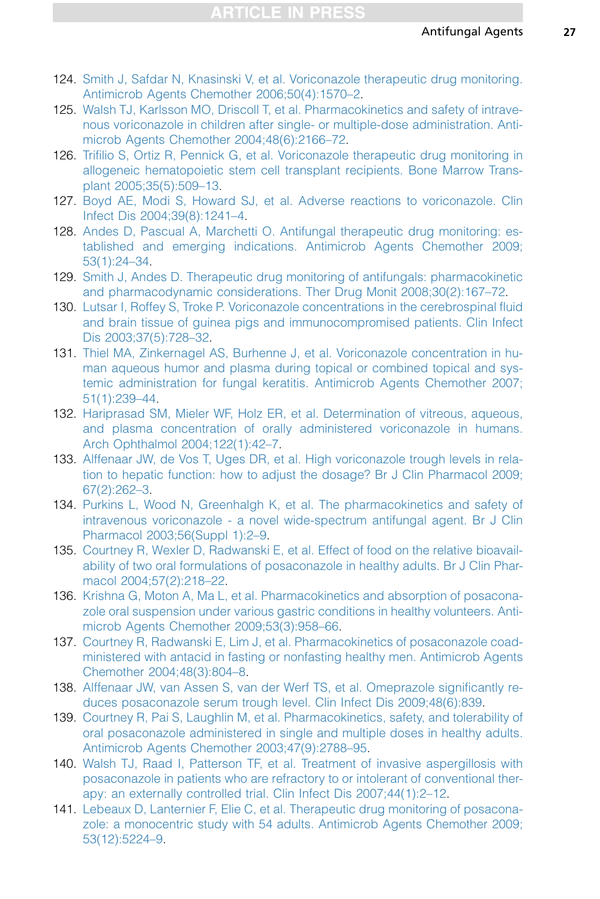- <span id="page-26-0"></span>124. [Smith J, Safdar N, Knasinski V, et al. Voriconazole therapeutic drug monitoring.](http://refhub.elsevier.com/S0891-5520(15)00101-4/sref124) [Antimicrob Agents Chemother 2006;50\(4\):1570–2](http://refhub.elsevier.com/S0891-5520(15)00101-4/sref124).
- 125. [Walsh TJ, Karlsson MO, Driscoll T, et al. Pharmacokinetics and safety of intrave](http://refhub.elsevier.com/S0891-5520(15)00101-4/sref125)[nous voriconazole in children after single- or multiple-dose administration. Anti](http://refhub.elsevier.com/S0891-5520(15)00101-4/sref125)[microb Agents Chemother 2004;48\(6\):2166–72.](http://refhub.elsevier.com/S0891-5520(15)00101-4/sref125)
- 126. [Trifilio S, Ortiz R, Pennick G, et al. Voriconazole therapeutic drug monitoring in](http://refhub.elsevier.com/S0891-5520(15)00101-4/sref126) [allogeneic hematopoietic stem cell transplant recipients. Bone Marrow Trans](http://refhub.elsevier.com/S0891-5520(15)00101-4/sref126)[plant 2005;35\(5\):509–13](http://refhub.elsevier.com/S0891-5520(15)00101-4/sref126).
- 127. [Boyd AE, Modi S, Howard SJ, et al. Adverse reactions to voriconazole. Clin](http://refhub.elsevier.com/S0891-5520(15)00101-4/sref127) [Infect Dis 2004;39\(8\):1241–4.](http://refhub.elsevier.com/S0891-5520(15)00101-4/sref127)
- 128. [Andes D, Pascual A, Marchetti O. Antifungal therapeutic drug monitoring: es](http://refhub.elsevier.com/S0891-5520(15)00101-4/sref128)[tablished and emerging indications. Antimicrob Agents Chemother 2009;](http://refhub.elsevier.com/S0891-5520(15)00101-4/sref128) [53\(1\):24–34](http://refhub.elsevier.com/S0891-5520(15)00101-4/sref128).
- 129. [Smith J, Andes D. Therapeutic drug monitoring of antifungals: pharmacokinetic](http://refhub.elsevier.com/S0891-5520(15)00101-4/sref129) [and pharmacodynamic considerations. Ther Drug Monit 2008;30\(2\):167–72.](http://refhub.elsevier.com/S0891-5520(15)00101-4/sref129)
- 130. [Lutsar I, Roffey S, Troke P. Voriconazole concentrations in the cerebrospinal fluid](http://refhub.elsevier.com/S0891-5520(15)00101-4/sref130) [and brain tissue of guinea pigs and immunocompromised patients. Clin Infect](http://refhub.elsevier.com/S0891-5520(15)00101-4/sref130) [Dis 2003;37\(5\):728–32](http://refhub.elsevier.com/S0891-5520(15)00101-4/sref130).
- 131. [Thiel MA, Zinkernagel AS, Burhenne J, et al. Voriconazole concentration in hu](http://refhub.elsevier.com/S0891-5520(15)00101-4/sref131)[man aqueous humor and plasma during topical or combined topical and sys](http://refhub.elsevier.com/S0891-5520(15)00101-4/sref131)[temic administration for fungal keratitis. Antimicrob Agents Chemother 2007;](http://refhub.elsevier.com/S0891-5520(15)00101-4/sref131) [51\(1\):239–44](http://refhub.elsevier.com/S0891-5520(15)00101-4/sref131).
- 132. [Hariprasad SM, Mieler WF, Holz ER, et al. Determination of vitreous, aqueous,](http://refhub.elsevier.com/S0891-5520(15)00101-4/sref132) [and plasma concentration of orally administered voriconazole in humans.](http://refhub.elsevier.com/S0891-5520(15)00101-4/sref132) [Arch Ophthalmol 2004;122\(1\):42–7.](http://refhub.elsevier.com/S0891-5520(15)00101-4/sref132)
- 133. [Alffenaar JW, de Vos T, Uges DR, et al. High voriconazole trough levels in rela](http://refhub.elsevier.com/S0891-5520(15)00101-4/sref133)[tion to hepatic function: how to adjust the dosage? Br J Clin Pharmacol 2009;](http://refhub.elsevier.com/S0891-5520(15)00101-4/sref133) [67\(2\):262–3](http://refhub.elsevier.com/S0891-5520(15)00101-4/sref133).
- 134. [Purkins L, Wood N, Greenhalgh K, et al. The pharmacokinetics and safety of](http://refhub.elsevier.com/S0891-5520(15)00101-4/sref134) [intravenous voriconazole - a novel wide-spectrum antifungal agent. Br J Clin](http://refhub.elsevier.com/S0891-5520(15)00101-4/sref134) [Pharmacol 2003;56\(Suppl 1\):2–9.](http://refhub.elsevier.com/S0891-5520(15)00101-4/sref134)
- 135. [Courtney R, Wexler D, Radwanski E, et al. Effect of food on the relative bioavail](http://refhub.elsevier.com/S0891-5520(15)00101-4/sref135)[ability of two oral formulations of posaconazole in healthy adults. Br J Clin Phar](http://refhub.elsevier.com/S0891-5520(15)00101-4/sref135)[macol 2004;57\(2\):218–22.](http://refhub.elsevier.com/S0891-5520(15)00101-4/sref135)
- 136. [Krishna G, Moton A, Ma L, et al. Pharmacokinetics and absorption of posacona](http://refhub.elsevier.com/S0891-5520(15)00101-4/sref136)[zole oral suspension under various gastric conditions in healthy volunteers. Anti](http://refhub.elsevier.com/S0891-5520(15)00101-4/sref136)[microb Agents Chemother 2009;53\(3\):958–66.](http://refhub.elsevier.com/S0891-5520(15)00101-4/sref136)
- 137. [Courtney R, Radwanski E, Lim J, et al. Pharmacokinetics of posaconazole coad](http://refhub.elsevier.com/S0891-5520(15)00101-4/sref137)[ministered with antacid in fasting or nonfasting healthy men. Antimicrob Agents](http://refhub.elsevier.com/S0891-5520(15)00101-4/sref137) [Chemother 2004;48\(3\):804–8.](http://refhub.elsevier.com/S0891-5520(15)00101-4/sref137)
- 138. [Alffenaar JW, van Assen S, van der Werf TS, et al. Omeprazole significantly re](http://refhub.elsevier.com/S0891-5520(15)00101-4/sref138)[duces posaconazole serum trough level. Clin Infect Dis 2009;48\(6\):839](http://refhub.elsevier.com/S0891-5520(15)00101-4/sref138).
- 139. [Courtney R, Pai S, Laughlin M, et al. Pharmacokinetics, safety, and tolerability of](http://refhub.elsevier.com/S0891-5520(15)00101-4/sref139) [oral posaconazole administered in single and multiple doses in healthy adults.](http://refhub.elsevier.com/S0891-5520(15)00101-4/sref139) [Antimicrob Agents Chemother 2003;47\(9\):2788–95](http://refhub.elsevier.com/S0891-5520(15)00101-4/sref139).
- 140. [Walsh TJ, Raad I, Patterson TF, et al. Treatment of invasive aspergillosis with](http://refhub.elsevier.com/S0891-5520(15)00101-4/sref140) [posaconazole in patients who are refractory to or intolerant of conventional ther](http://refhub.elsevier.com/S0891-5520(15)00101-4/sref140)[apy: an externally controlled trial. Clin Infect Dis 2007;44\(1\):2–12](http://refhub.elsevier.com/S0891-5520(15)00101-4/sref140).
- 141. [Lebeaux D, Lanternier F, Elie C, et al. Therapeutic drug monitoring of posacona](http://refhub.elsevier.com/S0891-5520(15)00101-4/sref141)[zole: a monocentric study with 54 adults. Antimicrob Agents Chemother 2009;](http://refhub.elsevier.com/S0891-5520(15)00101-4/sref141) [53\(12\):5224–9](http://refhub.elsevier.com/S0891-5520(15)00101-4/sref141).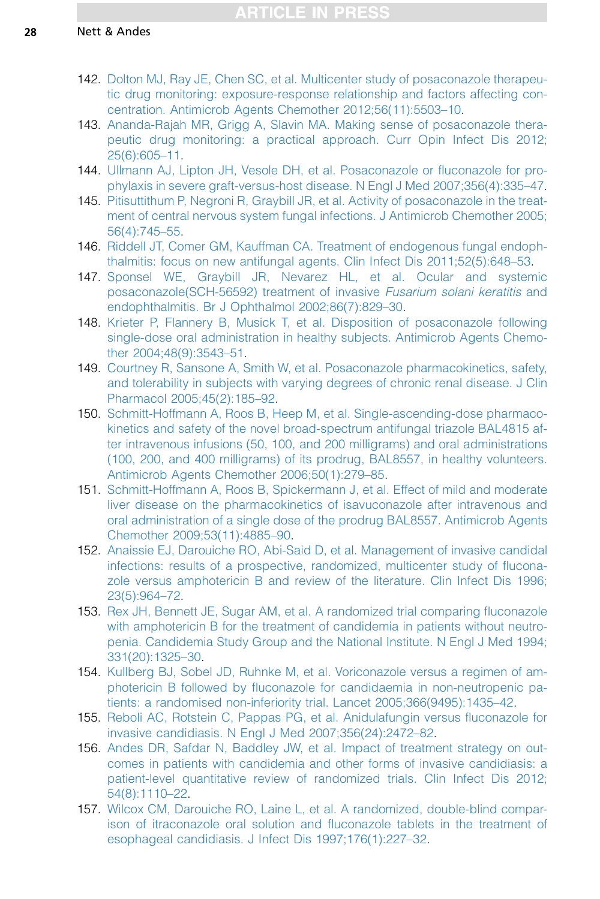- <span id="page-27-0"></span>142. [Dolton MJ, Ray JE, Chen SC, et al. Multicenter study of posaconazole therapeu](http://refhub.elsevier.com/S0891-5520(15)00101-4/sref142)[tic drug monitoring: exposure-response relationship and factors affecting con](http://refhub.elsevier.com/S0891-5520(15)00101-4/sref142)[centration. Antimicrob Agents Chemother 2012;56\(11\):5503–10.](http://refhub.elsevier.com/S0891-5520(15)00101-4/sref142)
- 143. [Ananda-Rajah MR, Grigg A, Slavin MA. Making sense of posaconazole thera](http://refhub.elsevier.com/S0891-5520(15)00101-4/sref143)[peutic drug monitoring: a practical approach. Curr Opin Infect Dis 2012;](http://refhub.elsevier.com/S0891-5520(15)00101-4/sref143) [25\(6\):605–11.](http://refhub.elsevier.com/S0891-5520(15)00101-4/sref143)
- 144. [Ullmann AJ, Lipton JH, Vesole DH, et al. Posaconazole or fluconazole for pro](http://refhub.elsevier.com/S0891-5520(15)00101-4/sref144)[phylaxis in severe graft-versus-host disease. N Engl J Med 2007;356\(4\):335–47.](http://refhub.elsevier.com/S0891-5520(15)00101-4/sref144)
- 145. [Pitisuttithum P, Negroni R, Graybill JR, et al. Activity of posaconazole in the treat](http://refhub.elsevier.com/S0891-5520(15)00101-4/sref145)[ment of central nervous system fungal infections. J Antimicrob Chemother 2005;](http://refhub.elsevier.com/S0891-5520(15)00101-4/sref145) [56\(4\):745–55.](http://refhub.elsevier.com/S0891-5520(15)00101-4/sref145)
- 146. [Riddell JT, Comer GM, Kauffman CA. Treatment of endogenous fungal endoph](http://refhub.elsevier.com/S0891-5520(15)00101-4/sref146)[thalmitis: focus on new antifungal agents. Clin Infect Dis 2011;52\(5\):648–53](http://refhub.elsevier.com/S0891-5520(15)00101-4/sref146).
- 147. [Sponsel WE, Graybill JR, Nevarez HL, et al. Ocular and systemic](http://refhub.elsevier.com/S0891-5520(15)00101-4/sref147) [posaconazole\(SCH-56592\) treatment of invasive](http://refhub.elsevier.com/S0891-5520(15)00101-4/sref147) Fusarium solani keratitis and [endophthalmitis. Br J Ophthalmol 2002;86\(7\):829–30.](http://refhub.elsevier.com/S0891-5520(15)00101-4/sref147)
- 148. [Krieter P, Flannery B, Musick T, et al. Disposition of posaconazole following](http://refhub.elsevier.com/S0891-5520(15)00101-4/sref148) [single-dose oral administration in healthy subjects. Antimicrob Agents Chemo](http://refhub.elsevier.com/S0891-5520(15)00101-4/sref148)[ther 2004;48\(9\):3543–51.](http://refhub.elsevier.com/S0891-5520(15)00101-4/sref148)
- 149. [Courtney R, Sansone A, Smith W, et al. Posaconazole pharmacokinetics, safety,](http://refhub.elsevier.com/S0891-5520(15)00101-4/sref149) [and tolerability in subjects with varying degrees of chronic renal disease. J Clin](http://refhub.elsevier.com/S0891-5520(15)00101-4/sref149) [Pharmacol 2005;45\(2\):185–92.](http://refhub.elsevier.com/S0891-5520(15)00101-4/sref149)
- 150. [Schmitt-Hoffmann A, Roos B, Heep M, et al. Single-ascending-dose pharmaco](http://refhub.elsevier.com/S0891-5520(15)00101-4/sref150)[kinetics and safety of the novel broad-spectrum antifungal triazole BAL4815 af](http://refhub.elsevier.com/S0891-5520(15)00101-4/sref150)[ter intravenous infusions \(50, 100, and 200 milligrams\) and oral administrations](http://refhub.elsevier.com/S0891-5520(15)00101-4/sref150) [\(100, 200, and 400 milligrams\) of its prodrug, BAL8557, in healthy volunteers.](http://refhub.elsevier.com/S0891-5520(15)00101-4/sref150) [Antimicrob Agents Chemother 2006;50\(1\):279–85.](http://refhub.elsevier.com/S0891-5520(15)00101-4/sref150)
- 151. [Schmitt-Hoffmann A, Roos B, Spickermann J, et al. Effect of mild and moderate](http://refhub.elsevier.com/S0891-5520(15)00101-4/sref151) [liver disease on the pharmacokinetics of isavuconazole after intravenous and](http://refhub.elsevier.com/S0891-5520(15)00101-4/sref151) [oral administration of a single dose of the prodrug BAL8557. Antimicrob Agents](http://refhub.elsevier.com/S0891-5520(15)00101-4/sref151) [Chemother 2009;53\(11\):4885–90](http://refhub.elsevier.com/S0891-5520(15)00101-4/sref151).
- 152. [Anaissie EJ, Darouiche RO, Abi-Said D, et al. Management of invasive candidal](http://refhub.elsevier.com/S0891-5520(15)00101-4/sref152) [infections: results of a prospective, randomized, multicenter study of flucona](http://refhub.elsevier.com/S0891-5520(15)00101-4/sref152)[zole versus amphotericin B and review of the literature. Clin Infect Dis 1996;](http://refhub.elsevier.com/S0891-5520(15)00101-4/sref152) [23\(5\):964–72.](http://refhub.elsevier.com/S0891-5520(15)00101-4/sref152)
- 153. [Rex JH, Bennett JE, Sugar AM, et al. A randomized trial comparing fluconazole](http://refhub.elsevier.com/S0891-5520(15)00101-4/sref153) [with amphotericin B for the treatment of candidemia in patients without neutro](http://refhub.elsevier.com/S0891-5520(15)00101-4/sref153)[penia. Candidemia Study Group and the National Institute. N Engl J Med 1994;](http://refhub.elsevier.com/S0891-5520(15)00101-4/sref153) [331\(20\):1325–30.](http://refhub.elsevier.com/S0891-5520(15)00101-4/sref153)
- 154. [Kullberg BJ, Sobel JD, Ruhnke M, et al. Voriconazole versus a regimen of am](http://refhub.elsevier.com/S0891-5520(15)00101-4/sref154)[photericin B followed by fluconazole for candidaemia in non-neutropenic pa](http://refhub.elsevier.com/S0891-5520(15)00101-4/sref154)[tients: a randomised non-inferiority trial. Lancet 2005;366\(9495\):1435–42.](http://refhub.elsevier.com/S0891-5520(15)00101-4/sref154)
- 155. [Reboli AC, Rotstein C, Pappas PG, et al. Anidulafungin versus fluconazole for](http://refhub.elsevier.com/S0891-5520(15)00101-4/sref155) [invasive candidiasis. N Engl J Med 2007;356\(24\):2472–82](http://refhub.elsevier.com/S0891-5520(15)00101-4/sref155).
- 156. [Andes DR, Safdar N, Baddley JW, et al. Impact of treatment strategy on out](http://refhub.elsevier.com/S0891-5520(15)00101-4/sref156)[comes in patients with candidemia and other forms of invasive candidiasis: a](http://refhub.elsevier.com/S0891-5520(15)00101-4/sref156) [patient-level quantitative review of randomized trials. Clin Infect Dis 2012;](http://refhub.elsevier.com/S0891-5520(15)00101-4/sref156) [54\(8\):1110–22.](http://refhub.elsevier.com/S0891-5520(15)00101-4/sref156)
- 157. [Wilcox CM, Darouiche RO, Laine L, et al. A randomized, double-blind compar](http://refhub.elsevier.com/S0891-5520(15)00101-4/sref157)[ison of itraconazole oral solution and fluconazole tablets in the treatment of](http://refhub.elsevier.com/S0891-5520(15)00101-4/sref157) [esophageal candidiasis. J Infect Dis 1997;176\(1\):227–32](http://refhub.elsevier.com/S0891-5520(15)00101-4/sref157).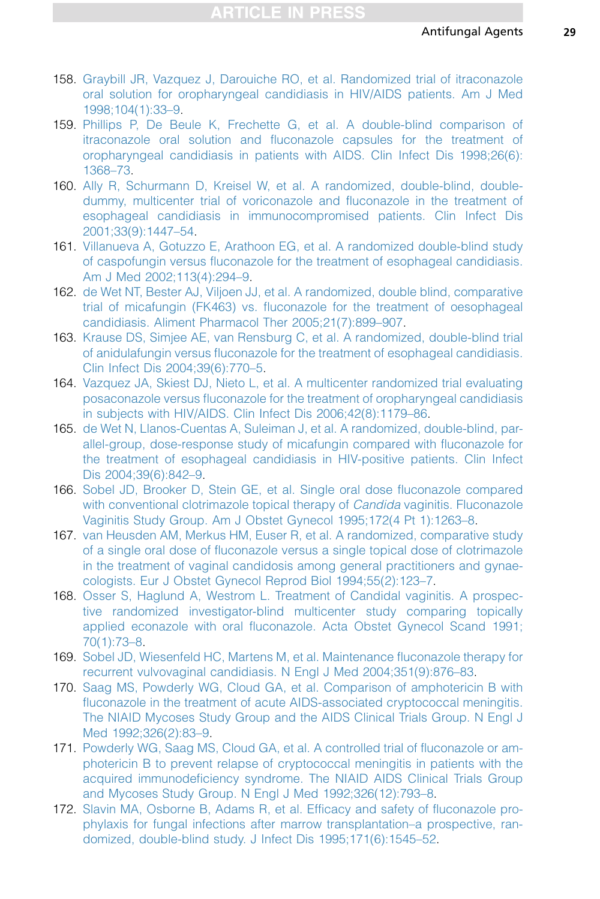- <span id="page-28-0"></span>158. [Graybill JR, Vazquez J, Darouiche RO, et al. Randomized trial of itraconazole](http://refhub.elsevier.com/S0891-5520(15)00101-4/sref158) [oral solution for oropharyngeal candidiasis in HIV/AIDS patients. Am J Med](http://refhub.elsevier.com/S0891-5520(15)00101-4/sref158) [1998;104\(1\):33–9.](http://refhub.elsevier.com/S0891-5520(15)00101-4/sref158)
- 159. [Phillips P, De Beule K, Frechette G, et al. A double-blind comparison of](http://refhub.elsevier.com/S0891-5520(15)00101-4/sref159) [itraconazole oral solution and fluconazole capsules for the treatment of](http://refhub.elsevier.com/S0891-5520(15)00101-4/sref159) [oropharyngeal candidiasis in patients with AIDS. Clin Infect Dis 1998;26\(6\):](http://refhub.elsevier.com/S0891-5520(15)00101-4/sref159) [1368–73.](http://refhub.elsevier.com/S0891-5520(15)00101-4/sref159)
- 160. [Ally R, Schurmann D, Kreisel W, et al. A randomized, double-blind, double](http://refhub.elsevier.com/S0891-5520(15)00101-4/sref160)[dummy, multicenter trial of voriconazole and fluconazole in the treatment of](http://refhub.elsevier.com/S0891-5520(15)00101-4/sref160) [esophageal candidiasis in immunocompromised patients. Clin Infect Dis](http://refhub.elsevier.com/S0891-5520(15)00101-4/sref160) [2001;33\(9\):1447–54.](http://refhub.elsevier.com/S0891-5520(15)00101-4/sref160)
- 161. [Villanueva A, Gotuzzo E, Arathoon EG, et al. A randomized double-blind study](http://refhub.elsevier.com/S0891-5520(15)00101-4/sref161) [of caspofungin versus fluconazole for the treatment of esophageal candidiasis.](http://refhub.elsevier.com/S0891-5520(15)00101-4/sref161) [Am J Med 2002;113\(4\):294–9](http://refhub.elsevier.com/S0891-5520(15)00101-4/sref161).
- 162. [de Wet NT, Bester AJ, Viljoen JJ, et al. A randomized, double blind, comparative](http://refhub.elsevier.com/S0891-5520(15)00101-4/sref162) [trial of micafungin \(FK463\) vs. fluconazole for the treatment of oesophageal](http://refhub.elsevier.com/S0891-5520(15)00101-4/sref162) [candidiasis. Aliment Pharmacol Ther 2005;21\(7\):899–907](http://refhub.elsevier.com/S0891-5520(15)00101-4/sref162).
- 163. [Krause DS, Simjee AE, van Rensburg C, et al. A randomized, double-blind trial](http://refhub.elsevier.com/S0891-5520(15)00101-4/sref163) [of anidulafungin versus fluconazole for the treatment of esophageal candidiasis.](http://refhub.elsevier.com/S0891-5520(15)00101-4/sref163) [Clin Infect Dis 2004;39\(6\):770–5](http://refhub.elsevier.com/S0891-5520(15)00101-4/sref163).
- 164. [Vazquez JA, Skiest DJ, Nieto L, et al. A multicenter randomized trial evaluating](http://refhub.elsevier.com/S0891-5520(15)00101-4/sref164) [posaconazole versus fluconazole for the treatment of oropharyngeal candidiasis](http://refhub.elsevier.com/S0891-5520(15)00101-4/sref164) [in subjects with HIV/AIDS. Clin Infect Dis 2006;42\(8\):1179–86.](http://refhub.elsevier.com/S0891-5520(15)00101-4/sref164)
- 165. [de Wet N, Llanos-Cuentas A, Suleiman J, et al. A randomized, double-blind, par](http://refhub.elsevier.com/S0891-5520(15)00101-4/sref165)[allel-group, dose-response study of micafungin compared with fluconazole for](http://refhub.elsevier.com/S0891-5520(15)00101-4/sref165) [the treatment of esophageal candidiasis in HIV-positive patients. Clin Infect](http://refhub.elsevier.com/S0891-5520(15)00101-4/sref165) [Dis 2004;39\(6\):842–9.](http://refhub.elsevier.com/S0891-5520(15)00101-4/sref165)
- 166. [Sobel JD, Brooker D, Stein GE, et al. Single oral dose fluconazole compared](http://refhub.elsevier.com/S0891-5520(15)00101-4/sref166) [with conventional clotrimazole topical therapy of](http://refhub.elsevier.com/S0891-5520(15)00101-4/sref166) *Candida* vaginitis. Fluconazole [Vaginitis Study Group. Am J Obstet Gynecol 1995;172\(4 Pt 1\):1263–8.](http://refhub.elsevier.com/S0891-5520(15)00101-4/sref166)
- 167. [van Heusden AM, Merkus HM, Euser R, et al. A randomized, comparative study](http://refhub.elsevier.com/S0891-5520(15)00101-4/sref167) [of a single oral dose of fluconazole versus a single topical dose of clotrimazole](http://refhub.elsevier.com/S0891-5520(15)00101-4/sref167) [in the treatment of vaginal candidosis among general practitioners and gynae](http://refhub.elsevier.com/S0891-5520(15)00101-4/sref167)[cologists. Eur J Obstet Gynecol Reprod Biol 1994;55\(2\):123–7.](http://refhub.elsevier.com/S0891-5520(15)00101-4/sref167)
- 168. [Osser S, Haglund A, Westrom L. Treatment of Candidal vaginitis. A prospec](http://refhub.elsevier.com/S0891-5520(15)00101-4/sref168)[tive randomized investigator-blind multicenter study comparing topically](http://refhub.elsevier.com/S0891-5520(15)00101-4/sref168) [applied econazole with oral fluconazole. Acta Obstet Gynecol Scand 1991;](http://refhub.elsevier.com/S0891-5520(15)00101-4/sref168) [70\(1\):73–8](http://refhub.elsevier.com/S0891-5520(15)00101-4/sref168).
- 169. [Sobel JD, Wiesenfeld HC, Martens M, et al. Maintenance fluconazole therapy for](http://refhub.elsevier.com/S0891-5520(15)00101-4/sref169) [recurrent vulvovaginal candidiasis. N Engl J Med 2004;351\(9\):876–83](http://refhub.elsevier.com/S0891-5520(15)00101-4/sref169).
- 170. [Saag MS, Powderly WG, Cloud GA, et al. Comparison of amphotericin B with](http://refhub.elsevier.com/S0891-5520(15)00101-4/sref170) [fluconazole in the treatment of acute AIDS-associated cryptococcal meningitis.](http://refhub.elsevier.com/S0891-5520(15)00101-4/sref170) [The NIAID Mycoses Study Group and the AIDS Clinical Trials Group. N Engl J](http://refhub.elsevier.com/S0891-5520(15)00101-4/sref170) [Med 1992;326\(2\):83–9.](http://refhub.elsevier.com/S0891-5520(15)00101-4/sref170)
- 171. [Powderly WG, Saag MS, Cloud GA, et al. A controlled trial of fluconazole or am](http://refhub.elsevier.com/S0891-5520(15)00101-4/sref171)[photericin B to prevent relapse of cryptococcal meningitis in patients with the](http://refhub.elsevier.com/S0891-5520(15)00101-4/sref171) [acquired immunodeficiency syndrome. The NIAID AIDS Clinical Trials Group](http://refhub.elsevier.com/S0891-5520(15)00101-4/sref171) [and Mycoses Study Group. N Engl J Med 1992;326\(12\):793–8](http://refhub.elsevier.com/S0891-5520(15)00101-4/sref171).
- 172. [Slavin MA, Osborne B, Adams R, et al. Efficacy and safety of fluconazole pro](http://refhub.elsevier.com/S0891-5520(15)00101-4/sref172)[phylaxis for fungal infections after marrow transplantation–a prospective, ran](http://refhub.elsevier.com/S0891-5520(15)00101-4/sref172)[domized, double-blind study. J Infect Dis 1995;171\(6\):1545–52.](http://refhub.elsevier.com/S0891-5520(15)00101-4/sref172)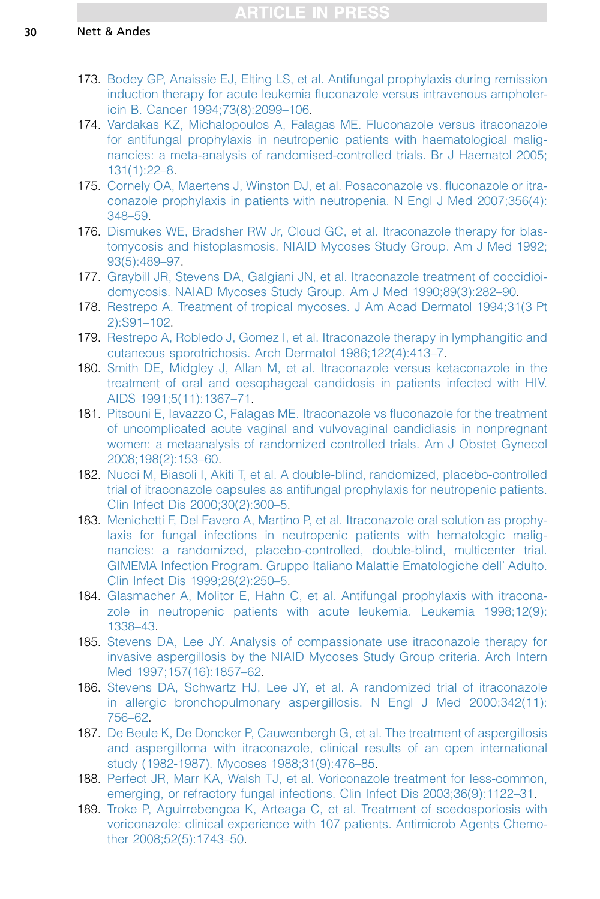- <span id="page-29-0"></span>173. [Bodey GP, Anaissie EJ, Elting LS, et al. Antifungal prophylaxis during remission](http://refhub.elsevier.com/S0891-5520(15)00101-4/sref173) [induction therapy for acute leukemia fluconazole versus intravenous amphoter](http://refhub.elsevier.com/S0891-5520(15)00101-4/sref173)[icin B. Cancer 1994;73\(8\):2099–106.](http://refhub.elsevier.com/S0891-5520(15)00101-4/sref173)
- 174. [Vardakas KZ, Michalopoulos A, Falagas ME. Fluconazole versus itraconazole](http://refhub.elsevier.com/S0891-5520(15)00101-4/sref174) [for antifungal prophylaxis in neutropenic patients with haematological malig](http://refhub.elsevier.com/S0891-5520(15)00101-4/sref174)[nancies: a meta-analysis of randomised-controlled trials. Br J Haematol 2005;](http://refhub.elsevier.com/S0891-5520(15)00101-4/sref174) [131\(1\):22–8.](http://refhub.elsevier.com/S0891-5520(15)00101-4/sref174)
- 175. [Cornely OA, Maertens J, Winston DJ, et al. Posaconazole vs. fluconazole or itra](http://refhub.elsevier.com/S0891-5520(15)00101-4/sref175)[conazole prophylaxis in patients with neutropenia. N Engl J Med 2007;356\(4\):](http://refhub.elsevier.com/S0891-5520(15)00101-4/sref175) [348–59.](http://refhub.elsevier.com/S0891-5520(15)00101-4/sref175)
- 176. [Dismukes WE, Bradsher RW Jr, Cloud GC, et al. Itraconazole therapy for blas](http://refhub.elsevier.com/S0891-5520(15)00101-4/sref176)[tomycosis and histoplasmosis. NIAID Mycoses Study Group. Am J Med 1992;](http://refhub.elsevier.com/S0891-5520(15)00101-4/sref176) [93\(5\):489–97.](http://refhub.elsevier.com/S0891-5520(15)00101-4/sref176)
- 177. [Graybill JR, Stevens DA, Galgiani JN, et al. Itraconazole treatment of coccidioi](http://refhub.elsevier.com/S0891-5520(15)00101-4/sref177)[domycosis. NAIAD Mycoses Study Group. Am J Med 1990;89\(3\):282–90.](http://refhub.elsevier.com/S0891-5520(15)00101-4/sref177)
- 178. [Restrepo A. Treatment of tropical mycoses. J Am Acad Dermatol 1994;31\(3 Pt](http://refhub.elsevier.com/S0891-5520(15)00101-4/sref178) [2\):S91–102.](http://refhub.elsevier.com/S0891-5520(15)00101-4/sref178)
- 179. [Restrepo A, Robledo J, Gomez I, et al. Itraconazole therapy in lymphangitic and](http://refhub.elsevier.com/S0891-5520(15)00101-4/sref179) [cutaneous sporotrichosis. Arch Dermatol 1986;122\(4\):413–7](http://refhub.elsevier.com/S0891-5520(15)00101-4/sref179).
- 180. [Smith DE, Midgley J, Allan M, et al. Itraconazole versus ketaconazole in the](http://refhub.elsevier.com/S0891-5520(15)00101-4/sref180) [treatment of oral and oesophageal candidosis in patients infected with HIV.](http://refhub.elsevier.com/S0891-5520(15)00101-4/sref180) [AIDS 1991;5\(11\):1367–71.](http://refhub.elsevier.com/S0891-5520(15)00101-4/sref180)
- 181. [Pitsouni E, Iavazzo C, Falagas ME. Itraconazole vs fluconazole for the treatment](http://refhub.elsevier.com/S0891-5520(15)00101-4/sref181) [of uncomplicated acute vaginal and vulvovaginal candidiasis in nonpregnant](http://refhub.elsevier.com/S0891-5520(15)00101-4/sref181) [women: a metaanalysis of randomized controlled trials. Am J Obstet Gynecol](http://refhub.elsevier.com/S0891-5520(15)00101-4/sref181) [2008;198\(2\):153–60](http://refhub.elsevier.com/S0891-5520(15)00101-4/sref181).
- 182. [Nucci M, Biasoli I, Akiti T, et al. A double-blind, randomized, placebo-controlled](http://refhub.elsevier.com/S0891-5520(15)00101-4/sref182) [trial of itraconazole capsules as antifungal prophylaxis for neutropenic patients.](http://refhub.elsevier.com/S0891-5520(15)00101-4/sref182) [Clin Infect Dis 2000;30\(2\):300–5.](http://refhub.elsevier.com/S0891-5520(15)00101-4/sref182)
- 183. [Menichetti F, Del Favero A, Martino P, et al. Itraconazole oral solution as prophy](http://refhub.elsevier.com/S0891-5520(15)00101-4/sref183)[laxis for fungal infections in neutropenic patients with hematologic malig](http://refhub.elsevier.com/S0891-5520(15)00101-4/sref183)[nancies: a randomized, placebo-controlled, double-blind, multicenter trial.](http://refhub.elsevier.com/S0891-5520(15)00101-4/sref183) [GIMEMA Infection Program. Gruppo Italiano Malattie Ematologiche dell' Adulto.](http://refhub.elsevier.com/S0891-5520(15)00101-4/sref183) [Clin Infect Dis 1999;28\(2\):250–5.](http://refhub.elsevier.com/S0891-5520(15)00101-4/sref183)
- 184. [Glasmacher A, Molitor E, Hahn C, et al. Antifungal prophylaxis with itracona](http://refhub.elsevier.com/S0891-5520(15)00101-4/sref184)[zole in neutropenic patients with acute leukemia. Leukemia 1998;12\(9\):](http://refhub.elsevier.com/S0891-5520(15)00101-4/sref184) [1338–43](http://refhub.elsevier.com/S0891-5520(15)00101-4/sref184).
- 185. [Stevens DA, Lee JY. Analysis of compassionate use itraconazole therapy for](http://refhub.elsevier.com/S0891-5520(15)00101-4/sref185) [invasive aspergillosis by the NIAID Mycoses Study Group criteria. Arch Intern](http://refhub.elsevier.com/S0891-5520(15)00101-4/sref185) [Med 1997;157\(16\):1857–62.](http://refhub.elsevier.com/S0891-5520(15)00101-4/sref185)
- 186. [Stevens DA, Schwartz HJ, Lee JY, et al. A randomized trial of itraconazole](http://refhub.elsevier.com/S0891-5520(15)00101-4/sref186) [in allergic bronchopulmonary aspergillosis. N Engl J Med 2000;342\(11\):](http://refhub.elsevier.com/S0891-5520(15)00101-4/sref186) [756–62.](http://refhub.elsevier.com/S0891-5520(15)00101-4/sref186)
- 187. [De Beule K, De Doncker P, Cauwenbergh G, et al. The treatment of aspergillosis](http://refhub.elsevier.com/S0891-5520(15)00101-4/sref187) [and aspergilloma with itraconazole, clinical results of an open international](http://refhub.elsevier.com/S0891-5520(15)00101-4/sref187) [study \(1982-1987\). Mycoses 1988;31\(9\):476–85.](http://refhub.elsevier.com/S0891-5520(15)00101-4/sref187)
- 188. [Perfect JR, Marr KA, Walsh TJ, et al. Voriconazole treatment for less-common,](http://refhub.elsevier.com/S0891-5520(15)00101-4/sref188) [emerging, or refractory fungal infections. Clin Infect Dis 2003;36\(9\):1122–31](http://refhub.elsevier.com/S0891-5520(15)00101-4/sref188).
- 189. [Troke P, Aguirrebengoa K, Arteaga C, et al. Treatment of scedosporiosis with](http://refhub.elsevier.com/S0891-5520(15)00101-4/sref189) [voriconazole: clinical experience with 107 patients. Antimicrob Agents Chemo](http://refhub.elsevier.com/S0891-5520(15)00101-4/sref189)[ther 2008;52\(5\):1743–50.](http://refhub.elsevier.com/S0891-5520(15)00101-4/sref189)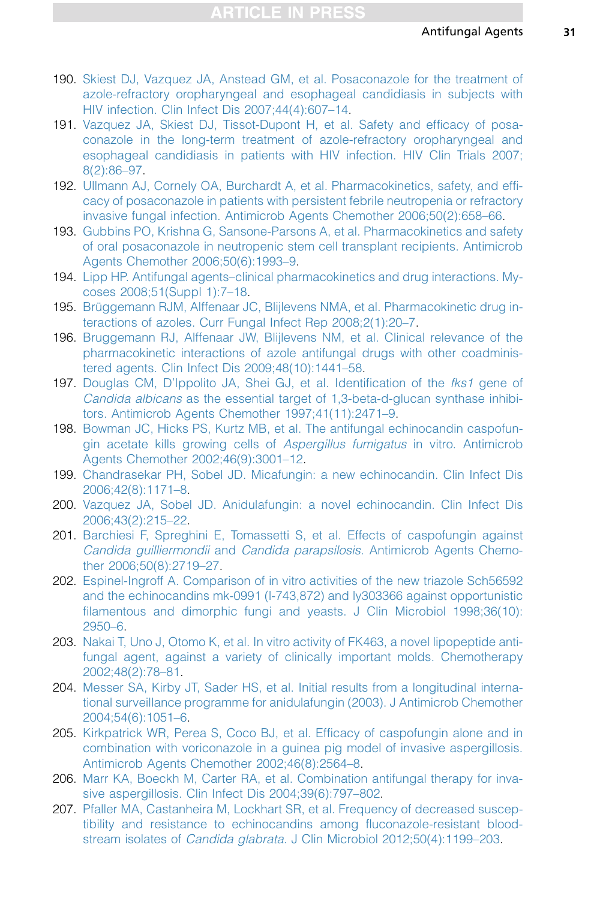- <span id="page-30-0"></span>190. [Skiest DJ, Vazquez JA, Anstead GM, et al. Posaconazole for the treatment of](http://refhub.elsevier.com/S0891-5520(15)00101-4/sref190) [azole-refractory oropharyngeal and esophageal candidiasis in subjects with](http://refhub.elsevier.com/S0891-5520(15)00101-4/sref190) [HIV infection. Clin Infect Dis 2007;44\(4\):607–14.](http://refhub.elsevier.com/S0891-5520(15)00101-4/sref190)
- 191. [Vazquez JA, Skiest DJ, Tissot-Dupont H, et al. Safety and efficacy of posa](http://refhub.elsevier.com/S0891-5520(15)00101-4/sref191)[conazole in the long-term treatment of azole-refractory oropharyngeal and](http://refhub.elsevier.com/S0891-5520(15)00101-4/sref191) [esophageal candidiasis in patients with HIV infection. HIV Clin Trials 2007;](http://refhub.elsevier.com/S0891-5520(15)00101-4/sref191) [8\(2\):86–97](http://refhub.elsevier.com/S0891-5520(15)00101-4/sref191).
- 192. [Ullmann AJ, Cornely OA, Burchardt A, et al. Pharmacokinetics, safety, and effi](http://refhub.elsevier.com/S0891-5520(15)00101-4/sref192)[cacy of posaconazole in patients with persistent febrile neutropenia or refractory](http://refhub.elsevier.com/S0891-5520(15)00101-4/sref192) [invasive fungal infection. Antimicrob Agents Chemother 2006;50\(2\):658–66.](http://refhub.elsevier.com/S0891-5520(15)00101-4/sref192)
- 193. [Gubbins PO, Krishna G, Sansone-Parsons A, et al. Pharmacokinetics and safety](http://refhub.elsevier.com/S0891-5520(15)00101-4/sref193) [of oral posaconazole in neutropenic stem cell transplant recipients. Antimicrob](http://refhub.elsevier.com/S0891-5520(15)00101-4/sref193) [Agents Chemother 2006;50\(6\):1993–9](http://refhub.elsevier.com/S0891-5520(15)00101-4/sref193).
- 194. [Lipp HP. Antifungal agents–clinical pharmacokinetics and drug interactions. My](http://refhub.elsevier.com/S0891-5520(15)00101-4/sref194)[coses 2008;51\(Suppl 1\):7–18.](http://refhub.elsevier.com/S0891-5520(15)00101-4/sref194)
- 195. Brüggemann RJM, Alffenaar JC, Blijlevens NMA, et al. Pharmacokinetic drug in[teractions of azoles. Curr Fungal Infect Rep 2008;2\(1\):20–7](http://refhub.elsevier.com/S0891-5520(15)00101-4/sref195).
- 196. [Bruggemann RJ, Alffenaar JW, Blijlevens NM, et al. Clinical relevance of the](http://refhub.elsevier.com/S0891-5520(15)00101-4/sref196) [pharmacokinetic interactions of azole antifungal drugs with other coadminis](http://refhub.elsevier.com/S0891-5520(15)00101-4/sref196)[tered agents. Clin Infect Dis 2009;48\(10\):1441–58.](http://refhub.elsevier.com/S0891-5520(15)00101-4/sref196)
- 197. [Douglas CM, D'Ippolito JA, Shei GJ, et al. Identification of the](http://refhub.elsevier.com/S0891-5520(15)00101-4/sref197) fks1 gene of Candida albicans [as the essential target of 1,3-beta-d-glucan synthase inhibi](http://refhub.elsevier.com/S0891-5520(15)00101-4/sref197)[tors. Antimicrob Agents Chemother 1997;41\(11\):2471–9.](http://refhub.elsevier.com/S0891-5520(15)00101-4/sref197)
- 198. [Bowman JC, Hicks PS, Kurtz MB, et al. The antifungal echinocandin caspofun](http://refhub.elsevier.com/S0891-5520(15)00101-4/sref198)[gin acetate kills growing cells of](http://refhub.elsevier.com/S0891-5520(15)00101-4/sref198) Aspergillus fumigatus in vitro. Antimicrob [Agents Chemother 2002;46\(9\):3001–12](http://refhub.elsevier.com/S0891-5520(15)00101-4/sref198).
- 199. [Chandrasekar PH, Sobel JD. Micafungin: a new echinocandin. Clin Infect Dis](http://refhub.elsevier.com/S0891-5520(15)00101-4/sref199) [2006;42\(8\):1171–8.](http://refhub.elsevier.com/S0891-5520(15)00101-4/sref199)
- 200. [Vazquez JA, Sobel JD. Anidulafungin: a novel echinocandin. Clin Infect Dis](http://refhub.elsevier.com/S0891-5520(15)00101-4/sref200) [2006;43\(2\):215–22.](http://refhub.elsevier.com/S0891-5520(15)00101-4/sref200)
- 201. [Barchiesi F, Spreghini E, Tomassetti S, et al. Effects of caspofungin against](http://refhub.elsevier.com/S0891-5520(15)00101-4/sref201) Candida guilliermondii and Candida parapsilosis[. Antimicrob Agents Chemo](http://refhub.elsevier.com/S0891-5520(15)00101-4/sref201)[ther 2006;50\(8\):2719–27.](http://refhub.elsevier.com/S0891-5520(15)00101-4/sref201)
- 202. [Espinel-Ingroff A. Comparison of in vitro activities of the new triazole Sch56592](http://refhub.elsevier.com/S0891-5520(15)00101-4/sref202) [and the echinocandins mk-0991 \(l-743,872\) and ly303366 against opportunistic](http://refhub.elsevier.com/S0891-5520(15)00101-4/sref202) [filamentous and dimorphic fungi and yeasts. J Clin Microbiol 1998;36\(10\):](http://refhub.elsevier.com/S0891-5520(15)00101-4/sref202) [2950–6.](http://refhub.elsevier.com/S0891-5520(15)00101-4/sref202)
- 203. [Nakai T, Uno J, Otomo K, et al. In vitro activity of FK463, a novel lipopeptide anti](http://refhub.elsevier.com/S0891-5520(15)00101-4/sref203)[fungal agent, against a variety of clinically important molds. Chemotherapy](http://refhub.elsevier.com/S0891-5520(15)00101-4/sref203) [2002;48\(2\):78–81.](http://refhub.elsevier.com/S0891-5520(15)00101-4/sref203)
- 204. [Messer SA, Kirby JT, Sader HS, et al. Initial results from a longitudinal interna](http://refhub.elsevier.com/S0891-5520(15)00101-4/sref204)[tional surveillance programme for anidulafungin \(2003\). J Antimicrob Chemother](http://refhub.elsevier.com/S0891-5520(15)00101-4/sref204) [2004;54\(6\):1051–6.](http://refhub.elsevier.com/S0891-5520(15)00101-4/sref204)
- 205. [Kirkpatrick WR, Perea S, Coco BJ, et al. Efficacy of caspofungin alone and in](http://refhub.elsevier.com/S0891-5520(15)00101-4/sref205) [combination with voriconazole in a guinea pig model of invasive aspergillosis.](http://refhub.elsevier.com/S0891-5520(15)00101-4/sref205) [Antimicrob Agents Chemother 2002;46\(8\):2564–8](http://refhub.elsevier.com/S0891-5520(15)00101-4/sref205).
- 206. [Marr KA, Boeckh M, Carter RA, et al. Combination antifungal therapy for inva](http://refhub.elsevier.com/S0891-5520(15)00101-4/sref206)[sive aspergillosis. Clin Infect Dis 2004;39\(6\):797–802.](http://refhub.elsevier.com/S0891-5520(15)00101-4/sref206)
- 207. [Pfaller MA, Castanheira M, Lockhart SR, et al. Frequency of decreased suscep](http://refhub.elsevier.com/S0891-5520(15)00101-4/sref207)[tibility and resistance to echinocandins among fluconazole-resistant blood](http://refhub.elsevier.com/S0891-5520(15)00101-4/sref207)stream isolates of Candida glabrata[. J Clin Microbiol 2012;50\(4\):1199–203.](http://refhub.elsevier.com/S0891-5520(15)00101-4/sref207)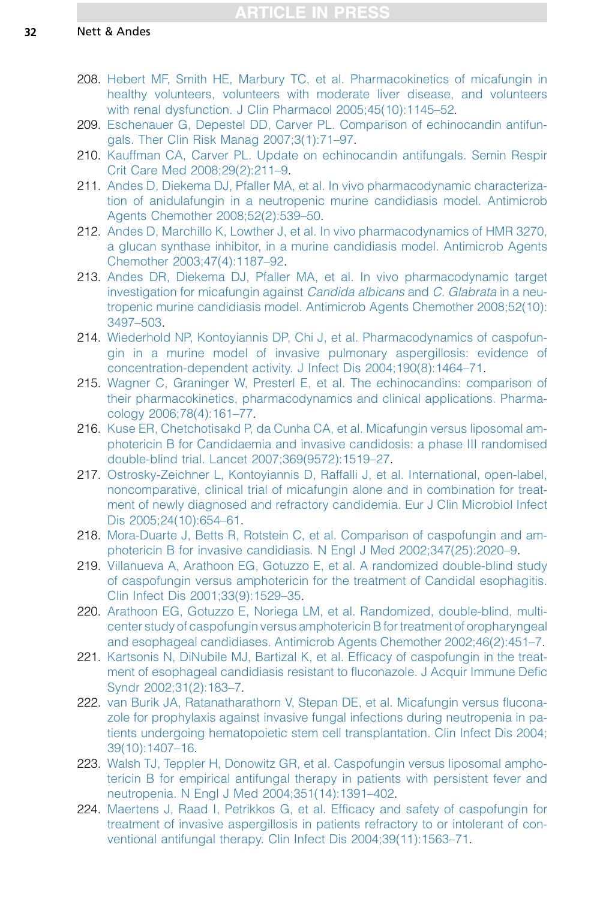- <span id="page-31-0"></span>208. [Hebert MF, Smith HE, Marbury TC, et al. Pharmacokinetics of micafungin in](http://refhub.elsevier.com/S0891-5520(15)00101-4/sref208) [healthy volunteers, volunteers with moderate liver disease, and volunteers](http://refhub.elsevier.com/S0891-5520(15)00101-4/sref208) [with renal dysfunction. J Clin Pharmacol 2005;45\(10\):1145–52.](http://refhub.elsevier.com/S0891-5520(15)00101-4/sref208)
- 209. [Eschenauer G, Depestel DD, Carver PL. Comparison of echinocandin antifun](http://refhub.elsevier.com/S0891-5520(15)00101-4/sref209)[gals. Ther Clin Risk Manag 2007;3\(1\):71–97.](http://refhub.elsevier.com/S0891-5520(15)00101-4/sref209)
- 210. [Kauffman CA, Carver PL. Update on echinocandin antifungals. Semin Respir](http://refhub.elsevier.com/S0891-5520(15)00101-4/sref210) [Crit Care Med 2008;29\(2\):211–9](http://refhub.elsevier.com/S0891-5520(15)00101-4/sref210).
- 211. [Andes D, Diekema DJ, Pfaller MA, et al. In vivo pharmacodynamic characteriza](http://refhub.elsevier.com/S0891-5520(15)00101-4/sref211)[tion of anidulafungin in a neutropenic murine candidiasis model. Antimicrob](http://refhub.elsevier.com/S0891-5520(15)00101-4/sref211) [Agents Chemother 2008;52\(2\):539–50.](http://refhub.elsevier.com/S0891-5520(15)00101-4/sref211)
- 212. [Andes D, Marchillo K, Lowther J, et al. In vivo pharmacodynamics of HMR 3270,](http://refhub.elsevier.com/S0891-5520(15)00101-4/sref212) [a glucan synthase inhibitor, in a murine candidiasis model. Antimicrob Agents](http://refhub.elsevier.com/S0891-5520(15)00101-4/sref212) [Chemother 2003;47\(4\):1187–92](http://refhub.elsevier.com/S0891-5520(15)00101-4/sref212).
- 213. [Andes DR, Diekema DJ, Pfaller MA, et al. In vivo pharmacodynamic target](http://refhub.elsevier.com/S0891-5520(15)00101-4/sref213) [investigation for micafungin against](http://refhub.elsevier.com/S0891-5520(15)00101-4/sref213) Candida albicans and C. Glabrata in a neu[tropenic murine candidiasis model. Antimicrob Agents Chemother 2008;52\(10\):](http://refhub.elsevier.com/S0891-5520(15)00101-4/sref213) [3497–503](http://refhub.elsevier.com/S0891-5520(15)00101-4/sref213).
- 214. [Wiederhold NP, Kontoyiannis DP, Chi J, et al. Pharmacodynamics of caspofun](http://refhub.elsevier.com/S0891-5520(15)00101-4/sref214)[gin in a murine model of invasive pulmonary aspergillosis: evidence of](http://refhub.elsevier.com/S0891-5520(15)00101-4/sref214) [concentration-dependent activity. J Infect Dis 2004;190\(8\):1464–71.](http://refhub.elsevier.com/S0891-5520(15)00101-4/sref214)
- 215. [Wagner C, Graninger W, Presterl E, et al. The echinocandins: comparison of](http://refhub.elsevier.com/S0891-5520(15)00101-4/sref215) [their pharmacokinetics, pharmacodynamics and clinical applications. Pharma](http://refhub.elsevier.com/S0891-5520(15)00101-4/sref215)[cology 2006;78\(4\):161–77.](http://refhub.elsevier.com/S0891-5520(15)00101-4/sref215)
- 216. [Kuse ER, Chetchotisakd P, da Cunha CA, et al. Micafungin versus liposomal am](http://refhub.elsevier.com/S0891-5520(15)00101-4/sref216)[photericin B for Candidaemia and invasive candidosis: a phase III randomised](http://refhub.elsevier.com/S0891-5520(15)00101-4/sref216) [double-blind trial. Lancet 2007;369\(9572\):1519–27.](http://refhub.elsevier.com/S0891-5520(15)00101-4/sref216)
- 217. [Ostrosky-Zeichner L, Kontoyiannis D, Raffalli J, et al. International, open-label,](http://refhub.elsevier.com/S0891-5520(15)00101-4/sref217) [noncomparative, clinical trial of micafungin alone and in combination for treat](http://refhub.elsevier.com/S0891-5520(15)00101-4/sref217)[ment of newly diagnosed and refractory candidemia. Eur J Clin Microbiol Infect](http://refhub.elsevier.com/S0891-5520(15)00101-4/sref217) [Dis 2005;24\(10\):654–61](http://refhub.elsevier.com/S0891-5520(15)00101-4/sref217).
- 218. [Mora-Duarte J, Betts R, Rotstein C, et al. Comparison of caspofungin and am](http://refhub.elsevier.com/S0891-5520(15)00101-4/sref218)[photericin B for invasive candidiasis. N Engl J Med 2002;347\(25\):2020–9](http://refhub.elsevier.com/S0891-5520(15)00101-4/sref218).
- 219. [Villanueva A, Arathoon EG, Gotuzzo E, et al. A randomized double-blind study](http://refhub.elsevier.com/S0891-5520(15)00101-4/sref219) [of caspofungin versus amphotericin for the treatment of Candidal esophagitis.](http://refhub.elsevier.com/S0891-5520(15)00101-4/sref219) [Clin Infect Dis 2001;33\(9\):1529–35.](http://refhub.elsevier.com/S0891-5520(15)00101-4/sref219)
- 220. [Arathoon EG, Gotuzzo E, Noriega LM, et al. Randomized, double-blind, multi](http://refhub.elsevier.com/S0891-5520(15)00101-4/sref220)[center study of caspofungin versus amphotericin B for treatment of oropharyngeal](http://refhub.elsevier.com/S0891-5520(15)00101-4/sref220) [and esophageal candidiases. Antimicrob Agents Chemother 2002;46\(2\):451–7](http://refhub.elsevier.com/S0891-5520(15)00101-4/sref220).
- 221. [Kartsonis N, DiNubile MJ, Bartizal K, et al. Efficacy of caspofungin in the treat](http://refhub.elsevier.com/S0891-5520(15)00101-4/sref221)[ment of esophageal candidiasis resistant to fluconazole. J Acquir Immune Defic](http://refhub.elsevier.com/S0891-5520(15)00101-4/sref221) [Syndr 2002;31\(2\):183–7.](http://refhub.elsevier.com/S0891-5520(15)00101-4/sref221)
- 222. [van Burik JA, Ratanatharathorn V, Stepan DE, et al. Micafungin versus flucona](http://refhub.elsevier.com/S0891-5520(15)00101-4/sref222)[zole for prophylaxis against invasive fungal infections during neutropenia in pa](http://refhub.elsevier.com/S0891-5520(15)00101-4/sref222)[tients undergoing hematopoietic stem cell transplantation. Clin Infect Dis 2004;](http://refhub.elsevier.com/S0891-5520(15)00101-4/sref222) [39\(10\):1407–16.](http://refhub.elsevier.com/S0891-5520(15)00101-4/sref222)
- 223. [Walsh TJ, Teppler H, Donowitz GR, et al. Caspofungin versus liposomal ampho](http://refhub.elsevier.com/S0891-5520(15)00101-4/sref223)[tericin B for empirical antifungal therapy in patients with persistent fever and](http://refhub.elsevier.com/S0891-5520(15)00101-4/sref223) [neutropenia. N Engl J Med 2004;351\(14\):1391–402.](http://refhub.elsevier.com/S0891-5520(15)00101-4/sref223)
- 224. [Maertens J, Raad I, Petrikkos G, et al. Efficacy and safety of caspofungin for](http://refhub.elsevier.com/S0891-5520(15)00101-4/sref224) [treatment of invasive aspergillosis in patients refractory to or intolerant of con](http://refhub.elsevier.com/S0891-5520(15)00101-4/sref224)[ventional antifungal therapy. Clin Infect Dis 2004;39\(11\):1563–71.](http://refhub.elsevier.com/S0891-5520(15)00101-4/sref224)